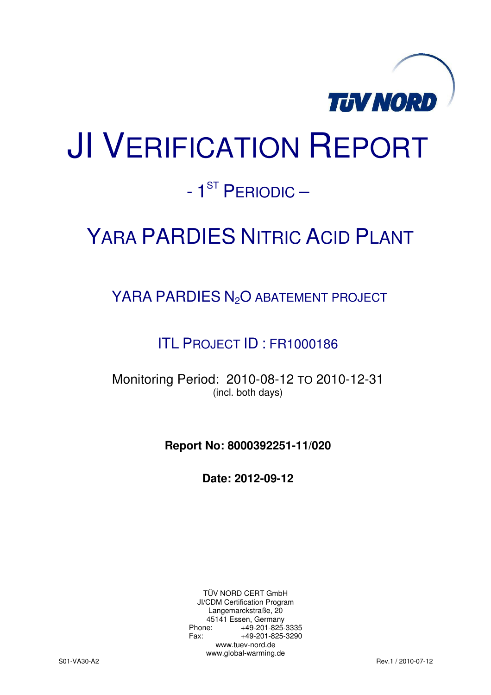

# JI VERIFICATION REPORT

### - 1<sup>ST</sup> PERIODIC –

## YARA PARDIES NITRIC ACID PLANT

YARA PARDIES N<sub>2</sub>O ABATEMENT PROJECT

ITL PROJECT ID : FR1000186

Monitoring Period: 2010-08-12 TO 2010-12-31 (incl. both days)

**Report No: 8000392251-11/020** 

**Date: 2012-09-12** 

TÜV NORD CERT GmbH JI/CDM Certification Program Langemarckstraße, 20 45141 Essen, Germany<br>+49-201-825-49 +49-201-825-3335 Fax: +49-201-825-3290 www.tuev-nord.de www.global-warming.de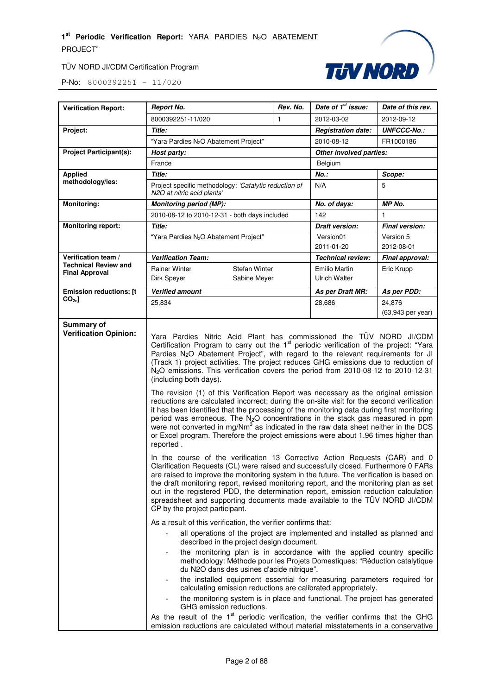

| <b>Verification Report:</b>                          | <b>Report No.</b>                                                                                                                                                                                                                                                                                                                                                                                                                                                                                                                                                                                                                                                                                                                                                                                                                                                                                                                                                                                                                                                                                                                                                                                                                                                                                                                                                                                                                                                                                                                                                                                                                                                                                                                                                                                                                                                                                                                                                                                                                                                                                              | Rev. No. | Date of 1 <sup>st</sup> issue:               | Date of this rev.           |
|------------------------------------------------------|----------------------------------------------------------------------------------------------------------------------------------------------------------------------------------------------------------------------------------------------------------------------------------------------------------------------------------------------------------------------------------------------------------------------------------------------------------------------------------------------------------------------------------------------------------------------------------------------------------------------------------------------------------------------------------------------------------------------------------------------------------------------------------------------------------------------------------------------------------------------------------------------------------------------------------------------------------------------------------------------------------------------------------------------------------------------------------------------------------------------------------------------------------------------------------------------------------------------------------------------------------------------------------------------------------------------------------------------------------------------------------------------------------------------------------------------------------------------------------------------------------------------------------------------------------------------------------------------------------------------------------------------------------------------------------------------------------------------------------------------------------------------------------------------------------------------------------------------------------------------------------------------------------------------------------------------------------------------------------------------------------------------------------------------------------------------------------------------------------------|----------|----------------------------------------------|-----------------------------|
|                                                      | 8000392251-11/020                                                                                                                                                                                                                                                                                                                                                                                                                                                                                                                                                                                                                                                                                                                                                                                                                                                                                                                                                                                                                                                                                                                                                                                                                                                                                                                                                                                                                                                                                                                                                                                                                                                                                                                                                                                                                                                                                                                                                                                                                                                                                              | 1        | 2012-03-02                                   | 2012-09-12                  |
| Project:                                             | Title:                                                                                                                                                                                                                                                                                                                                                                                                                                                                                                                                                                                                                                                                                                                                                                                                                                                                                                                                                                                                                                                                                                                                                                                                                                                                                                                                                                                                                                                                                                                                                                                                                                                                                                                                                                                                                                                                                                                                                                                                                                                                                                         |          | <b>Registration date:</b>                    | <b>UNFCCC-No.:</b>          |
|                                                      | "Yara Pardies N <sub>2</sub> O Abatement Project"                                                                                                                                                                                                                                                                                                                                                                                                                                                                                                                                                                                                                                                                                                                                                                                                                                                                                                                                                                                                                                                                                                                                                                                                                                                                                                                                                                                                                                                                                                                                                                                                                                                                                                                                                                                                                                                                                                                                                                                                                                                              |          | 2010-08-12                                   | FR1000186                   |
| <b>Project Participant(s):</b>                       | Host party:                                                                                                                                                                                                                                                                                                                                                                                                                                                                                                                                                                                                                                                                                                                                                                                                                                                                                                                                                                                                                                                                                                                                                                                                                                                                                                                                                                                                                                                                                                                                                                                                                                                                                                                                                                                                                                                                                                                                                                                                                                                                                                    |          | Other involved parties:                      |                             |
|                                                      | France                                                                                                                                                                                                                                                                                                                                                                                                                                                                                                                                                                                                                                                                                                                                                                                                                                                                                                                                                                                                                                                                                                                                                                                                                                                                                                                                                                                                                                                                                                                                                                                                                                                                                                                                                                                                                                                                                                                                                                                                                                                                                                         |          | Belgium                                      |                             |
| <b>Applied</b>                                       | Title:                                                                                                                                                                                                                                                                                                                                                                                                                                                                                                                                                                                                                                                                                                                                                                                                                                                                                                                                                                                                                                                                                                                                                                                                                                                                                                                                                                                                                                                                                                                                                                                                                                                                                                                                                                                                                                                                                                                                                                                                                                                                                                         |          | No.:                                         | Scope:                      |
| methodology/ies:                                     | Project specific methodology: 'Catalytic reduction of<br>N2O at nitric acid plants'                                                                                                                                                                                                                                                                                                                                                                                                                                                                                                                                                                                                                                                                                                                                                                                                                                                                                                                                                                                                                                                                                                                                                                                                                                                                                                                                                                                                                                                                                                                                                                                                                                                                                                                                                                                                                                                                                                                                                                                                                            |          | N/A                                          | 5                           |
| <b>Monitoring:</b>                                   | <b>Monitoring period (MP):</b>                                                                                                                                                                                                                                                                                                                                                                                                                                                                                                                                                                                                                                                                                                                                                                                                                                                                                                                                                                                                                                                                                                                                                                                                                                                                                                                                                                                                                                                                                                                                                                                                                                                                                                                                                                                                                                                                                                                                                                                                                                                                                 |          | No. of days:                                 | MP No.                      |
|                                                      | 2010-08-12 to 2010-12-31 - both days included                                                                                                                                                                                                                                                                                                                                                                                                                                                                                                                                                                                                                                                                                                                                                                                                                                                                                                                                                                                                                                                                                                                                                                                                                                                                                                                                                                                                                                                                                                                                                                                                                                                                                                                                                                                                                                                                                                                                                                                                                                                                  |          | 142                                          | $\mathbf{1}$                |
| <b>Monitoring report:</b>                            | Title:                                                                                                                                                                                                                                                                                                                                                                                                                                                                                                                                                                                                                                                                                                                                                                                                                                                                                                                                                                                                                                                                                                                                                                                                                                                                                                                                                                                                                                                                                                                                                                                                                                                                                                                                                                                                                                                                                                                                                                                                                                                                                                         |          | <b>Draft version:</b>                        | Final version:              |
|                                                      | "Yara Pardies N <sub>2</sub> O Abatement Project"                                                                                                                                                                                                                                                                                                                                                                                                                                                                                                                                                                                                                                                                                                                                                                                                                                                                                                                                                                                                                                                                                                                                                                                                                                                                                                                                                                                                                                                                                                                                                                                                                                                                                                                                                                                                                                                                                                                                                                                                                                                              |          | Version01<br>2011-01-20                      | Version 5<br>2012-08-01     |
| Verification team /                                  | <b>Verification Team:</b>                                                                                                                                                                                                                                                                                                                                                                                                                                                                                                                                                                                                                                                                                                                                                                                                                                                                                                                                                                                                                                                                                                                                                                                                                                                                                                                                                                                                                                                                                                                                                                                                                                                                                                                                                                                                                                                                                                                                                                                                                                                                                      |          | <b>Technical review:</b>                     | Final approval:             |
| <b>Technical Review and</b><br><b>Final Approval</b> | <b>Rainer Winter</b><br><b>Stefan Winter</b><br>Dirk Speyer<br>Sabine Meyer                                                                                                                                                                                                                                                                                                                                                                                                                                                                                                                                                                                                                                                                                                                                                                                                                                                                                                                                                                                                                                                                                                                                                                                                                                                                                                                                                                                                                                                                                                                                                                                                                                                                                                                                                                                                                                                                                                                                                                                                                                    |          | <b>Emilio Martin</b><br><b>Ulrich Walter</b> | Eric Krupp                  |
| <b>Emission reductions: [t</b>                       | <b>Verified amount</b>                                                                                                                                                                                                                                                                                                                                                                                                                                                                                                                                                                                                                                                                                                                                                                                                                                                                                                                                                                                                                                                                                                                                                                                                                                                                                                                                                                                                                                                                                                                                                                                                                                                                                                                                                                                                                                                                                                                                                                                                                                                                                         |          | As per Draft MR:                             | As per PDD:                 |
| $CO_{2e}$ ]                                          | 25,834                                                                                                                                                                                                                                                                                                                                                                                                                                                                                                                                                                                                                                                                                                                                                                                                                                                                                                                                                                                                                                                                                                                                                                                                                                                                                                                                                                                                                                                                                                                                                                                                                                                                                                                                                                                                                                                                                                                                                                                                                                                                                                         |          | 28,686                                       | 24,876<br>(63,943 per year) |
|                                                      | Certification Program to carry out the 1 <sup>st</sup> periodic verification of the project: "Yara<br>Pardies N <sub>2</sub> O Abatement Project", with regard to the relevant requirements for JI<br>(Track 1) project activities. The project reduces GHG emissions due to reduction of<br>N <sub>2</sub> O emissions. This verification covers the period from 2010-08-12 to 2010-12-31<br>(including both days).<br>The revision (1) of this Verification Report was necessary as the original emission<br>reductions are calculated incorrect; during the on-site visit for the second verification<br>it has been identified that the processing of the monitoring data during first monitoring<br>period was erroneous. The N <sub>2</sub> O concentrations in the stack gas measured in ppm<br>were not converted in mg/Nm $3$ as indicated in the raw data sheet neither in the DCS<br>or Excel program. Therefore the project emissions were about 1.96 times higher than<br>reported.<br>In the course of the verification 13 Corrective Action Requests (CAR) and 0<br>Clarification Requests (CL) were raised and successfully closed. Furthermore 0 FARs<br>are raised to improve the monitoring system in the future. The verification is based on<br>the draft monitoring report, revised monitoring report, and the monitoring plan as set<br>out in the registered PDD, the determination report, emission reduction calculation<br>spreadsheet and supporting documents made available to the TÜV NORD JI/CDM<br>CP by the project participant.<br>As a result of this verification, the verifier confirms that:<br>all operations of the project are implemented and installed as planned and<br>described in the project design document.<br>the monitoring plan is in accordance with the applied country specific<br>methodology: Méthode pour les Projets Domestiques: "Réduction catalytique<br>du N2O dans des usines d'acide nitrique".<br>the installed equipment essential for measuring parameters required for<br>calculating emission reductions are calibrated appropriately. |          |                                              |                             |
|                                                      | the monitoring system is in place and functional. The project has generated<br>GHG emission reductions.<br>As the result of the 1 <sup>st</sup> periodic verification, the verifier confirms that the GHG<br>emission reductions are calculated without material misstatements in a conservative                                                                                                                                                                                                                                                                                                                                                                                                                                                                                                                                                                                                                                                                                                                                                                                                                                                                                                                                                                                                                                                                                                                                                                                                                                                                                                                                                                                                                                                                                                                                                                                                                                                                                                                                                                                                               |          |                                              |                             |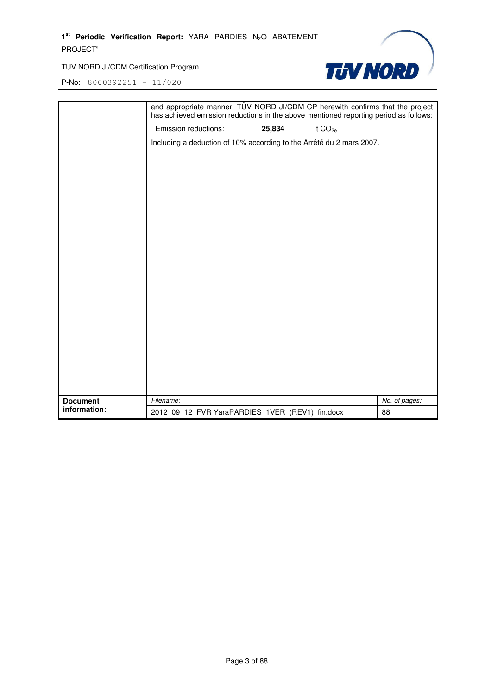

|                 | and appropriate manner. TÜV NORD JI/CDM CP herewith confirms that the project<br>has achieved emission reductions in the above mentioned reporting period as follows: |        |                    |               |
|-----------------|-----------------------------------------------------------------------------------------------------------------------------------------------------------------------|--------|--------------------|---------------|
|                 | Emission reductions:                                                                                                                                                  | 25,834 | t CO <sub>2e</sub> |               |
|                 | Including a deduction of 10% according to the Arrêté du 2 mars 2007.                                                                                                  |        |                    |               |
|                 |                                                                                                                                                                       |        |                    |               |
|                 |                                                                                                                                                                       |        |                    |               |
|                 |                                                                                                                                                                       |        |                    |               |
|                 |                                                                                                                                                                       |        |                    |               |
|                 |                                                                                                                                                                       |        |                    |               |
|                 |                                                                                                                                                                       |        |                    |               |
|                 |                                                                                                                                                                       |        |                    |               |
|                 |                                                                                                                                                                       |        |                    |               |
|                 |                                                                                                                                                                       |        |                    |               |
|                 |                                                                                                                                                                       |        |                    |               |
|                 |                                                                                                                                                                       |        |                    |               |
|                 |                                                                                                                                                                       |        |                    |               |
|                 |                                                                                                                                                                       |        |                    |               |
|                 |                                                                                                                                                                       |        |                    |               |
|                 |                                                                                                                                                                       |        |                    |               |
|                 |                                                                                                                                                                       |        |                    |               |
|                 |                                                                                                                                                                       |        |                    |               |
|                 |                                                                                                                                                                       |        |                    |               |
| <b>Document</b> | Filename:                                                                                                                                                             |        |                    | No. of pages: |
| information:    | 2012_09_12 FVR YaraPARDIES_1VER_(REV1)_fin.docx                                                                                                                       |        |                    | 88            |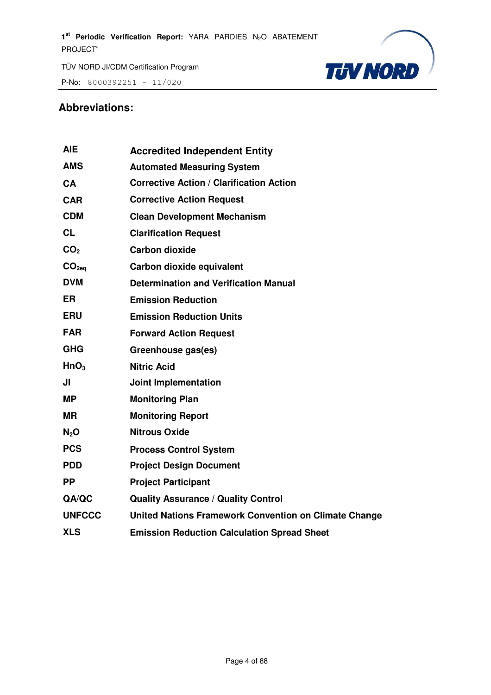**P-No:** 8000392251 - 11/020



#### **Abbreviations:**

| <b>Accredited Independent Entity</b>                         |
|--------------------------------------------------------------|
| <b>Automated Measuring System</b>                            |
| <b>Corrective Action / Clarification Action</b>              |
| <b>Corrective Action Request</b>                             |
| <b>Clean Development Mechanism</b>                           |
| <b>Clarification Request</b>                                 |
| <b>Carbon dioxide</b>                                        |
| Carbon dioxide equivalent                                    |
| <b>Determination and Verification Manual</b>                 |
| <b>Emission Reduction</b>                                    |
| <b>Emission Reduction Units</b>                              |
| <b>Forward Action Request</b>                                |
| Greenhouse gas(es)                                           |
| <b>Nitric Acid</b>                                           |
| <b>Joint Implementation</b>                                  |
| <b>Monitoring Plan</b>                                       |
| <b>Monitoring Report</b>                                     |
| <b>Nitrous Oxide</b>                                         |
| <b>Process Control System</b>                                |
| <b>Project Design Document</b>                               |
| <b>Project Participant</b>                                   |
| <b>Quality Assurance / Quality Control</b>                   |
| <b>United Nations Framework Convention on Climate Change</b> |
| <b>Emission Reduction Calculation Spread Sheet</b>           |
|                                                              |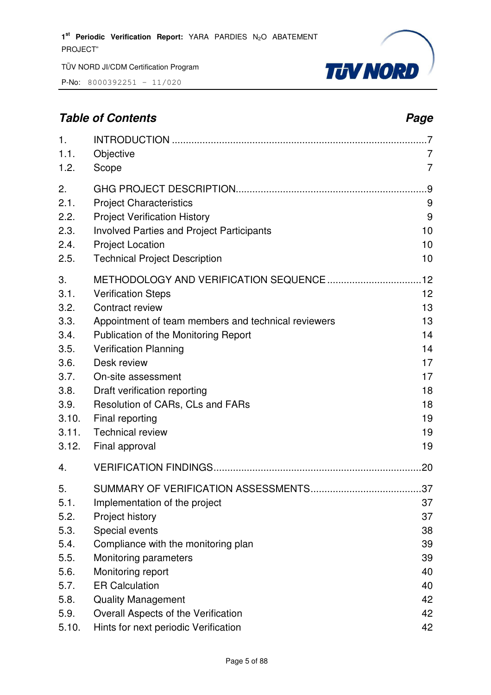P-No: 8000392251 – 11/020



#### **Table of Contents** *Page Page Page Page Page Page Page Page Page Page Page Page Page Page Page Page Page Page Page Page Page Page Page Page Page Page Page Page Page*

| $\mathbf{1}$ .                                                                                        |                                                                                                                                                                                                                                                                                                                                                      | .7                                                                   |
|-------------------------------------------------------------------------------------------------------|------------------------------------------------------------------------------------------------------------------------------------------------------------------------------------------------------------------------------------------------------------------------------------------------------------------------------------------------------|----------------------------------------------------------------------|
| 1.1.                                                                                                  | Objective                                                                                                                                                                                                                                                                                                                                            | 7                                                                    |
| 1.2.                                                                                                  | Scope                                                                                                                                                                                                                                                                                                                                                | $\overline{7}$                                                       |
| 2.                                                                                                    |                                                                                                                                                                                                                                                                                                                                                      | .9                                                                   |
| 2.1.                                                                                                  | <b>Project Characteristics</b>                                                                                                                                                                                                                                                                                                                       | 9                                                                    |
| 2.2.                                                                                                  | <b>Project Verification History</b>                                                                                                                                                                                                                                                                                                                  | 9                                                                    |
| 2.3.                                                                                                  | <b>Involved Parties and Project Participants</b>                                                                                                                                                                                                                                                                                                     | 10                                                                   |
| 2.4.                                                                                                  | <b>Project Location</b>                                                                                                                                                                                                                                                                                                                              | 10                                                                   |
| 2.5.                                                                                                  | <b>Technical Project Description</b>                                                                                                                                                                                                                                                                                                                 | 10                                                                   |
| 3.<br>3.1.<br>3.2.<br>3.3.<br>3.4.<br>3.5.<br>3.6.<br>3.7.<br>3.8.<br>3.9.<br>3.10.<br>3.11.<br>3.12. | <b>Verification Steps</b><br>Contract review<br>Appointment of team members and technical reviewers<br>Publication of the Monitoring Report<br><b>Verification Planning</b><br>Desk review<br>On-site assessment<br>Draft verification reporting<br>Resolution of CARs, CLs and FARs<br>Final reporting<br><b>Technical review</b><br>Final approval | 12<br>13<br>13<br>14<br>14<br>17<br>17<br>18<br>18<br>19<br>19<br>19 |
| 4.                                                                                                    |                                                                                                                                                                                                                                                                                                                                                      |                                                                      |
| 5.<br>5.1.<br>5.2.<br>5.3.<br>5.4.<br>5.5.<br>5.6.<br>5.7.<br>5.8.                                    | Implementation of the project<br>Project history<br>Special events<br>Compliance with the monitoring plan<br>Monitoring parameters<br>Monitoring report<br><b>ER Calculation</b><br><b>Quality Management</b>                                                                                                                                        | 37<br>37<br>38<br>39<br>39<br>40<br>40<br>42                         |
| 5.9.                                                                                                  | Overall Aspects of the Verification                                                                                                                                                                                                                                                                                                                  | 42                                                                   |
| 5.10.                                                                                                 | Hints for next periodic Verification                                                                                                                                                                                                                                                                                                                 | 42                                                                   |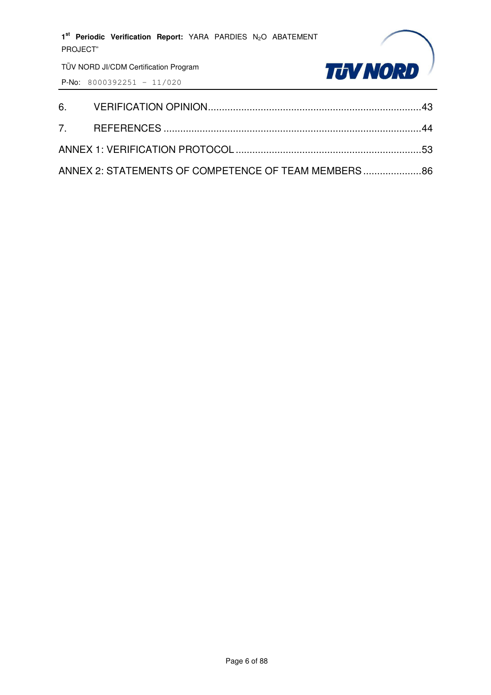

| ANNEX 2: STATEMENTS OF COMPETENCE OF TEAM MEMBERS86 |  |
|-----------------------------------------------------|--|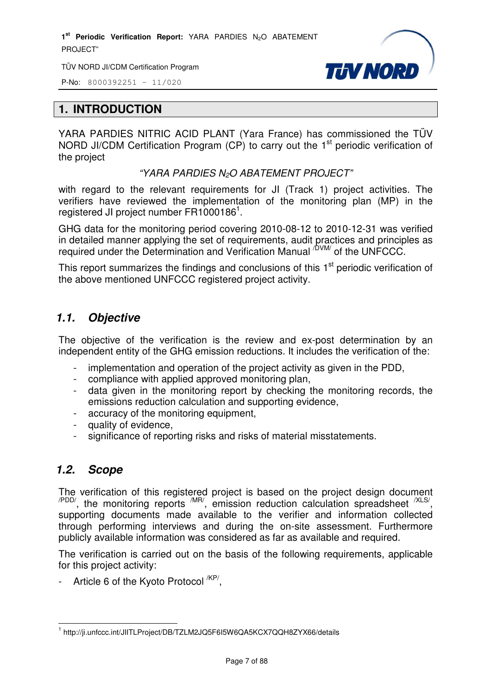1<sup>st</sup> Periodic Verification Report: YARA PARDIES N<sub>2</sub>O ABATEMENT PROJECT"

TÜV NORD JI/CDM Certification Program



P-No: 8000392251 – 11/020

#### **1. INTRODUCTION**

YARA PARDIES NITRIC ACID PLANT (Yara France) has commissioned the TÜV NORD JI/CDM Certification Program  $(CP)$  to carry out the 1<sup>st</sup> periodic verification of the project

"YARA PARDIES N<sub>2</sub>O ABATEMENT PROJECT"

with regard to the relevant requirements for JI (Track 1) project activities. The verifiers have reviewed the implementation of the monitoring plan (MP) in the registered JI project number FR1000186<sup>1</sup>.

GHG data for the monitoring period covering 2010-08-12 to 2010-12-31 was verified in detailed manner applying the set of requirements, audit practices and principles as required under the Determination and Verification Manual <sup>/DVM/</sup> of the UNFCCC.

This report summarizes the findings and conclusions of this 1<sup>st</sup> periodic verification of the above mentioned UNFCCC registered project activity.

#### *1.1. Objective*

The objective of the verification is the review and ex-post determination by an independent entity of the GHG emission reductions. It includes the verification of the:

- implementation and operation of the project activity as given in the PDD,
- compliance with applied approved monitoring plan,
- data given in the monitoring report by checking the monitoring records, the emissions reduction calculation and supporting evidence,
- accuracy of the monitoring equipment,
- quality of evidence,
- significance of reporting risks and risks of material misstatements.

#### *1.2. Scope*

The verification of this registered project is based on the project design document  $\alpha$ <sup>PDD/</sup>, the monitoring reports  $\alpha$ <sup>MR/</sup>, emission reduction calculation spreadsheet  $\alpha$ <sup>XLS/</sup>, supporting documents made available to the verifier and information collected through performing interviews and during the on-site assessment. Furthermore publicly available information was considered as far as available and required.

The verification is carried out on the basis of the following requirements, applicable for this project activity:

- Article 6 of the Kyoto Protocol <sup>/KP/</sup>,

l 1 http://ji.unfccc.int/JIITLProject/DB/TZLM2JQ5F6I5W6QA5KCX7QQH8ZYX66/details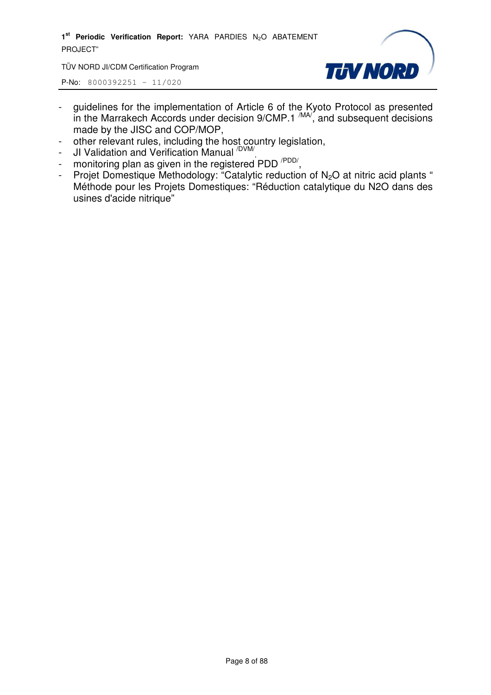1<sup>st</sup> Periodic Verification Report: YARA PARDIES N<sub>2</sub>O ABATEMENT PROJECT"

TÜV NORD JI/CDM Certification Program



- guidelines for the implementation of Article 6 of the Kyoto Protocol as presented in the Marrakech Accords under decision  $9/CMP.1 \frac{MAV}{M}$ , and subsequent decisions made by the JISC and COP/MOP,
- other relevant rules, including the host country legislation,
- JI Validation and Verification Manual <sup>/DVM/</sup>,
- monitoring plan as given in the registered PDD<sup>/PDD/</sup>,
- Projet Domestique Methodology: "Catalytic reduction of  $N_2O$  at nitric acid plants " Méthode pour les Projets Domestiques: "Réduction catalytique du N2O dans des usines d'acide nitrique"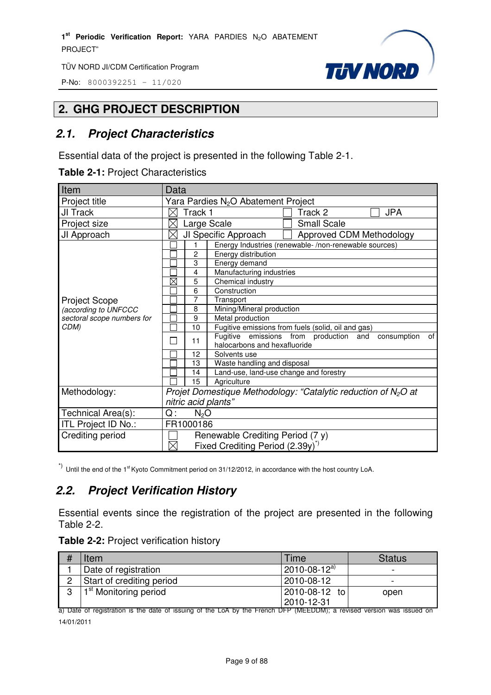P-No: 8000392251 – 11/020



#### **2. GHG PROJECT DESCRIPTION**

#### *2.1. Project Characteristics*

Essential data of the project is presented in the following Table 2-1.

|  |  | Table 2-1: Project Characteristics |
|--|--|------------------------------------|
|--|--|------------------------------------|

| Item                       | Data                                                                                              |  |  |
|----------------------------|---------------------------------------------------------------------------------------------------|--|--|
| Project title              | Yara Pardies N <sub>2</sub> O Abatement Project                                                   |  |  |
| JI Track                   | <b>JPA</b><br>Track 1<br>Track 2                                                                  |  |  |
| Project size               | <b>Small Scale</b><br>Large Scale                                                                 |  |  |
| JI Approach                | JI Specific Approach<br>Approved CDM Methodology                                                  |  |  |
|                            | Energy Industries (renewable-/non-renewable sources)<br>1                                         |  |  |
|                            | $\overline{c}$<br>Energy distribution                                                             |  |  |
|                            | 3<br>Energy demand                                                                                |  |  |
|                            | Manufacturing industries<br>4                                                                     |  |  |
|                            | $\boxtimes$<br>Chemical industry<br>5                                                             |  |  |
|                            | 6<br>Construction                                                                                 |  |  |
| <b>Project Scope</b>       | $\overline{7}$<br>Transport                                                                       |  |  |
| (according to UNFCCC       | Mining/Mineral production<br>8                                                                    |  |  |
| sectoral scope numbers for | 9<br>Metal production                                                                             |  |  |
| CDM)                       | Fugitive emissions from fuels (solid, oil and gas)<br>10                                          |  |  |
|                            | Fugitive emissions from production and<br>consumption<br>of<br>11<br>halocarbons and hexafluoride |  |  |
|                            | 12<br>Solvents use                                                                                |  |  |
|                            | Waste handling and disposal<br>13                                                                 |  |  |
|                            | Land-use, land-use change and forestry<br>14                                                      |  |  |
|                            | 15<br>Agriculture                                                                                 |  |  |
| Methodology:               | Projet Domestique Methodology: "Catalytic reduction of $N_2O$ at                                  |  |  |
|                            | nitric acid plants"                                                                               |  |  |
| Technical Area(s):         | Q:<br>$N_2O$                                                                                      |  |  |
| ITL Project ID No.:        | FR1000186                                                                                         |  |  |
| Crediting period           | Renewable Crediting Period (7 y)                                                                  |  |  |
|                            | $\boxtimes$<br>Fixed Crediting Period (2.39y) <sup>*)</sup>                                       |  |  |

 $\alpha$ <sup>\*)</sup> Until the end of the 1<sup>st</sup> Kyoto Commitment period on 31/12/2012, in accordance with the host country LoA.

#### *2.2. Project Verification History*

Essential events since the registration of the project are presented in the following Table 2-2.

| Item                              | Time                  | <b>Status</b> |
|-----------------------------------|-----------------------|---------------|
| Date of registration              | $12010 - 08 - 12^{a}$ |               |
| Start of crediting period         | 2010-08-12            |               |
| 1 <sup>st</sup> Monitoring period | 2010-08-12 to         | open          |
|                                   | 2010-12-31            |               |

a) Date of registration is the date of issuing of the LoA by the French DFP (MEEDDM); a revised version was issued on 14/01/2011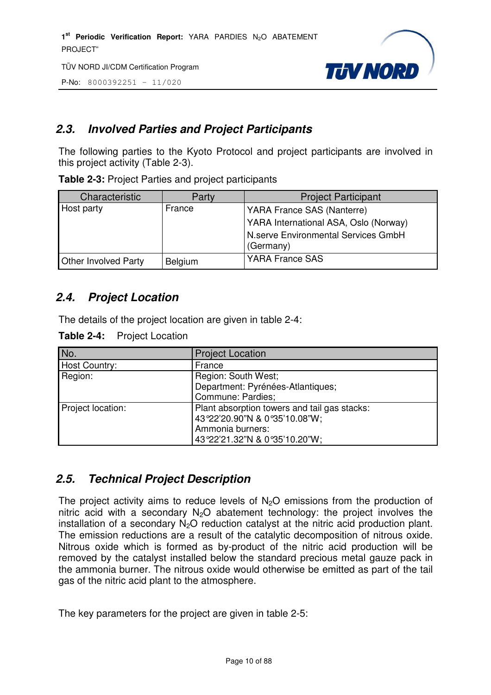P-No: 8000392251 – 11/020



#### *2.3. Involved Parties and Project Participants*

The following parties to the Kyoto Protocol and project participants are involved in this project activity (Table 2-3).

**Table 2-3:** Project Parties and project participants

| Characteristic              | Party   | <b>Project Participant</b>                       |
|-----------------------------|---------|--------------------------------------------------|
| Host party                  | France  | YARA France SAS (Nanterre)                       |
|                             |         | YARA International ASA, Oslo (Norway)            |
|                             |         | N.serve Environmental Services GmbH<br>(Germany) |
| <b>Other Involved Party</b> | Belgium | <b>YARA France SAS</b>                           |

#### *2.4. Project Location*

The details of the project location are given in table 2-4:

**Table 2-4:** Project Location

| No.               | <b>Project Location</b>                      |
|-------------------|----------------------------------------------|
| Host Country:     | France                                       |
| Region:           | Region: South West;                          |
|                   | Department: Pyrénées-Atlantiques;            |
|                   | Commune: Pardies;                            |
| Project location: | Plant absorption towers and tail gas stacks: |
|                   | 43°22'20.90"N & 0°35'10.08"W;                |
|                   | Ammonia burners:                             |
|                   | 43°22'21.32"N & 0°35'10.20"W;                |

#### *2.5. Technical Project Description*

The project activity aims to reduce levels of  $N<sub>2</sub>O$  emissions from the production of nitric acid with a secondary  $N_2O$  abatement technology: the project involves the installation of a secondary  $N_2O$  reduction catalyst at the nitric acid production plant. The emission reductions are a result of the catalytic decomposition of nitrous oxide. Nitrous oxide which is formed as by-product of the nitric acid production will be removed by the catalyst installed below the standard precious metal gauze pack in the ammonia burner. The nitrous oxide would otherwise be emitted as part of the tail gas of the nitric acid plant to the atmosphere.

The key parameters for the project are given in table 2-5: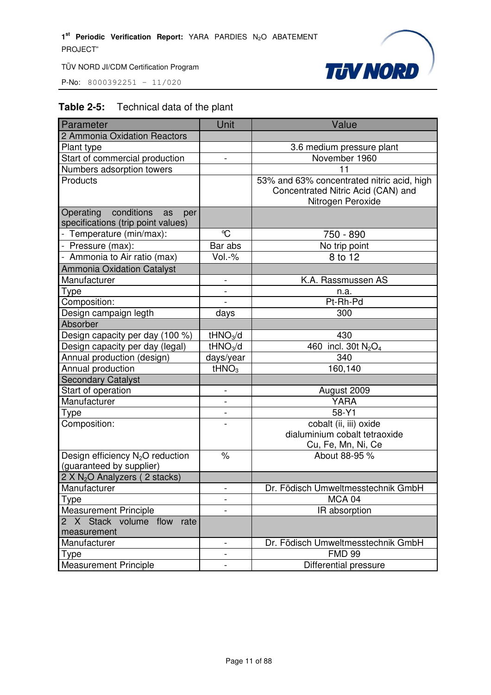P-No: 8000392251 – 11/020



#### **Table 2-5:** Technical data of the plant

| Parameter                                                                  | Unit                     | Value                                                                                                 |
|----------------------------------------------------------------------------|--------------------------|-------------------------------------------------------------------------------------------------------|
| 2 Ammonia Oxidation Reactors                                               |                          |                                                                                                       |
| Plant type                                                                 |                          | 3.6 medium pressure plant                                                                             |
| Start of commercial production                                             | $\overline{\phantom{0}}$ | November 1960                                                                                         |
| Numbers adsorption towers                                                  |                          | 11                                                                                                    |
| Products                                                                   |                          | 53% and 63% concentrated nitric acid, high<br>Concentrated Nitric Acid (CAN) and<br>Nitrogen Peroxide |
| conditions<br>Operating<br>as<br>per<br>specifications (trip point values) |                          |                                                                                                       |
| - Temperature (min/max):                                                   | °C                       | 750 - 890                                                                                             |
| - Pressure (max):                                                          | Bar abs                  | No trip point                                                                                         |
| - Ammonia to Air ratio (max)                                               | Vol.-%                   | 8 to 12                                                                                               |
| <b>Ammonia Oxidation Catalyst</b>                                          |                          |                                                                                                       |
| Manufacturer                                                               |                          | K.A. Rassmussen AS                                                                                    |
| Type                                                                       |                          | n.a.                                                                                                  |
| Composition:                                                               | $\blacksquare$           | Pt-Rh-Pd                                                                                              |
| Design campaign legth                                                      | days                     | 300                                                                                                   |
| Absorber                                                                   |                          |                                                                                                       |
| Design capacity per day (100 %)                                            | tHNO <sub>3</sub> /d     | 430                                                                                                   |
| Design capacity per day (legal)                                            | tHNO <sub>3</sub> /d     | 460 incl. 30t $N_2O_4$                                                                                |
| Annual production (design)                                                 | days/year                | 340                                                                                                   |
| Annual production                                                          | tHNO <sub>3</sub>        | 160,140                                                                                               |
| <b>Secondary Catalyst</b>                                                  |                          |                                                                                                       |
| Start of operation                                                         | -                        | August 2009                                                                                           |
| Manufacturer                                                               | $\overline{a}$           | <b>YARA</b>                                                                                           |
| Type                                                                       | $\overline{\phantom{0}}$ | 58-Y1                                                                                                 |
| Composition:                                                               |                          | cobalt (ii, iii) oxide<br>dialuminium cobalt tetraoxide<br>Cu, Fe, Mn, Ni, Ce                         |
| Design efficiency N <sub>2</sub> O reduction<br>(guaranteed by supplier)   | $\%$                     | About 88-95 %                                                                                         |
| 2 X N <sub>2</sub> O Analyzers (2 stacks)                                  |                          |                                                                                                       |
| Manufacturer                                                               |                          | Dr. Födisch Umweltmesstechnik GmbH                                                                    |
| <b>Type</b>                                                                |                          | MCA 04                                                                                                |
| <b>Measurement Principle</b>                                               |                          | IR absorption                                                                                         |
| 2 X Stack volume flow rate<br>measurement                                  |                          |                                                                                                       |
| Manufacturer                                                               | $\overline{a}$           | Dr. Födisch Umweltmesstechnik GmbH                                                                    |
| Type                                                                       | -                        | <b>FMD 99</b>                                                                                         |
| <b>Measurement Principle</b>                                               | -                        | Differential pressure                                                                                 |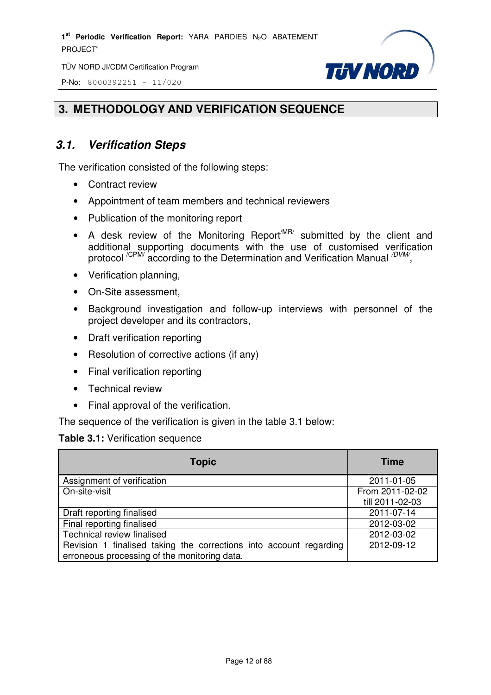P-No: 8000392251 – 11/020



#### **3. METHODOLOGY AND VERIFICATION SEQUENCE**

#### *3.1. Verification Steps*

The verification consisted of the following steps:

- Contract review
- Appointment of team members and technical reviewers
- Publication of the monitoring report
- A desk review of the Monitoring Report<sup>MR/</sup> submitted by the client and additional supporting documents with the use of customised verification protocol <sup>/CPM/</sup> according to the Determination and Verification Manual <sup>/DVM/</sup>,
- Verification planning,
- On-Site assessment,
- Background investigation and follow-up interviews with personnel of the project developer and its contractors,
- Draft verification reporting
- Resolution of corrective actions (if any)
- Final verification reporting
- Technical review
- Final approval of the verification.

The sequence of the verification is given in the table 3.1 below:

#### **Table 3.1:** Verification sequence

| <b>Topic</b>                                                       | <b>Time</b>     |
|--------------------------------------------------------------------|-----------------|
| Assignment of verification                                         | 2011-01-05      |
| On-site-visit                                                      | From 2011-02-02 |
|                                                                    | till 2011-02-03 |
| Draft reporting finalised                                          | 2011-07-14      |
| Final reporting finalised                                          | 2012-03-02      |
| Technical review finalised                                         | 2012-03-02      |
| Revision 1 finalised taking the corrections into account regarding | 2012-09-12      |
| erroneous processing of the monitoring data.                       |                 |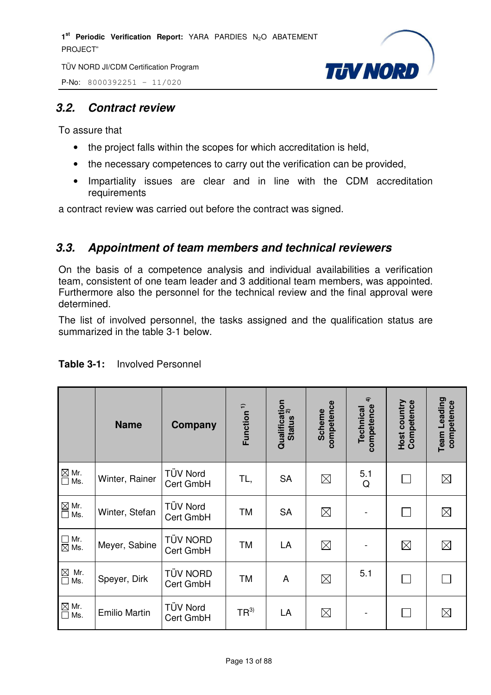



#### *3.2. Contract review*

To assure that

- the project falls within the scopes for which accreditation is held,
- the necessary competences to carry out the verification can be provided,
- Impartiality issues are clear and in line with the CDM accreditation requirements

a contract review was carried out before the contract was signed.

### *3.3. Appointment of team members and technical reviewers*

On the basis of a competence analysis and individual availabilities a verification team, consistent of one team leader and 3 additional team members, was appointed. Furthermore also the personnel for the technical review and the final approval were determined.

The list of involved personnel, the tasks assigned and the qualification status are summarized in the table 3-1 below.

|                                                        | <b>Name</b>          | Company                      | Function <sup>1)</sup> | Qualification<br>Status <sup>2)</sup><br><b>Status</b> | competence<br><b>Scheme</b> | $\hat{a}$<br>competence<br>Technical | Competence<br>Host country | Team Leading<br>competence |
|--------------------------------------------------------|----------------------|------------------------------|------------------------|--------------------------------------------------------|-----------------------------|--------------------------------------|----------------------------|----------------------------|
| $\boxtimes$ Mr.<br>$\square$ Ms.                       | Winter, Rainer       | TÜV Nord<br>Cert GmbH        | TL,                    | <b>SA</b>                                              | $\boxtimes$                 | 5.1<br>Q                             |                            | $\boxtimes$                |
| $\overline{\text{M}}$ Mr.<br>$\overline{\text{M}}$ Ms. | Winter, Stefan       | TÜV Nord<br>Cert GmbH        | TM                     | <b>SA</b>                                              | $\boxtimes$                 |                                      |                            | $\boxtimes$                |
| $\Box$<br>Mr.<br>$\boxtimes$ Ms.                       | Meyer, Sabine        | <b>TÜV NORD</b><br>Cert GmbH | <b>TM</b>              | LA                                                     | $\boxtimes$                 |                                      | $\boxtimes$                | $\boxtimes$                |
| $\boxtimes$<br>Mr.<br>$\overline{\square}$<br>Ms.      | Speyer, Dirk         | <b>TÜV NORD</b><br>Cert GmbH | TM                     | A                                                      | $\boxtimes$                 | 5.1                                  |                            | $\mathsf{I}$               |
| $\boxtimes$ Mr.<br>Ms.<br>$\Box$                       | <b>Emilio Martin</b> | <b>TÜV Nord</b><br>Cert GmbH | $TR^{3)}$              | LA                                                     | $\boxtimes$                 |                                      |                            | $\boxtimes$                |

#### **Table 3-1:** Involved Personnel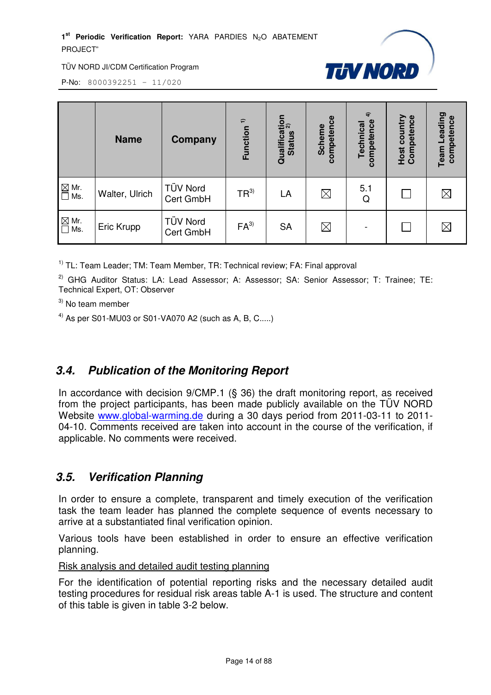1<sup>st</sup> Periodic Verification Report: YARA PARDIES N<sub>2</sub>O ABATEMENT PROJECT"



TÜV NORD JI/CDM Certification Program

P-No: 8000392251 – 11/020

|                                                      | <b>Name</b>    | Company                      | Function <sup>1)</sup> | Qualification<br>Status 2)<br><b>Status</b> | competence<br><b>Scheme</b> | $\widehat{4}$<br>competence<br>Technical | <b>Host country</b><br>Competence | Leading<br>competence<br>Team |
|------------------------------------------------------|----------------|------------------------------|------------------------|---------------------------------------------|-----------------------------|------------------------------------------|-----------------------------------|-------------------------------|
| $\Xi$ Mr.<br>$\Box$ Ms.                              | Walter, Ulrich | TÜV Nord<br>Cert GmbH        | $TR^{3)}$              | LA                                          | $\boxtimes$                 | 5.1<br>Q                                 |                                   | $\boxtimes$                   |
| $\overline{\square}$ Mr.<br>$\overline{\square}$ Ms. | Eric Krupp     | <b>TÜV Nord</b><br>Cert GmbH | $FA^{3}$               | <b>SA</b>                                   | $\boxtimes$                 |                                          |                                   | $\boxtimes$                   |

<sup>1)</sup> TL: Team Leader; TM: Team Member, TR: Technical review; FA: Final approval

 $2)$  GHG Auditor Status: LA: Lead Assessor: A: Assessor: SA: Senior Assessor: T: Trainee: TE: Technical Expert, OT: Observer

 $3)$  No team member

<sup>4)</sup> As per S01-MU03 or S01-VA070 A2 (such as A, B, C.....)

#### *3.4. Publication of the Monitoring Report*

In accordance with decision 9/CMP.1 (§ 36) the draft monitoring report, as received from the project participants, has been made publicly available on the TÜV NORD Website www.global-warming.de during a 30 days period from 2011-03-11 to 2011- 04-10. Comments received are taken into account in the course of the verification, if applicable. No comments were received.

#### *3.5. Verification Planning*

In order to ensure a complete, transparent and timely execution of the verification task the team leader has planned the complete sequence of events necessary to arrive at a substantiated final verification opinion.

Various tools have been established in order to ensure an effective verification planning.

Risk analysis and detailed audit testing planning

For the identification of potential reporting risks and the necessary detailed audit testing procedures for residual risk areas table A-1 is used. The structure and content of this table is given in table 3-2 below.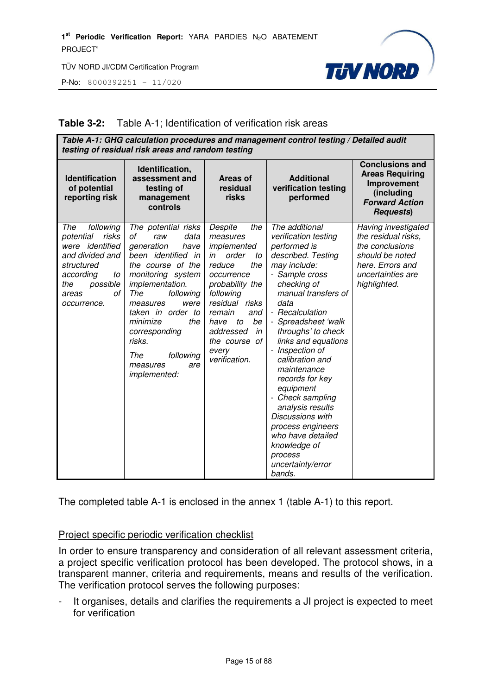P-No: 8000392251 – 11/020



#### **Table 3-2:** Table A-1; Identification of verification risk areas

| Table A-1: GHG calculation procedures and management control testing / Detailed audit<br>testing of residual risk areas and random testing                        |                                                                                                                                                                                                                                                                                                                     |                                                                                                                                                                                                                                                 |                                                                                                                                                                                                                                                                                                                                                                                                                                                                                                                 |                                                                                                                                           |  |
|-------------------------------------------------------------------------------------------------------------------------------------------------------------------|---------------------------------------------------------------------------------------------------------------------------------------------------------------------------------------------------------------------------------------------------------------------------------------------------------------------|-------------------------------------------------------------------------------------------------------------------------------------------------------------------------------------------------------------------------------------------------|-----------------------------------------------------------------------------------------------------------------------------------------------------------------------------------------------------------------------------------------------------------------------------------------------------------------------------------------------------------------------------------------------------------------------------------------------------------------------------------------------------------------|-------------------------------------------------------------------------------------------------------------------------------------------|--|
| <b>Identification</b><br>of potential<br>reporting risk                                                                                                           | Identification,<br>assessment and<br>testing of<br>management<br>controls                                                                                                                                                                                                                                           | Areas of<br>residual<br>risks                                                                                                                                                                                                                   | <b>Additional</b><br>verification testing<br>performed                                                                                                                                                                                                                                                                                                                                                                                                                                                          | <b>Conclusions and</b><br><b>Areas Requiring</b><br>Improvement<br>(including<br><b>Forward Action</b><br><b>Requests</b> )               |  |
| The<br>following<br>potential<br>risks<br>identified<br>were<br>and divided and<br>structured<br>according<br>to<br>possible<br>the<br>οf<br>areas<br>occurrence. | The potential risks<br>data<br>οf<br>raw<br>generation<br>have<br>been identified in<br>the course of the<br>monitoring system<br>implementation.<br>The<br>following<br>measures<br>were<br>taken in order to<br>the<br>minimize<br>corresponding<br>risks.<br>The<br>following<br>measures<br>are<br>implemented: | Despite<br>the<br>measures<br>implemented<br>order<br>in<br>to<br>reduce<br>the<br>occurrence<br>probability the<br>following<br>residual risks<br>remain<br>and<br>have to<br>be<br>addressed<br>in<br>the course of<br>every<br>verification. | The additional<br>verification testing<br>performed is<br>described. Testing<br>may include:<br>- Sample cross<br>checking of<br>manual transfers of<br>data<br>- Recalculation<br>- Spreadsheet 'walk<br>throughs' to check<br>links and equations<br>- Inspection of<br>calibration and<br>maintenance<br>records for key<br>equipment<br>- Check sampling<br>analysis results<br><b>Discussions with</b><br>process engineers<br>who have detailed<br>knowledge of<br>process<br>uncertainty/error<br>bands. | Having investigated<br>the residual risks,<br>the conclusions<br>should be noted<br>here. Errors and<br>uncertainties are<br>highlighted. |  |

The completed table A-1 is enclosed in the annex 1 (table A-1) to this report.

#### Project specific periodic verification checklist

In order to ensure transparency and consideration of all relevant assessment criteria, a project specific verification protocol has been developed. The protocol shows, in a transparent manner, criteria and requirements, means and results of the verification. The verification protocol serves the following purposes:

- It organises, details and clarifies the requirements a JI project is expected to meet for verification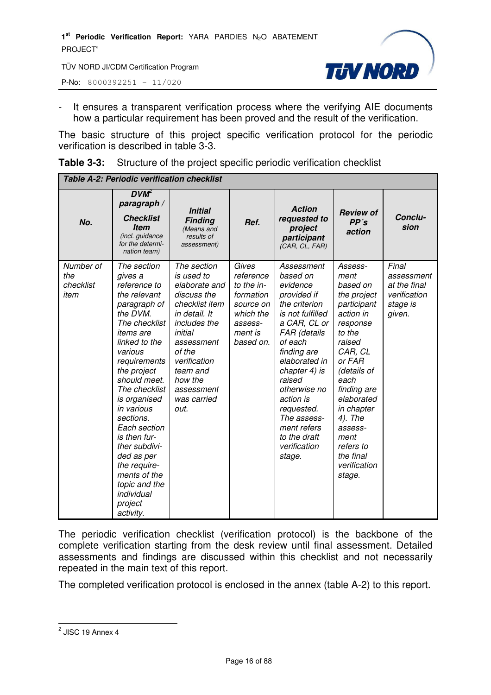P-No: 8000392251 – 11/020



It ensures a transparent verification process where the verifying AIE documents how a particular requirement has been proved and the result of the verification.

The basic structure of this project specific verification protocol for the periodic verification is described in table 3-3.

| <b>Table 3-3:</b> Structure of the project specific periodic verification checklist |  |
|-------------------------------------------------------------------------------------|--|
|                                                                                     |  |

| <b>Table A-2: Periodic verification checklist</b> |                                                                                                                                                                                                                                                                                                                                                                                                                      |                                                                                                                                                                                                                             |                                                                                                            |                                                                                                                                                                                                                                                                                                                 |                                                                                                                                                                                                                                                                                 |                                                                           |
|---------------------------------------------------|----------------------------------------------------------------------------------------------------------------------------------------------------------------------------------------------------------------------------------------------------------------------------------------------------------------------------------------------------------------------------------------------------------------------|-----------------------------------------------------------------------------------------------------------------------------------------------------------------------------------------------------------------------------|------------------------------------------------------------------------------------------------------------|-----------------------------------------------------------------------------------------------------------------------------------------------------------------------------------------------------------------------------------------------------------------------------------------------------------------|---------------------------------------------------------------------------------------------------------------------------------------------------------------------------------------------------------------------------------------------------------------------------------|---------------------------------------------------------------------------|
| No.                                               | $DVM^2$<br>paragraph /<br><b>Checklist</b><br><b>Item</b><br>(incl. guidance<br>for the determi-<br>nation team)                                                                                                                                                                                                                                                                                                     | <b>Initial</b><br><b>Finding</b><br>(Means and<br>results of<br>assessment)                                                                                                                                                 | Ref.                                                                                                       | <b>Action</b><br>requested to<br>project<br>participant<br>(CAR, CL, FAR)                                                                                                                                                                                                                                       | <b>Review of</b><br>PP's<br>action                                                                                                                                                                                                                                              | Conclu-<br>sion                                                           |
| Number of<br>the<br>checklist<br>item             | The section<br>gives a<br>reference to<br>the relevant<br>paragraph of<br>the DVM.<br>The checklist<br><i>items are</i><br>linked to the<br>various<br>requirements<br>the project<br>should meet.<br>The checklist<br>is organised<br>in various<br>sections.<br>Each section<br>is then fur-<br>ther subdivi-<br>ded as per<br>the require-<br>ments of the<br>topic and the<br>individual<br>project<br>activity. | The section<br>is used to<br>elaborate and<br>discuss the<br>checklist item<br>in detail. It<br>includes the<br>initial<br>assessment<br>of the<br>verification<br>team and<br>how the<br>assessment<br>was carried<br>out. | Gives<br>reference<br>to the in-<br>formation<br>source on<br>which the<br>assess-<br>ment is<br>based on. | Assessment<br>based on<br>evidence<br>provided if<br>the criterion<br>is not fulfilled<br>a CAR, CL or<br>FAR (details<br>of each<br>finding are<br>elaborated in<br>chapter 4) is<br>raised<br>otherwise no<br>action is<br>requested.<br>The assess-<br>ment refers<br>to the draft<br>verification<br>stage. | Assess-<br>ment<br>based on<br>the project<br>participant<br>action in<br>response<br>to the<br>raised<br>CAR, CL<br>or FAR<br>(details of<br>each<br>finding are<br>elaborated<br>in chapter<br>4). The<br>assess-<br>ment<br>refers to<br>the final<br>verification<br>stage. | Final<br>assessment<br>at the final<br>verification<br>stage is<br>given. |

The periodic verification checklist (verification protocol) is the backbone of the complete verification starting from the desk review until final assessment. Detailed assessments and findings are discussed within this checklist and not necessarily repeated in the main text of this report.

The completed verification protocol is enclosed in the annex (table A-2) to this report.

<sup>&</sup>lt;u>2</u><br>2 JISC 19 Annex 4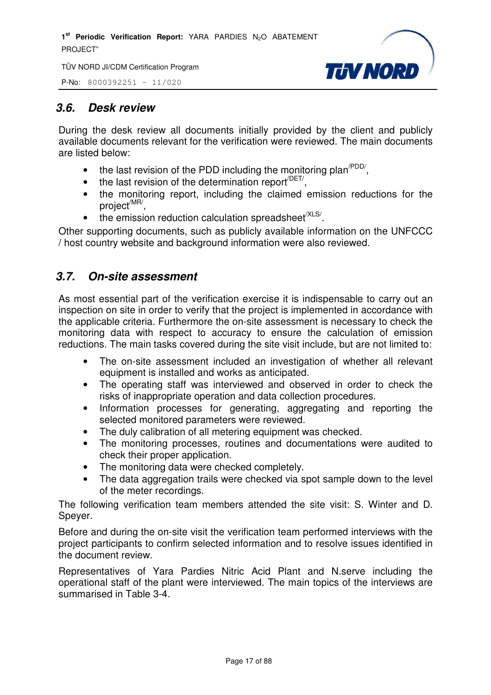P-No: 8000392251 – 11/020



#### *3.6. Desk review*

During the desk review all documents initially provided by the client and publicly available documents relevant for the verification were reviewed. The main documents are listed below:

- the last revision of the PDD including the monitoring plan<sup> $PDD/$ </sup>,
- $\bullet$  the last revision of the determination report<sup> $/$ DET/</sup>,
- the monitoring report, including the claimed emission reductions for the project<sup>/MR/</sup>,
- $\bullet$  the emission reduction calculation spreadsheet<sup>/XLS/</sup>.

Other supporting documents, such as publicly available information on the UNFCCC / host country website and background information were also reviewed.

#### *3.7. On-site assessment*

As most essential part of the verification exercise it is indispensable to carry out an inspection on site in order to verify that the project is implemented in accordance with the applicable criteria. Furthermore the on-site assessment is necessary to check the monitoring data with respect to accuracy to ensure the calculation of emission reductions. The main tasks covered during the site visit include, but are not limited to:

- The on-site assessment included an investigation of whether all relevant equipment is installed and works as anticipated.
- The operating staff was interviewed and observed in order to check the risks of inappropriate operation and data collection procedures.
- Information processes for generating, aggregating and reporting the selected monitored parameters were reviewed.
- The duly calibration of all metering equipment was checked.
- The monitoring processes, routines and documentations were audited to check their proper application.
- The monitoring data were checked completely.
- The data aggregation trails were checked via spot sample down to the level of the meter recordings.

The following verification team members attended the site visit: S. Winter and D. Speyer.

Before and during the on-site visit the verification team performed interviews with the project participants to confirm selected information and to resolve issues identified in the document review.

Representatives of Yara Pardies Nitric Acid Plant and N.serve including the operational staff of the plant were interviewed. The main topics of the interviews are summarised in Table 3-4.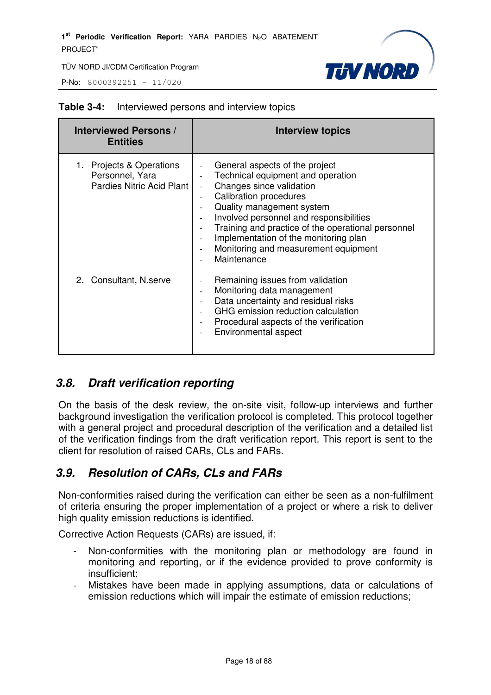P-No: 8000392251 – 11/020



| <b>Interviewed Persons /</b><br><b>Entities</b>                         | <b>Interview topics</b>                                                                                                                                                                                                                                                                                                                                        |
|-------------------------------------------------------------------------|----------------------------------------------------------------------------------------------------------------------------------------------------------------------------------------------------------------------------------------------------------------------------------------------------------------------------------------------------------------|
| Projects & Operations<br>Personnel, Yara<br>Pardies Nitric Acid Plant I | General aspects of the project<br>Technical equipment and operation<br>Changes since validation<br><b>Calibration procedures</b><br>Quality management system<br>Involved personnel and responsibilities<br>Training and practice of the operational personnel<br>Implementation of the monitoring plan<br>Monitoring and measurement equipment<br>Maintenance |
| 2. Consultant, N.serve                                                  | Remaining issues from validation<br>Monitoring data management<br>Data uncertainty and residual risks<br>GHG emission reduction calculation<br>Procedural aspects of the verification<br>Environmental aspect                                                                                                                                                  |

#### **Table 3-4:** Interviewed persons and interview topics

#### *3.8. Draft verification reporting*

On the basis of the desk review, the on-site visit, follow-up interviews and further background investigation the verification protocol is completed. This protocol together with a general project and procedural description of the verification and a detailed list of the verification findings from the draft verification report. This report is sent to the client for resolution of raised CARs, CLs and FARs.

#### *3.9. Resolution of CARs, CLs and FARs*

Non-conformities raised during the verification can either be seen as a non-fulfilment of criteria ensuring the proper implementation of a project or where a risk to deliver high quality emission reductions is identified.

Corrective Action Requests (CARs) are issued, if:

- Non-conformities with the monitoring plan or methodology are found in monitoring and reporting, or if the evidence provided to prove conformity is insufficient;
- Mistakes have been made in applying assumptions, data or calculations of emission reductions which will impair the estimate of emission reductions;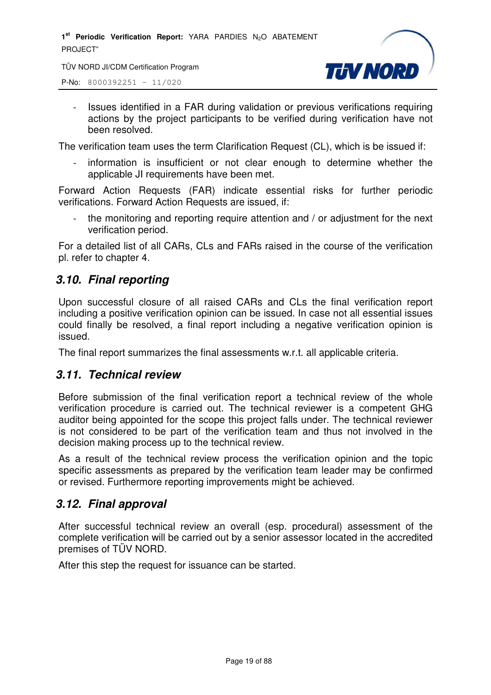1<sup>st</sup> Periodic Verification Report: YARA PARDIES N<sub>2</sub>O ABATEMENT PROJECT"

TÜV NORD JI/CDM Certification Program



P-No: 8000392251 – 11/020

- Issues identified in a FAR during validation or previous verifications requiring actions by the project participants to be verified during verification have not been resolved.

The verification team uses the term Clarification Request (CL), which is be issued if:

information is insufficient or not clear enough to determine whether the applicable JI requirements have been met.

Forward Action Requests (FAR) indicate essential risks for further periodic verifications. Forward Action Requests are issued, if:

the monitoring and reporting require attention and / or adjustment for the next verification period.

For a detailed list of all CARs, CLs and FARs raised in the course of the verification pl. refer to chapter 4.

#### *3.10. Final reporting*

Upon successful closure of all raised CARs and CLs the final verification report including a positive verification opinion can be issued. In case not all essential issues could finally be resolved, a final report including a negative verification opinion is issued.

The final report summarizes the final assessments w.r.t. all applicable criteria.

#### *3.11. Technical review*

Before submission of the final verification report a technical review of the whole verification procedure is carried out. The technical reviewer is a competent GHG auditor being appointed for the scope this project falls under. The technical reviewer is not considered to be part of the verification team and thus not involved in the decision making process up to the technical review.

As a result of the technical review process the verification opinion and the topic specific assessments as prepared by the verification team leader may be confirmed or revised. Furthermore reporting improvements might be achieved.

#### *3.12. Final approval*

After successful technical review an overall (esp. procedural) assessment of the complete verification will be carried out by a senior assessor located in the accredited premises of TÜV NORD.

After this step the request for issuance can be started.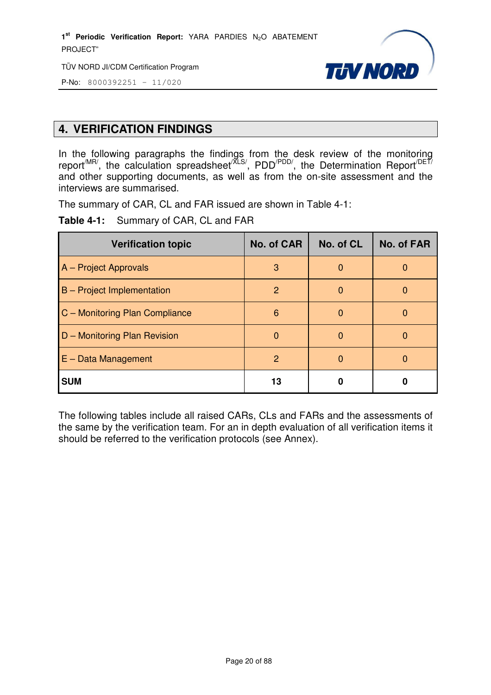1<sup>st</sup> Periodic Verification Report: YARA PARDIES N<sub>2</sub>O ABATEMENT PROJECT"

TÜV NORD JI/CDM Certification Program



P-No: 8000392251 – 11/020

#### **4. VERIFICATION FINDINGS**

In the following paragraphs the findings from the desk review of the monitoring report<sup>/MR/</sup>, the calculation spreadsheet<sup>/XLS/</sup>, PDD<sup>/PDD/</sup>, the Determination Report<sup>/DET/</sup> and other supporting documents, as well as from the on-site assessment and the interviews are summarised.

The summary of CAR, CL and FAR issued are shown in Table 4-1:

**Table 4-1:** Summary of CAR, CL and FAR

| <b>Verification topic</b>         | <b>No. of CAR</b> | No. of CL    | <b>No. of FAR</b> |
|-----------------------------------|-------------------|--------------|-------------------|
| A - Project Approvals             | 3                 | 0            |                   |
| <b>B</b> – Project Implementation | 2                 | <sup>0</sup> |                   |
| C - Monitoring Plan Compliance    | 6                 | O            |                   |
| D - Monitoring Plan Revision      | $\Omega$          | $\Omega$     |                   |
| $E - Data Management$             | $\overline{2}$    | O            |                   |
| <b>SUM</b>                        | 13                |              |                   |

The following tables include all raised CARs, CLs and FARs and the assessments of the same by the verification team. For an in depth evaluation of all verification items it should be referred to the verification protocols (see Annex).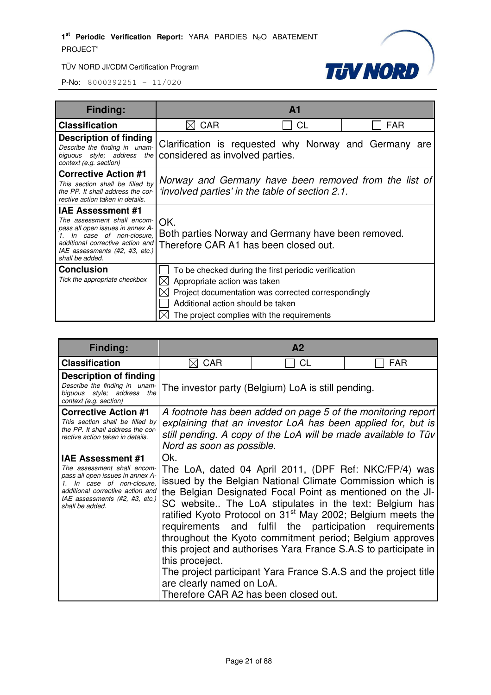



| <b>Finding:</b>                                                                                                                                                                                                 |                                                                                                          | A <sub>1</sub>                                                                                                                                            |            |  |  |
|-----------------------------------------------------------------------------------------------------------------------------------------------------------------------------------------------------------------|----------------------------------------------------------------------------------------------------------|-----------------------------------------------------------------------------------------------------------------------------------------------------------|------------|--|--|
| <b>Classification</b>                                                                                                                                                                                           | <b>CAR</b>                                                                                               | CL                                                                                                                                                        | <b>FAR</b> |  |  |
| Description of finding<br>Describe the finding in unam-<br>biguous style; address the<br>context (e.g. section)                                                                                                 | Clarification is requested why Norway and Germany are<br>considered as involved parties.                 |                                                                                                                                                           |            |  |  |
| <b>Corrective Action #1</b><br>This section shall be filled by<br>the PP. It shall address the cor-<br>rective action taken in details.                                                                         | Norway and Germany have been removed from the list of<br>'involved parties' in the table of section 2.1. |                                                                                                                                                           |            |  |  |
| <b>IAE Assessment #1</b><br>The assessment shall encom-<br>pass all open issues in annex A-<br>In case of non-closure.<br>additional corrective action and<br>IAE assessments (#2, #3, etc.)<br>shall be added. | OK.<br>Therefore CAR A1 has been closed out.                                                             | Both parties Norway and Germany have been removed.                                                                                                        |            |  |  |
| <b>Conclusion</b><br>Tick the appropriate checkbox                                                                                                                                                              | Appropriate action was taken<br>$\mathsf{ \mathsf{X} }$<br>Additional action should be taken             | To be checked during the first periodic verification<br>Project documentation was corrected correspondingly<br>The project complies with the requirements |            |  |  |

| Finding:                                                                                                                                                                                                           | A <sub>2</sub>                                                                               |                                                                                                                                                                                                                                                                                                                                                                                                                                                                                                                                                                                    |                                                                                                                              |  |  |
|--------------------------------------------------------------------------------------------------------------------------------------------------------------------------------------------------------------------|----------------------------------------------------------------------------------------------|------------------------------------------------------------------------------------------------------------------------------------------------------------------------------------------------------------------------------------------------------------------------------------------------------------------------------------------------------------------------------------------------------------------------------------------------------------------------------------------------------------------------------------------------------------------------------------|------------------------------------------------------------------------------------------------------------------------------|--|--|
| <b>Classification</b>                                                                                                                                                                                              | <b>CAR</b>                                                                                   | <b>CL</b>                                                                                                                                                                                                                                                                                                                                                                                                                                                                                                                                                                          | <b>FAR</b>                                                                                                                   |  |  |
| <b>Description of finding</b><br>Describe the finding in unam-<br>biguous style; address the<br>context (e.g. section)                                                                                             |                                                                                              | The investor party (Belgium) LoA is still pending.                                                                                                                                                                                                                                                                                                                                                                                                                                                                                                                                 |                                                                                                                              |  |  |
| <b>Corrective Action #1</b><br>This section shall be filled by<br>the PP. It shall address the cor-<br>rective action taken in details.                                                                            | Nord as soon as possible.                                                                    | still pending. A copy of the LoA will be made available to Tüv                                                                                                                                                                                                                                                                                                                                                                                                                                                                                                                     | A footnote has been added on page 5 of the monitoring report<br>explaining that an investor LoA has been applied for, but is |  |  |
| <b>IAE Assessment #1</b><br>The assessment shall encom-<br>pass all open issues in annex A-<br>1. In case of non-closure,<br>additional corrective action and<br>IAE assessments (#2, #3, etc.)<br>shall be added. | Ok.<br>this proceject.<br>are clearly named on LoA.<br>Therefore CAR A2 has been closed out. | The LoA, dated 04 April 2011, (DPF Ref: NKC/FP/4) was<br>issued by the Belgian National Climate Commission which is<br>the Belgian Designated Focal Point as mentioned on the JI-<br>SC website The LoA stipulates in the text: Belgium has<br>ratified Kyoto Protocol on 31 <sup>st</sup> May 2002; Belgium meets the<br>requirements and fulfil the participation requirements<br>throughout the Kyoto commitment period; Belgium approves<br>this project and authorises Yara France S.A.S to participate in<br>The project participant Yara France S.A.S and the project title |                                                                                                                              |  |  |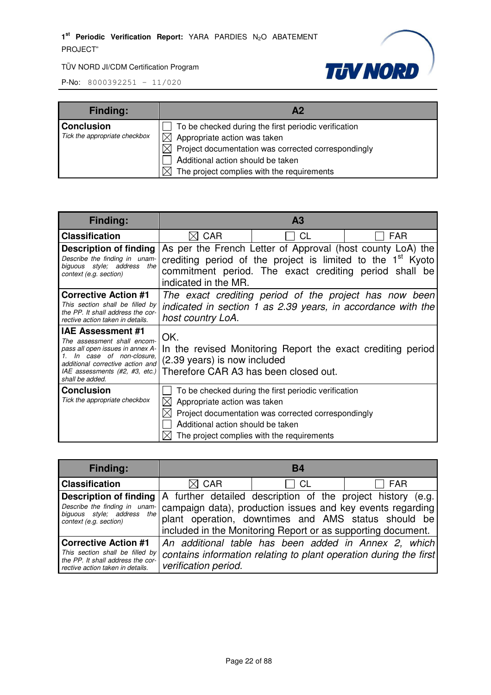

| <b>Finding:</b>               | А2                                                        |
|-------------------------------|-----------------------------------------------------------|
| <b>Conclusion</b>             | To be checked during the first periodic verification      |
| Tick the appropriate checkbox | $\boxtimes$ Appropriate action was taken                  |
|                               | Project documentation was corrected correspondingly<br>ΧI |
|                               | Additional action should be taken                         |
|                               | The project complies with the requirements                |

| Finding:                                                                                                                                                                                                          |                                                                              | A <sub>3</sub>                                                                                                                                                                                  |                                                        |
|-------------------------------------------------------------------------------------------------------------------------------------------------------------------------------------------------------------------|------------------------------------------------------------------------------|-------------------------------------------------------------------------------------------------------------------------------------------------------------------------------------------------|--------------------------------------------------------|
| <b>Classification</b>                                                                                                                                                                                             | <b>CAR</b>                                                                   | <b>CL</b>                                                                                                                                                                                       | <b>FAR</b>                                             |
| <b>Description of finding</b><br>Describe the finding in unam-<br>biguous style; address<br>the<br>context (e.g. section)                                                                                         | indicated in the MR.                                                         | As per the French Letter of Approval (host county LoA) the<br>crediting period of the project is limited to the 1 <sup>st</sup> Kyoto<br>commitment period. The exact crediting period shall be |                                                        |
| <b>Corrective Action #1</b><br>This section shall be filled by<br>the PP. It shall address the cor-<br>rective action taken in details.                                                                           | host country LoA.                                                            | indicated in section 1 as 2.39 years, in accordance with the                                                                                                                                    | The exact crediting period of the project has now been |
| <b>IAE Assessment #1</b><br>The assessment shall encom-<br>pass all open issues in annex A-<br>In case of non-closure.<br>additional corrective action and<br>$ AE$ assessments (#2, #3, etc.)<br>shall be added. | OK.<br>(2.39 years) is now included<br>Therefore CAR A3 has been closed out. | In the revised Monitoring Report the exact crediting period                                                                                                                                     |                                                        |
| <b>Conclusion</b><br>Tick the appropriate checkbox                                                                                                                                                                | Appropriate action was taken<br>Additional action should be taken            | To be checked during the first periodic verification<br>Project documentation was corrected correspondingly<br>The project complies with the requirements                                       |                                                        |

| <b>Finding:</b>                                                                                                                         | <b>B4</b>                                                                                                                                                                                                                                        |           |                                                                                                                           |
|-----------------------------------------------------------------------------------------------------------------------------------------|--------------------------------------------------------------------------------------------------------------------------------------------------------------------------------------------------------------------------------------------------|-----------|---------------------------------------------------------------------------------------------------------------------------|
| <b>Classification</b>                                                                                                                   | $\boxtimes$ CAR                                                                                                                                                                                                                                  | <b>CL</b> | <b>FAR</b>                                                                                                                |
| <b>Description of finding</b><br>Describe the finding in unam-<br>biguous style; address the<br>context (e.g. section)                  | A further detailed description of the project history (e.g.<br>campaign data), production issues and key events regarding<br>plant operation, downtimes and AMS status should be<br>included in the Monitoring Report or as supporting document. |           |                                                                                                                           |
| <b>Corrective Action #1</b><br>This section shall be filled by<br>the PP. It shall address the cor-<br>rective action taken in details. | verification period.                                                                                                                                                                                                                             |           | An additional table has been added in Annex 2, which<br>contains information relating to plant operation during the first |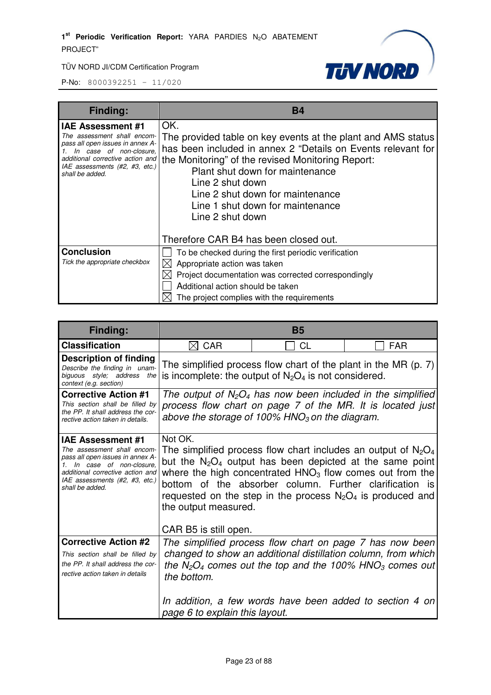

| <b>Finding:</b>                                                                                                                                                                                                    | Β4                                                                                                                                                                                                                                                                                                                                          |
|--------------------------------------------------------------------------------------------------------------------------------------------------------------------------------------------------------------------|---------------------------------------------------------------------------------------------------------------------------------------------------------------------------------------------------------------------------------------------------------------------------------------------------------------------------------------------|
| <b>IAE Assessment #1</b><br>The assessment shall encom-<br>pass all open issues in annex A-<br>1. In case of non-closure,<br>additional corrective action and<br>IAE assessments (#2, #3, etc.)<br>shall be added. | OK.<br>The provided table on key events at the plant and AMS status<br>has been included in annex 2 "Details on Events relevant for<br>the Monitoring" of the revised Monitoring Report:<br>Plant shut down for maintenance<br>Line 2 shut down<br>Line 2 shut down for maintenance<br>Line 1 shut down for maintenance<br>Line 2 shut down |
|                                                                                                                                                                                                                    | Therefore CAR B4 has been closed out.                                                                                                                                                                                                                                                                                                       |
| <b>Conclusion</b><br>Tick the appropriate checkbox                                                                                                                                                                 | To be checked during the first periodic verification<br>Appropriate action was taken<br>Project documentation was corrected correspondingly<br>Additional action should be taken<br>The project complies with the requirements                                                                                                              |

| <b>Finding:</b>                                                                                                                                                                                                    |                                                                        | B5                                                                                                                                                                                     |                                                                                                                                                                                                                                                                 |
|--------------------------------------------------------------------------------------------------------------------------------------------------------------------------------------------------------------------|------------------------------------------------------------------------|----------------------------------------------------------------------------------------------------------------------------------------------------------------------------------------|-----------------------------------------------------------------------------------------------------------------------------------------------------------------------------------------------------------------------------------------------------------------|
| <b>Classification</b>                                                                                                                                                                                              | $\boxtimes$ CAR                                                        | <b>CL</b>                                                                                                                                                                              | <b>FAR</b>                                                                                                                                                                                                                                                      |
| Description of finding<br>Describe the finding in unam-<br>biguous style; address the<br>context (e.g. section)                                                                                                    |                                                                        | The simplified process flow chart of the plant in the MR $(p. 7)$<br>is incomplete: the output of $N_2O_4$ is not considered.                                                          |                                                                                                                                                                                                                                                                 |
| <b>Corrective Action #1</b><br>This section shall be filled by<br>the PP. It shall address the cor-<br>rective action taken in details.                                                                            |                                                                        | above the storage of 100% $HNO3$ on the diagram.                                                                                                                                       | The output of $N_2O_4$ has now been included in the simplified<br>process flow chart on page 7 of the MR. It is located just                                                                                                                                    |
| <b>IAE Assessment #1</b><br>The assessment shall encom-<br>pass all open issues in annex A-<br>1. In case of non-closure.<br>additional corrective action and<br>IAE assessments (#2, #3, etc.)<br>shall be added. | Not OK.<br>the output measured.                                        | where the high concentrated $HNO3$ flow comes out from the<br>bottom of the absorber column. Further clarification is<br>requested on the step in the process $N_2O_4$ is produced and | The simplified process flow chart includes an output of $N_2O_4$<br>but the $N_2O_4$ output has been depicted at the same point                                                                                                                                 |
| <b>Corrective Action #2</b><br>This section shall be filled by<br>the PP. It shall address the cor-<br>rective action taken in details                                                                             | CAR B5 is still open.<br>the bottom.<br>page 6 to explain this layout. |                                                                                                                                                                                        | The simplified process flow chart on page 7 has now been<br>changed to show an additional distillation column, from which<br>the $N_2O_4$ comes out the top and the 100% HNO <sub>3</sub> comes out<br>In addition, a few words have been added to section 4 on |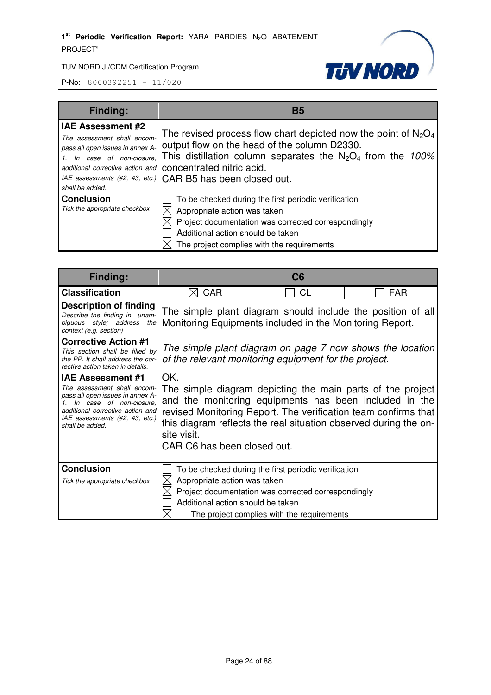

| <b>Finding:</b>                                                                                                                              | B5                                                                                                                                                                                                                                                                                                                 |
|----------------------------------------------------------------------------------------------------------------------------------------------|--------------------------------------------------------------------------------------------------------------------------------------------------------------------------------------------------------------------------------------------------------------------------------------------------------------------|
| <b>IAE Assessment #2</b><br>The assessment shall encom-<br>pass all open issues in annex A-<br>1. In case of non-closure.<br>shall be added. | The revised process flow chart depicted now the point of $N_2O_4$<br>output flow on the head of the column D2330.<br>This distillation column separates the $N_2O_4$ from the 100%<br>additional corrective action and   concentrated nitric acid.<br>IAE assessments (#2, #3, etc.)   CAR B5 has been closed out. |
| <b>Conclusion</b><br>Tick the appropriate checkbox                                                                                           | To be checked during the first periodic verification<br>Appropriate action was taken<br>Project documentation was corrected correspondingly<br>Additional action should be taken<br>The project complies with the requirements                                                                                     |

| Finding:                                                                                                                                                                                                        |                                                                   | C6                                                                                                                                                                                                                                                         |            |
|-----------------------------------------------------------------------------------------------------------------------------------------------------------------------------------------------------------------|-------------------------------------------------------------------|------------------------------------------------------------------------------------------------------------------------------------------------------------------------------------------------------------------------------------------------------------|------------|
| <b>Classification</b>                                                                                                                                                                                           | <b>CAR</b><br>⋉                                                   | CL                                                                                                                                                                                                                                                         | <b>FAR</b> |
| <b>Description of finding</b><br>Describe the finding in unam-<br>biguous style; address the<br>context (e.g. section)                                                                                          |                                                                   | The simple plant diagram should include the position of all<br>Monitoring Equipments included in the Monitoring Report.                                                                                                                                    |            |
| <b>Corrective Action #1</b><br>This section shall be filled by<br>the PP. It shall address the cor-<br>rective action taken in details.                                                                         |                                                                   | The simple plant diagram on page 7 now shows the location<br>of the relevant monitoring equipment for the project.                                                                                                                                         |            |
| <b>IAE Assessment #1</b><br>The assessment shall encom-<br>pass all open issues in annex A-<br>In case of non-closure.<br>additional corrective action and<br>IAE assessments (#2, #3, etc.)<br>shall be added. | OK.<br>site visit.<br>CAR C6 has been closed out.                 | The simple diagram depicting the main parts of the project<br>and the monitoring equipments has been included in the<br>revised Monitoring Report. The verification team confirms that<br>this diagram reflects the real situation observed during the on- |            |
| <b>Conclusion</b><br>Tick the appropriate checkbox                                                                                                                                                              | Appropriate action was taken<br>Additional action should be taken | To be checked during the first periodic verification<br>Project documentation was corrected correspondingly<br>The project complies with the requirements                                                                                                  |            |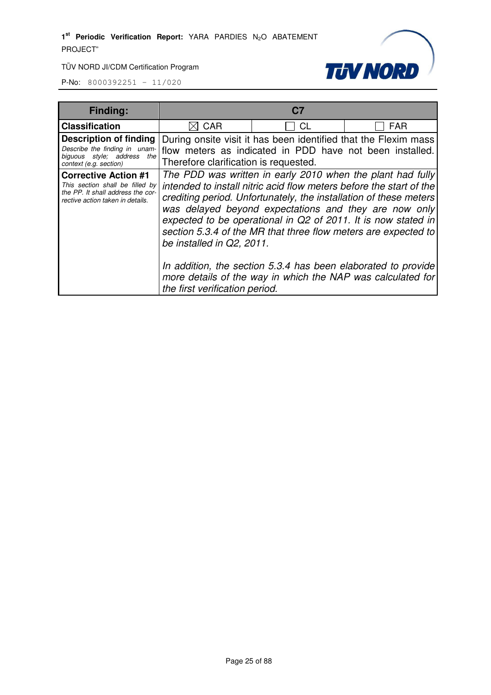



| <b>Finding:</b>                                                                                                                         |                                                                                                                                                                                                                                                                                                                                                                                                                                 | C7                                                                                                                          |                                                                                                                              |
|-----------------------------------------------------------------------------------------------------------------------------------------|---------------------------------------------------------------------------------------------------------------------------------------------------------------------------------------------------------------------------------------------------------------------------------------------------------------------------------------------------------------------------------------------------------------------------------|-----------------------------------------------------------------------------------------------------------------------------|------------------------------------------------------------------------------------------------------------------------------|
| <b>Classification</b>                                                                                                                   | CAR                                                                                                                                                                                                                                                                                                                                                                                                                             | СL                                                                                                                          | <b>FAR</b>                                                                                                                   |
| <b>Description of finding</b><br>Describe the finding in unam-<br>biguous style; address<br>the<br>context (e.g. section)               | Therefore clarification is requested.                                                                                                                                                                                                                                                                                                                                                                                           | During onsite visit it has been identified that the Flexim mass<br>flow meters as indicated in PDD have not been installed. |                                                                                                                              |
| <b>Corrective Action #1</b><br>This section shall be filled by<br>the PP. It shall address the cor-<br>rective action taken in details. | The PDD was written in early 2010 when the plant had fully<br>intended to install nitric acid flow meters before the start of the<br>crediting period. Unfortunately, the installation of these meters<br>was delayed beyond expectations and they are now only<br>expected to be operational in Q2 of 2011. It is now stated in<br>section 5.3.4 of the MR that three flow meters are expected to<br>be installed in Q2, 2011. |                                                                                                                             |                                                                                                                              |
|                                                                                                                                         | the first verification period.                                                                                                                                                                                                                                                                                                                                                                                                  |                                                                                                                             | In addition, the section 5.3.4 has been elaborated to provide<br>more details of the way in which the NAP was calculated for |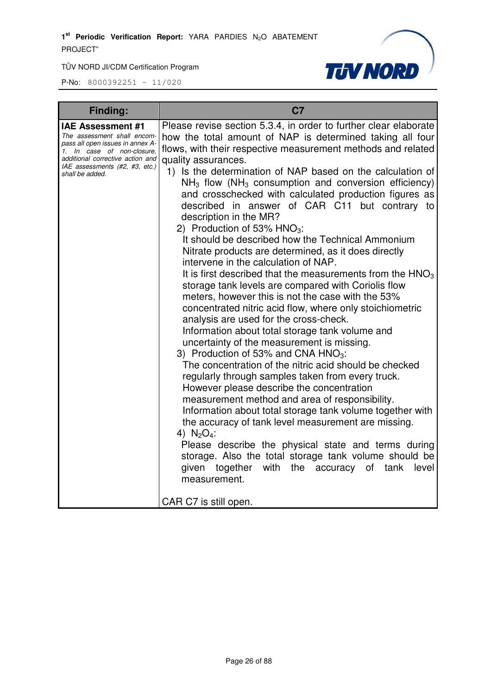

| <b>Finding:</b>                                                                                                                                                                                                    | C <sub>7</sub>                                                                                                                                                                                                                                                                                                                                                                                                                                                                                                                                                                                                                                                                                                                                                                                                                                                                                                                                                                                                                                                                                                                                                                                                                                                                                                                                                                                                                                                                                                                                                                                                                                                                            |
|--------------------------------------------------------------------------------------------------------------------------------------------------------------------------------------------------------------------|-------------------------------------------------------------------------------------------------------------------------------------------------------------------------------------------------------------------------------------------------------------------------------------------------------------------------------------------------------------------------------------------------------------------------------------------------------------------------------------------------------------------------------------------------------------------------------------------------------------------------------------------------------------------------------------------------------------------------------------------------------------------------------------------------------------------------------------------------------------------------------------------------------------------------------------------------------------------------------------------------------------------------------------------------------------------------------------------------------------------------------------------------------------------------------------------------------------------------------------------------------------------------------------------------------------------------------------------------------------------------------------------------------------------------------------------------------------------------------------------------------------------------------------------------------------------------------------------------------------------------------------------------------------------------------------------|
| <b>IAE Assessment #1</b><br>The assessment shall encom-<br>pass all open issues in annex A-<br>1. In case of non-closure,<br>additional corrective action and<br>IAE assessments (#2, #3, etc.)<br>shall be added. | Please revise section 5.3.4, in order to further clear elaborate<br>how the total amount of NAP is determined taking all four<br>flows, with their respective measurement methods and related<br>quality assurances.<br>1) Is the determination of NAP based on the calculation of<br>$NH3$ flow (NH <sub>3</sub> consumption and conversion efficiency)<br>and crosschecked with calculated production figures as<br>described in answer of CAR C11 but contrary to<br>description in the MR?<br>2) Production of 53% $HNO3$ :<br>It should be described how the Technical Ammonium<br>Nitrate products are determined, as it does directly<br>intervene in the calculation of NAP.<br>It is first described that the measurements from the $HNO3$<br>storage tank levels are compared with Coriolis flow<br>meters, however this is not the case with the 53%<br>concentrated nitric acid flow, where only stoichiometric<br>analysis are used for the cross-check.<br>Information about total storage tank volume and<br>uncertainty of the measurement is missing.<br>3) Production of 53% and CNA $HNO3$ :<br>The concentration of the nitric acid should be checked<br>regularly through samples taken from every truck.<br>However please describe the concentration<br>measurement method and area of responsibility.<br>Information about total storage tank volume together with<br>the accuracy of tank level measurement are missing.<br>4) $N_2O_4$ :<br>Please describe the physical state and terms during<br>storage. Also the total storage tank volume should be<br>together with<br>the<br>given<br>accuracy of tank<br>level<br>measurement.<br>CAR C7 is still open. |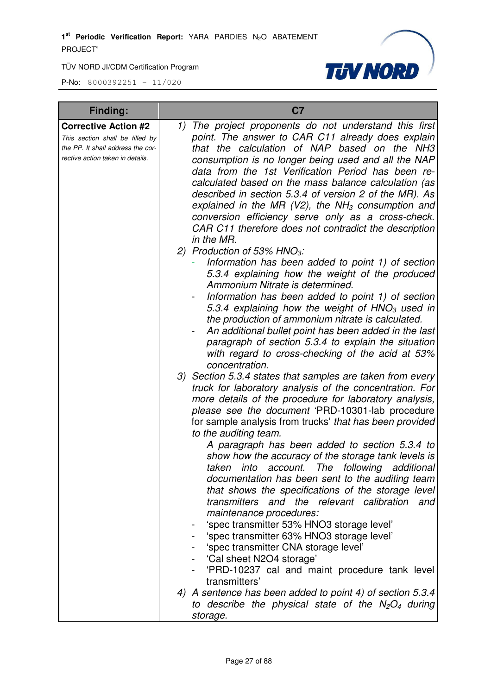

| <b>Finding:</b>                                                                                                                         | C <sub>7</sub>                                                                                                                                                                                                                                                                                                                                                                                                                                                                                                                                                                                                                                                                                                                                                                                                                                                                                                                                                                                                                                                                                                                                                                                                                                                                                                                                                                                                                                                                                                                                                                                                                        |
|-----------------------------------------------------------------------------------------------------------------------------------------|---------------------------------------------------------------------------------------------------------------------------------------------------------------------------------------------------------------------------------------------------------------------------------------------------------------------------------------------------------------------------------------------------------------------------------------------------------------------------------------------------------------------------------------------------------------------------------------------------------------------------------------------------------------------------------------------------------------------------------------------------------------------------------------------------------------------------------------------------------------------------------------------------------------------------------------------------------------------------------------------------------------------------------------------------------------------------------------------------------------------------------------------------------------------------------------------------------------------------------------------------------------------------------------------------------------------------------------------------------------------------------------------------------------------------------------------------------------------------------------------------------------------------------------------------------------------------------------------------------------------------------------|
| <b>Corrective Action #2</b><br>This section shall be filled by<br>the PP. It shall address the cor-<br>rective action taken in details. | The project proponents do not understand this first<br>1)<br>point. The answer to CAR C11 already does explain<br>that the calculation of NAP based on the NH3<br>consumption is no longer being used and all the NAP<br>data from the 1st Verification Period has been re-<br>calculated based on the mass balance calculation (as<br>described in section 5.3.4 of version 2 of the MR). As<br>explained in the MR (V2), the NH <sub>3</sub> consumption and<br>conversion efficiency serve only as a cross-check.<br>CAR C11 therefore does not contradict the description<br>in the MR.<br>2) Production of 53% $HNO3$ :<br>Information has been added to point 1) of section<br>5.3.4 explaining how the weight of the produced<br>Ammonium Nitrate is determined.<br>Information has been added to point 1) of section<br>5.3.4 explaining how the weight of HNO <sub>3</sub> used in<br>the production of ammonium nitrate is calculated.<br>An additional bullet point has been added in the last<br>paragraph of section 5.3.4 to explain the situation<br>with regard to cross-checking of the acid at 53%<br>concentration.<br>3) Section 5.3.4 states that samples are taken from every<br>truck for laboratory analysis of the concentration. For<br>more details of the procedure for laboratory analysis,<br>please see the document 'PRD-10301-lab procedure<br>for sample analysis from trucks' that has been provided<br>to the auditing team.<br>A paragraph has been added to section 5.3.4 to<br>show how the accuracy of the storage tank levels is<br>The<br>following<br>taken<br>additional<br>into account. |
|                                                                                                                                         | documentation has been sent to the auditing team<br>that shows the specifications of the storage level<br>transmitters and the relevant calibration<br>and<br>maintenance procedures:                                                                                                                                                                                                                                                                                                                                                                                                                                                                                                                                                                                                                                                                                                                                                                                                                                                                                                                                                                                                                                                                                                                                                                                                                                                                                                                                                                                                                                                 |
|                                                                                                                                         | 'spec transmitter 53% HNO3 storage level'<br>'spec transmitter 63% HNO3 storage level'<br>'spec transmitter CNA storage level'<br>'Cal sheet N2O4 storage'<br>'PRD-10237 cal and maint procedure tank level                                                                                                                                                                                                                                                                                                                                                                                                                                                                                                                                                                                                                                                                                                                                                                                                                                                                                                                                                                                                                                                                                                                                                                                                                                                                                                                                                                                                                           |
|                                                                                                                                         | transmitters'<br>4) A sentence has been added to point 4) of section 5.3.4<br>to describe the physical state of the $N_2O_4$ during<br>storage.                                                                                                                                                                                                                                                                                                                                                                                                                                                                                                                                                                                                                                                                                                                                                                                                                                                                                                                                                                                                                                                                                                                                                                                                                                                                                                                                                                                                                                                                                       |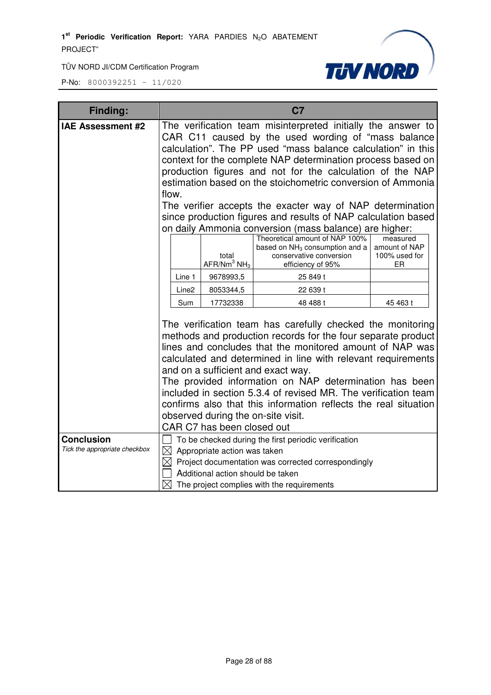

| <b>Finding:</b>               |                                                                                                                                                                                                                                                                                                                                                                                                                                                                                                                                                                                 |                                              | C <sub>7</sub>                                                                                                               |                                                  |
|-------------------------------|---------------------------------------------------------------------------------------------------------------------------------------------------------------------------------------------------------------------------------------------------------------------------------------------------------------------------------------------------------------------------------------------------------------------------------------------------------------------------------------------------------------------------------------------------------------------------------|----------------------------------------------|------------------------------------------------------------------------------------------------------------------------------|--------------------------------------------------|
| IAE Assessment #2             | The verification team misinterpreted initially the answer to<br>CAR C11 caused by the used wording of "mass balance<br>calculation". The PP used "mass balance calculation" in this<br>context for the complete NAP determination process based on<br>production figures and not for the calculation of the NAP<br>estimation based on the stoichometric conversion of Ammonia<br>flow.<br>The verifier accepts the exacter way of NAP determination<br>since production figures and results of NAP calculation based<br>on daily Ammonia conversion (mass balance) are higher: |                                              |                                                                                                                              |                                                  |
|                               |                                                                                                                                                                                                                                                                                                                                                                                                                                                                                                                                                                                 | total<br>AFR/Nm <sup>3</sup> NH <sub>3</sub> | Theoretical amount of NAP 100%<br>based on NH <sub>3</sub> consumption and a<br>conservative conversion<br>efficiency of 95% | measured<br>amount of NAP<br>100% used for<br>ER |
|                               | Line 1                                                                                                                                                                                                                                                                                                                                                                                                                                                                                                                                                                          | 9678993,5                                    | 25 849 t                                                                                                                     |                                                  |
|                               | Line <sub>2</sub>                                                                                                                                                                                                                                                                                                                                                                                                                                                                                                                                                               | 8053344,5                                    | 22 639 t                                                                                                                     |                                                  |
|                               | 17732338<br>48 488 t<br>45 463 t<br>Sum                                                                                                                                                                                                                                                                                                                                                                                                                                                                                                                                         |                                              |                                                                                                                              |                                                  |
|                               | The verification team has carefully checked the monitoring<br>methods and production records for the four separate product<br>lines and concludes that the monitored amount of NAP was<br>calculated and determined in line with relevant requirements<br>and on a sufficient and exact way.<br>The provided information on NAP determination has been<br>included in section 5.3.4 of revised MR. The verification team<br>confirms also that this information reflects the real situation<br>observed during the on-site visit.<br>CAR C7 has been closed out                 |                                              |                                                                                                                              |                                                  |
| <b>Conclusion</b>             |                                                                                                                                                                                                                                                                                                                                                                                                                                                                                                                                                                                 |                                              | To be checked during the first periodic verification                                                                         |                                                  |
| Tick the appropriate checkbox | $\boxtimes$ Appropriate action was taken<br>$\boxtimes$ Project documentation was corrected correspondingly<br>Additional action should be taken                                                                                                                                                                                                                                                                                                                                                                                                                                |                                              |                                                                                                                              |                                                  |
|                               | $\boxtimes$                                                                                                                                                                                                                                                                                                                                                                                                                                                                                                                                                                     |                                              | The project complies with the requirements                                                                                   |                                                  |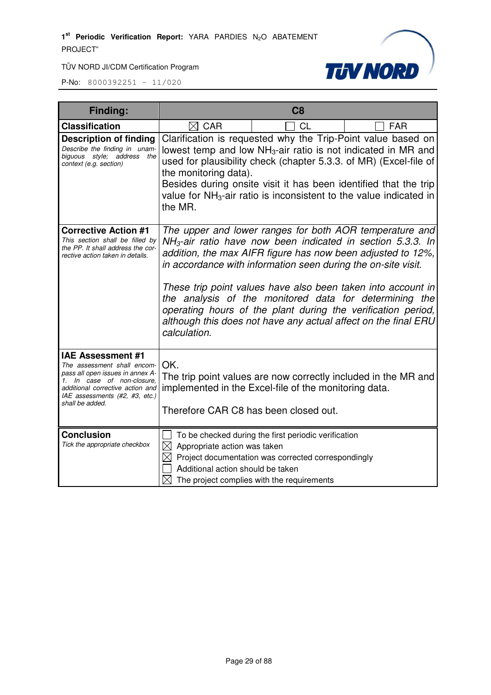

| <b>Finding:</b>                                                                                                                                                                                                    | C <sub>8</sub>                                                                                |                                                                                                                                                                                                                                                                                                                                                                                           |                                                                                                                                   |
|--------------------------------------------------------------------------------------------------------------------------------------------------------------------------------------------------------------------|-----------------------------------------------------------------------------------------------|-------------------------------------------------------------------------------------------------------------------------------------------------------------------------------------------------------------------------------------------------------------------------------------------------------------------------------------------------------------------------------------------|-----------------------------------------------------------------------------------------------------------------------------------|
| <b>Classification</b>                                                                                                                                                                                              | $\boxtimes$ CAR                                                                               | <b>CL</b>                                                                                                                                                                                                                                                                                                                                                                                 | <b>FAR</b>                                                                                                                        |
| <b>Description of finding</b><br>Describe the finding in unam-<br>biguous style; address<br>the<br>context (e.g. section)                                                                                          | the monitoring data).<br>the MR.                                                              | lowest temp and low NH <sub>3</sub> -air ratio is not indicated in MR and<br>Besides during onsite visit it has been identified that the trip<br>value for $NH3$ -air ratio is inconsistent to the value indicated in                                                                                                                                                                     | Clarification is requested why the Trip-Point value based on<br>used for plausibility check (chapter 5.3.3. of MR) (Excel-file of |
| <b>Corrective Action #1</b><br>This section shall be filled by<br>the PP. It shall address the cor-<br>rective action taken in details.                                                                            | calculation.                                                                                  | $NH3$ -air ratio have now been indicated in section 5.3.3. In<br>addition, the max AIFR figure has now been adjusted to 12%,<br>in accordance with information seen during the on-site visit.<br>These trip point values have also been taken into account in<br>the analysis of the monitored data for determining the<br>although this does not have any actual affect on the final ERU | The upper and lower ranges for both AOR temperature and<br>operating hours of the plant during the verification period,           |
| <b>IAE Assessment #1</b><br>The assessment shall encom-<br>pass all open issues in annex A-<br>1. In case of non-closure,<br>additional corrective action and<br>IAE assessments (#2, #3, etc.)<br>shall be added. | OK.<br>Therefore CAR C8 has been closed out.                                                  | The trip point values are now correctly included in the MR and<br>implemented in the Excel-file of the monitoring data.                                                                                                                                                                                                                                                                   |                                                                                                                                   |
| <b>Conclusion</b><br>Tick the appropriate checkbox                                                                                                                                                                 | $\boxtimes$<br>Appropriate action was taken<br>$\bowtie$<br>Additional action should be taken | To be checked during the first periodic verification<br>Project documentation was corrected correspondingly<br>The project complies with the requirements                                                                                                                                                                                                                                 |                                                                                                                                   |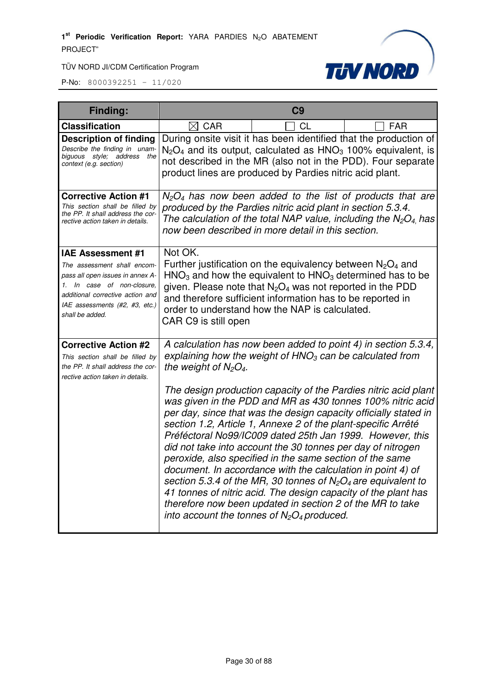

| Finding:                                                                                                                                                                                                           |                                 | C <sub>9</sub>                                                                                                                                                                                                                                                                                                                                                                                                                                                                                                                                                                                                                                                                                                                                                                                                                                                                                                |                                                                    |
|--------------------------------------------------------------------------------------------------------------------------------------------------------------------------------------------------------------------|---------------------------------|---------------------------------------------------------------------------------------------------------------------------------------------------------------------------------------------------------------------------------------------------------------------------------------------------------------------------------------------------------------------------------------------------------------------------------------------------------------------------------------------------------------------------------------------------------------------------------------------------------------------------------------------------------------------------------------------------------------------------------------------------------------------------------------------------------------------------------------------------------------------------------------------------------------|--------------------------------------------------------------------|
| <b>Classification</b>                                                                                                                                                                                              | $\boxtimes$ CAR                 | <b>CL</b>                                                                                                                                                                                                                                                                                                                                                                                                                                                                                                                                                                                                                                                                                                                                                                                                                                                                                                     | <b>FAR</b>                                                         |
| <b>Description of finding</b><br>Describe the finding in unam-<br>biguous style; address the<br>context (e.g. section)                                                                                             |                                 | During onsite visit it has been identified that the production of<br>$N_2O_4$ and its output, calculated as $HNO_3$ 100% equivalent, is<br>not described in the MR (also not in the PDD). Four separate<br>product lines are produced by Pardies nitric acid plant.                                                                                                                                                                                                                                                                                                                                                                                                                                                                                                                                                                                                                                           |                                                                    |
| <b>Corrective Action #1</b><br>This section shall be filled by<br>the PP. It shall address the cor-<br>rective action taken in details.                                                                            |                                 | $N_2O_4$ has now been added to the list of products that are<br>produced by the Pardies nitric acid plant in section 5.3.4.<br>now been described in more detail in this section.                                                                                                                                                                                                                                                                                                                                                                                                                                                                                                                                                                                                                                                                                                                             | The calculation of the total NAP value, including the $N_2O_4$ has |
| <b>IAE Assessment #1</b><br>The assessment shall encom-<br>pass all open issues in annex A-<br>1. In case of non-closure,<br>additional corrective action and<br>IAE assessments (#2, #3, etc.)<br>shall be added. | Not OK.<br>CAR C9 is still open | Further justification on the equivalency between $N_2O_4$ and<br>$HNO3$ and how the equivalent to $HNO3$ determined has to be<br>given. Please note that $N_2O_4$ was not reported in the PDD<br>and therefore sufficient information has to be reported in<br>order to understand how the NAP is calculated.                                                                                                                                                                                                                                                                                                                                                                                                                                                                                                                                                                                                 |                                                                    |
| <b>Corrective Action #2</b><br>This section shall be filled by<br>the PP. It shall address the cor-<br>rective action taken in details.                                                                            | the weight of $N_2O_4$ .        | A calculation has now been added to point 4) in section 5.3.4,<br>explaining how the weight of $HNO3$ can be calculated from<br>The design production capacity of the Pardies nitric acid plant<br>was given in the PDD and MR as 430 tonnes 100% nitric acid<br>per day, since that was the design capacity officially stated in<br>section 1.2, Article 1, Annexe 2 of the plant-specific Arrêté<br>Préféctoral No99/IC009 dated 25th Jan 1999. However, this<br>did not take into account the 30 tonnes per day of nitrogen<br>peroxide, also specified in the same section of the same<br>document. In accordance with the calculation in point 4) of<br>section 5.3.4 of the MR, 30 tonnes of $N_2O_4$ are equivalent to<br>41 tonnes of nitric acid. The design capacity of the plant has<br>therefore now been updated in section 2 of the MR to take<br>into account the tonnes of $N_2O_4$ produced. |                                                                    |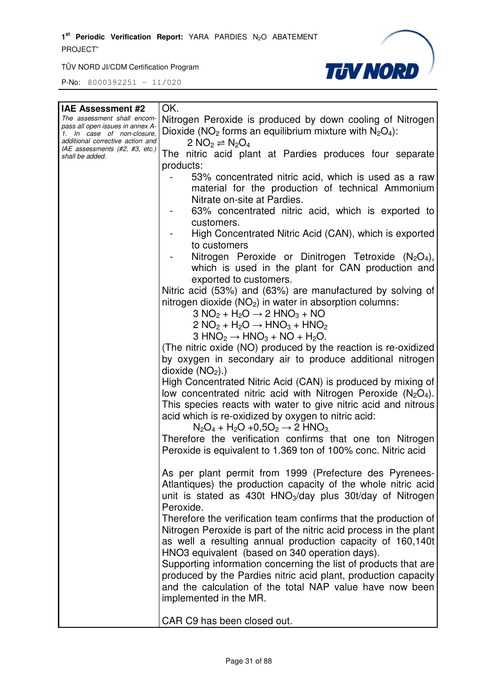1<sup>st</sup> Periodic Verification Report: YARA PARDIES N<sub>2</sub>O ABATEMENT PROJECT"

TÜV NORD JI/CDM Certification Program



| <b>IAE Assessment #2</b>                                       | OK.                                                                         |
|----------------------------------------------------------------|-----------------------------------------------------------------------------|
| The assessment shall encom-                                    | Nitrogen Peroxide is produced by down cooling of Nitrogen                   |
| pass all open issues in annex A-<br>1. In case of non-closure, | Dioxide ( $NO2$ forms an equilibrium mixture with $N2O4$ ):                 |
| additional corrective action and                               | 2 NO <sub>2</sub> $\rightleftharpoons$ N <sub>2</sub> O <sub>4</sub>        |
| IAE assessments (#2, #3, etc.)                                 |                                                                             |
| shall be added.                                                | The nitric acid plant at Pardies produces four separate                     |
|                                                                | products:                                                                   |
|                                                                | 53% concentrated nitric acid, which is used as a raw                        |
|                                                                | material for the production of technical Ammonium                           |
|                                                                |                                                                             |
|                                                                | Nitrate on-site at Pardies.                                                 |
|                                                                | 63% concentrated nitric acid, which is exported to                          |
|                                                                | customers.                                                                  |
|                                                                | High Concentrated Nitric Acid (CAN), which is exported                      |
|                                                                |                                                                             |
|                                                                | to customers                                                                |
|                                                                | Nitrogen Peroxide or Dinitrogen Tetroxide (N <sub>2</sub> O <sub>4</sub> ), |
|                                                                | which is used in the plant for CAN production and                           |
|                                                                | exported to customers.                                                      |
|                                                                | Nitric acid (53%) and (63%) are manufactured by solving of                  |
|                                                                |                                                                             |
|                                                                | nitrogen dioxide ( $NO2$ ) in water in absorption columns:                  |
|                                                                | $3 NO2 + H2O \rightarrow 2 HNO3 + NO$                                       |
|                                                                | $2 NO2 + H2O \rightarrow HNO3 + HNO2$                                       |
|                                                                | $3 HNO2 \rightarrow HNO3 + NO + H2O.$                                       |
|                                                                | (The nitric oxide (NO) produced by the reaction is re-oxidized              |
|                                                                |                                                                             |
|                                                                | by oxygen in secondary air to produce additional nitrogen                   |
|                                                                | dioxide $(NO2)$ .)                                                          |
|                                                                | High Concentrated Nitric Acid (CAN) is produced by mixing of                |
|                                                                | low concentrated nitric acid with Nitrogen Peroxide ( $N_2O_4$ ).           |
|                                                                | This species reacts with water to give nitric acid and nitrous              |
|                                                                |                                                                             |
|                                                                | acid which is re-oxidized by oxygen to nitric acid:                         |
|                                                                | $N_2O_4 + H_2O + 0.5O_2 \rightarrow 2$ HNO <sub>3.</sub>                    |
|                                                                | Therefore the verification confirms that one ton Nitrogen                   |
|                                                                | Peroxide is equivalent to 1.369 ton of 100% conc. Nitric acid               |
|                                                                |                                                                             |
|                                                                |                                                                             |
|                                                                | As per plant permit from 1999 (Prefecture des Pyrenees-                     |
|                                                                | Atlantiques) the production capacity of the whole nitric acid               |
|                                                                | unit is stated as 430t $HNO3/day$ plus 30t/day of Nitrogen                  |
|                                                                | Peroxide.                                                                   |
|                                                                | Therefore the verification team confirms that the production of             |
|                                                                |                                                                             |
|                                                                | Nitrogen Peroxide is part of the nitric acid process in the plant           |
|                                                                | as well a resulting annual production capacity of 160,140t                  |
|                                                                | HNO3 equivalent (based on 340 operation days).                              |
|                                                                | Supporting information concerning the list of products that are             |
|                                                                |                                                                             |
|                                                                | produced by the Pardies nitric acid plant, production capacity              |
|                                                                | and the calculation of the total NAP value have now been                    |
|                                                                | implemented in the MR.                                                      |
|                                                                |                                                                             |
|                                                                | CAR C9 has been closed out.                                                 |
|                                                                |                                                                             |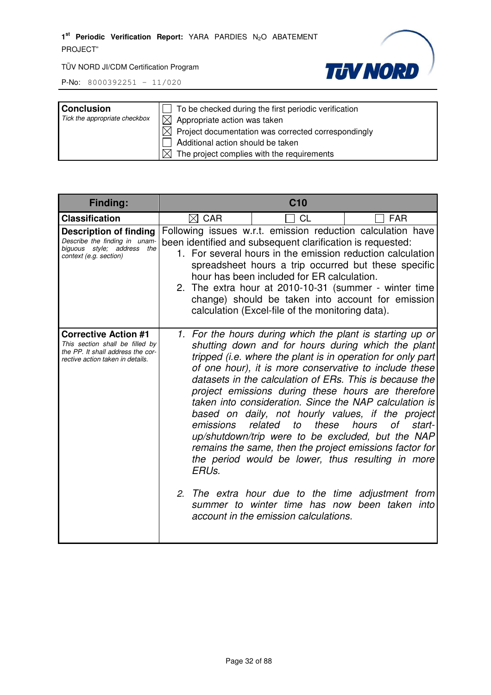

| <b>Conclusion</b><br>Tick the appropriate checkbox | $\Box$ To be checked during the first periodic verification<br>$\boxtimes$ Appropriate action was taken<br>$\boxtimes$ Project documentation was corrected correspondingly<br>Additional action should be taken |
|----------------------------------------------------|-----------------------------------------------------------------------------------------------------------------------------------------------------------------------------------------------------------------|
|                                                    | $\boxtimes$ The project complies with the requirements                                                                                                                                                          |

| Finding:                                                                                                                                | C <sub>10</sub>                                                                                                                                                                                                                                                                                                                                                                                                                                                                                                                                                                                                                                                                                                                                             |                                                                                                                                                                                                                                                                                                                                                                                                                                                                 |              |
|-----------------------------------------------------------------------------------------------------------------------------------------|-------------------------------------------------------------------------------------------------------------------------------------------------------------------------------------------------------------------------------------------------------------------------------------------------------------------------------------------------------------------------------------------------------------------------------------------------------------------------------------------------------------------------------------------------------------------------------------------------------------------------------------------------------------------------------------------------------------------------------------------------------------|-----------------------------------------------------------------------------------------------------------------------------------------------------------------------------------------------------------------------------------------------------------------------------------------------------------------------------------------------------------------------------------------------------------------------------------------------------------------|--------------|
| <b>Classification</b>                                                                                                                   | $\boxtimes$ CAR                                                                                                                                                                                                                                                                                                                                                                                                                                                                                                                                                                                                                                                                                                                                             | CL                                                                                                                                                                                                                                                                                                                                                                                                                                                              | <b>FAR</b>   |
| <b>Description of finding</b><br>Describe the finding in unam-<br>biguous style; address the<br>context (e.g. section)                  |                                                                                                                                                                                                                                                                                                                                                                                                                                                                                                                                                                                                                                                                                                                                                             | Following issues w.r.t. emission reduction calculation have<br>been identified and subsequent clarification is requested:<br>1. For several hours in the emission reduction calculation<br>spreadsheet hours a trip occurred but these specific<br>hour has been included for ER calculation.<br>2. The extra hour at 2010-10-31 (summer - winter time<br>change) should be taken into account for emission<br>calculation (Excel-file of the monitoring data). |              |
| <b>Corrective Action #1</b><br>This section shall be filled by<br>the PP. It shall address the cor-<br>rective action taken in details. | 1. For the hours during which the plant is starting up or<br>shutting down and for hours during which the plant<br>tripped (i.e. where the plant is in operation for only part<br>of one hour), it is more conservative to include these<br>datasets in the calculation of ERs. This is because the<br>project emissions during these hours are therefore<br>taken into consideration. Since the NAP calculation is<br>based on daily, not hourly values, if the project<br>related<br>to<br>these<br>hours<br>emissions<br>up/shutdown/trip were to be excluded, but the NAP<br>remains the same, then the project emissions factor for<br>the period would be lower, thus resulting in more<br>ERUs.<br>2. The extra hour due to the time adjustment from |                                                                                                                                                                                                                                                                                                                                                                                                                                                                 | of<br>start- |
|                                                                                                                                         |                                                                                                                                                                                                                                                                                                                                                                                                                                                                                                                                                                                                                                                                                                                                                             | summer to winter time has now been taken into<br>account in the emission calculations.                                                                                                                                                                                                                                                                                                                                                                          |              |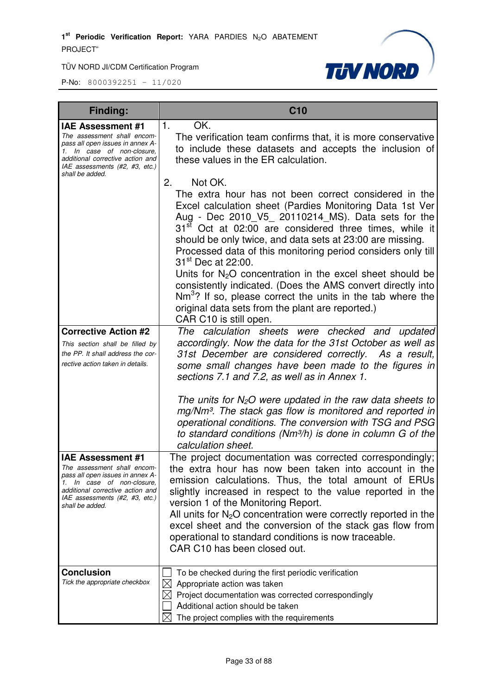

| <b>Finding:</b>                                                                                                                                                                                                    | <b>C10</b>                                                                                                                                                                                                                                                                                                                                                                                                                                                                                                                                                                                                                                                                                                          |
|--------------------------------------------------------------------------------------------------------------------------------------------------------------------------------------------------------------------|---------------------------------------------------------------------------------------------------------------------------------------------------------------------------------------------------------------------------------------------------------------------------------------------------------------------------------------------------------------------------------------------------------------------------------------------------------------------------------------------------------------------------------------------------------------------------------------------------------------------------------------------------------------------------------------------------------------------|
| <b>IAE Assessment #1</b><br>The assessment shall encom-<br>pass all open issues in annex A-<br>1. In case of non-closure,<br>additional corrective action and<br>IAE assessments (#2, #3, etc.)<br>shall be added. | OK.<br>1.<br>The verification team confirms that, it is more conservative<br>to include these datasets and accepts the inclusion of<br>these values in the ER calculation.                                                                                                                                                                                                                                                                                                                                                                                                                                                                                                                                          |
|                                                                                                                                                                                                                    | 2.<br>Not OK.<br>The extra hour has not been correct considered in the<br>Excel calculation sheet (Pardies Monitoring Data 1st Ver<br>Aug - Dec 2010_V5_ 20110214_MS). Data sets for the<br>31 <sup>st</sup> Oct at 02:00 are considered three times, while it<br>should be only twice, and data sets at 23:00 are missing.<br>Processed data of this monitoring period considers only till<br>31 <sup>st</sup> Dec at 22:00.<br>Units for N <sub>2</sub> O concentration in the excel sheet should be<br>consistently indicated. (Does the AMS convert directly into<br>$Nm3$ ? If so, please correct the units in the tab where the<br>original data sets from the plant are reported.)<br>CAR C10 is still open. |
| <b>Corrective Action #2</b><br>This section shall be filled by<br>the PP. It shall address the cor-<br>rective action taken in details.                                                                            | The calculation sheets were checked and updated<br>accordingly. Now the data for the 31st October as well as<br>31st December are considered correctly. As a result,<br>some small changes have been made to the figures in<br>sections 7.1 and 7.2, as well as in Annex 1.                                                                                                                                                                                                                                                                                                                                                                                                                                         |
|                                                                                                                                                                                                                    | The units for $N_2O$ were updated in the raw data sheets to<br>mg/Nm <sup>3</sup> . The stack gas flow is monitored and reported in<br>operational conditions. The conversion with TSG and PSG<br>to standard conditions ( $Nm3/h$ ) is done in column G of the<br>calculation sheet.                                                                                                                                                                                                                                                                                                                                                                                                                               |
| <b>IAE Assessment #1</b><br>The assessment shall encom-<br>pass all open issues in annex A-<br>1. In case of non-closure,<br>additional corrective action and<br>IAE assessments (#2, #3, etc.)<br>shall be added. | The project documentation was corrected correspondingly;<br>the extra hour has now been taken into account in the<br>emission calculations. Thus, the total amount of ERUs<br>slightly increased in respect to the value reported in the<br>version 1 of the Monitoring Report.<br>All units for $N_2O$ concentration were correctly reported in the<br>excel sheet and the conversion of the stack gas flow from<br>operational to standard conditions is now traceable.<br>CAR C10 has been closed out.                                                                                                                                                                                                           |
| <b>Conclusion</b><br>Tick the appropriate checkbox                                                                                                                                                                 | To be checked during the first periodic verification<br>$\boxtimes$<br>Appropriate action was taken<br>Project documentation was corrected correspondingly<br>Additional action should be taken<br>The project complies with the requirements<br>IХI                                                                                                                                                                                                                                                                                                                                                                                                                                                                |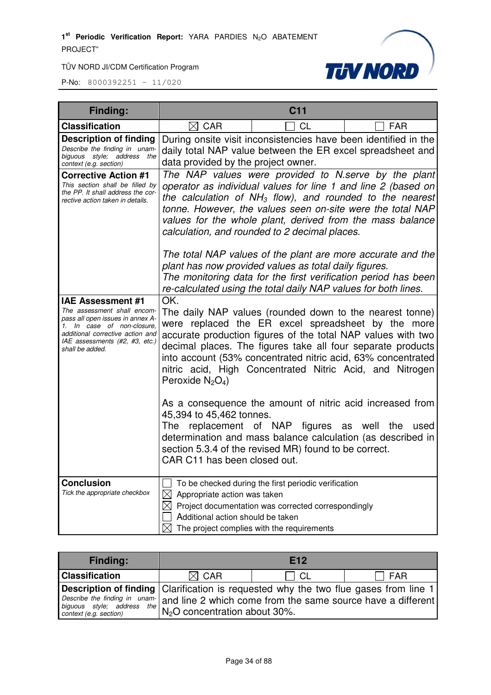

| <b>Finding:</b>                                                                                                                                                                                                    | C <sub>11</sub>                                                                                                                                                                                                                                                                                                                                                                                         |                                                                                                                                                                                                                 |                                                             |
|--------------------------------------------------------------------------------------------------------------------------------------------------------------------------------------------------------------------|---------------------------------------------------------------------------------------------------------------------------------------------------------------------------------------------------------------------------------------------------------------------------------------------------------------------------------------------------------------------------------------------------------|-----------------------------------------------------------------------------------------------------------------------------------------------------------------------------------------------------------------|-------------------------------------------------------------|
| <b>Classification</b>                                                                                                                                                                                              | $\boxtimes$ CAR                                                                                                                                                                                                                                                                                                                                                                                         | <b>CL</b>                                                                                                                                                                                                       | <b>FAR</b>                                                  |
| <b>Description of finding</b><br>Describe the finding in unam-<br>biguous style; address the<br>context (e.g. section)                                                                                             | During onsite visit inconsistencies have been identified in the<br>daily total NAP value between the ER excel spreadsheet and<br>data provided by the project owner.                                                                                                                                                                                                                                    |                                                                                                                                                                                                                 |                                                             |
| <b>Corrective Action #1</b><br>This section shall be filled by<br>the PP. It shall address the cor-<br>rective action taken in details.                                                                            | The NAP values were provided to N.serve by the plant<br>operator as individual values for line 1 and line 2 (based on<br>the calculation of $NH3$ flow), and rounded to the nearest<br>tonne. However, the values seen on-site were the total NAP<br>values for the whole plant, derived from the mass balance<br>calculation, and rounded to 2 decimal places.                                         |                                                                                                                                                                                                                 |                                                             |
|                                                                                                                                                                                                                    |                                                                                                                                                                                                                                                                                                                                                                                                         | plant has now provided values as total daily figures.<br>The monitoring data for the first verification period has been<br>re-calculated using the total daily NAP values for both lines.                       | The total NAP values of the plant are more accurate and the |
| <b>IAE Assessment #1</b><br>The assessment shall encom-<br>pass all open issues in annex A-<br>1. In case of non-closure,<br>additional corrective action and<br>IAE assessments (#2, #3, etc.)<br>shall be added. | OK.<br>The daily NAP values (rounded down to the nearest tonne)<br>were replaced the ER excel spreadsheet by the more<br>accurate production figures of the total NAP values with two<br>decimal places. The figures take all four separate products<br>into account (53% concentrated nitric acid, 63% concentrated<br>nitric acid, High Concentrated Nitric Acid, and Nitrogen<br>Peroxide $N_2O_4$ ) |                                                                                                                                                                                                                 |                                                             |
|                                                                                                                                                                                                                    | 45,394 to 45,462 tonnes.<br>The<br>CAR C11 has been closed out.                                                                                                                                                                                                                                                                                                                                         | As a consequence the amount of nitric acid increased from<br>replacement of NAP figures<br>determination and mass balance calculation (as described in<br>section 5.3.4 of the revised MR) found to be correct. | as<br>well<br>the<br>used                                   |
| <b>Conclusion</b><br>Tick the appropriate checkbox                                                                                                                                                                 | $\boxtimes$ Appropriate action was taken<br>Additional action should be taken<br>$\boxtimes$                                                                                                                                                                                                                                                                                                            | To be checked during the first periodic verification<br>$\boxtimes$ Project documentation was corrected correspondingly<br>The project complies with the requirements                                           |                                                             |

| <b>Finding:</b>                                                                             |                                                                                                                                                | E <sub>12</sub> |     |
|---------------------------------------------------------------------------------------------|------------------------------------------------------------------------------------------------------------------------------------------------|-----------------|-----|
| <b>Classification</b>                                                                       | $\boxtimes$ CAR                                                                                                                                | - CL            | FAR |
| <b>Description of finding</b> Clarification is requested why the two flue gases from line 1 |                                                                                                                                                |                 |     |
|                                                                                             | Describe the finding in unam-<br>biguous style; address the and line 2 which come from the same source have a different context (e.g. section) |                 |     |
| context (e.g. section)                                                                      |                                                                                                                                                |                 |     |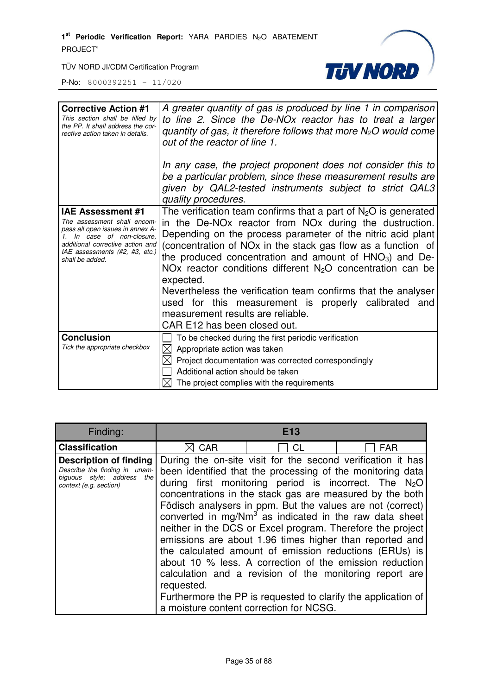1<sup>st</sup> Periodic Verification Report: YARA PARDIES N<sub>2</sub>O ABATEMENT PROJECT"



TÜV NORD JI/CDM Certification Program

| <b>Corrective Action #1</b><br>This section shall be filled by<br>the PP. It shall address the cor-<br>rective action taken in details.                                                                            | A greater quantity of gas is produced by line 1 in comparison<br>to line 2. Since the De-NOx reactor has to treat a larger<br>quantity of gas, it therefore follows that more $N2O$ would come<br>out of the reactor of line 1.<br>In any case, the project proponent does not consider this to<br>be a particular problem, since these measurement results are<br>given by QAL2-tested instruments subject to strict QAL3<br>quality procedures.                                                                                                                                                                                     |
|--------------------------------------------------------------------------------------------------------------------------------------------------------------------------------------------------------------------|---------------------------------------------------------------------------------------------------------------------------------------------------------------------------------------------------------------------------------------------------------------------------------------------------------------------------------------------------------------------------------------------------------------------------------------------------------------------------------------------------------------------------------------------------------------------------------------------------------------------------------------|
| <b>IAE Assessment #1</b><br>The assessment shall encom-<br>pass all open issues in annex A-<br>1. In case of non-closure,<br>additional corrective action and<br>IAE assessments (#2, #3, etc.)<br>shall be added. | The verification team confirms that a part of $N_2O$ is generated<br>in the De-NO <sub>x</sub> reactor from NO <sub>x</sub> during the dustruction.<br>Depending on the process parameter of the nitric acid plant<br>(concentration of NOx in the stack gas flow as a function of<br>the produced concentration and amount of $HNO3$ ) and De-<br>NO <sub>x</sub> reactor conditions different $N2O$ concentration can be<br>expected.<br>Nevertheless the verification team confirms that the analyser<br>used for this measurement is properly calibrated and<br>measurement results are reliable.<br>CAR E12 has been closed out. |
| <b>Conclusion</b><br>Tick the appropriate checkbox                                                                                                                                                                 | To be checked during the first periodic verification<br>$\boxtimes$ Appropriate action was taken<br>Project documentation was corrected correspondingly<br>Additional action should be taken<br>The project complies with the requirements                                                                                                                                                                                                                                                                                                                                                                                            |

| Finding:                                                                                                               |            | E13                                                                                                                                                                                                                                                                                                                                                                                                                                                                                                                                                                                                                                                                                                                                 |                                                            |
|------------------------------------------------------------------------------------------------------------------------|------------|-------------------------------------------------------------------------------------------------------------------------------------------------------------------------------------------------------------------------------------------------------------------------------------------------------------------------------------------------------------------------------------------------------------------------------------------------------------------------------------------------------------------------------------------------------------------------------------------------------------------------------------------------------------------------------------------------------------------------------------|------------------------------------------------------------|
| <b>Classification</b>                                                                                                  | <b>CAR</b> | CL                                                                                                                                                                                                                                                                                                                                                                                                                                                                                                                                                                                                                                                                                                                                  | <b>FAR</b>                                                 |
| <b>Description of finding</b><br>Describe the finding in unam-<br>biguous style; address the<br>context (e.g. section) | requested. | During the on-site visit for the second verification it has<br>been identified that the processing of the monitoring data<br>during first monitoring period is incorrect. The $N_2O$<br>concentrations in the stack gas are measured by the both<br>Födisch analysers in ppm. But the values are not (correct)<br>neither in the DCS or Excel program. Therefore the project<br>emissions are about 1.96 times higher than reported and<br>the calculated amount of emission reductions (ERUs) is<br>about 10 % less. A correction of the emission reduction<br>calculation and a revision of the monitoring report are<br>Furthermore the PP is requested to clarify the application of<br>a moisture content correction for NCSG. | converted in mg/ $Nm^3$ as indicated in the raw data sheet |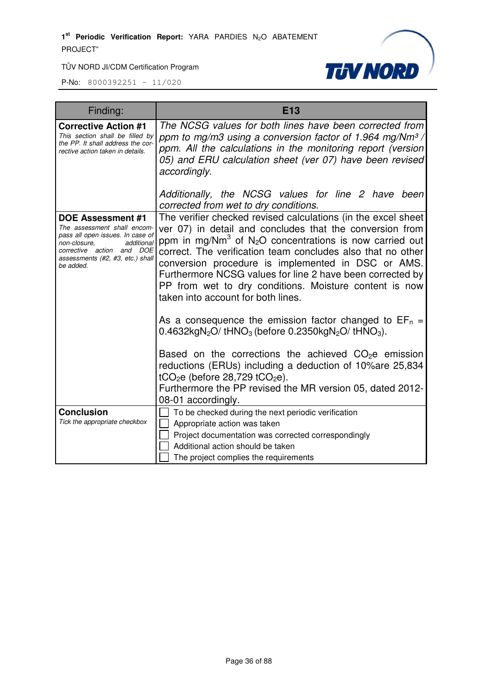

| Finding:                                                                                                                                                                                                | <b>E13</b>                                                                                                                                                                                                                                                                                                                                                                                                                                                                                     |
|---------------------------------------------------------------------------------------------------------------------------------------------------------------------------------------------------------|------------------------------------------------------------------------------------------------------------------------------------------------------------------------------------------------------------------------------------------------------------------------------------------------------------------------------------------------------------------------------------------------------------------------------------------------------------------------------------------------|
| <b>Corrective Action #1</b><br>This section shall be filled by<br>the PP. It shall address the cor-<br>rective action taken in details.                                                                 | The NCSG values for both lines have been corrected from<br>ppm to mg/m3 using a conversion factor of 1.964 mg/Nm <sup>3</sup> /<br>ppm. All the calculations in the monitoring report (version<br>05) and ERU calculation sheet (ver 07) have been revised<br>accordingly.                                                                                                                                                                                                                     |
|                                                                                                                                                                                                         | Additionally, the NCSG values for line 2 have been<br>corrected from wet to dry conditions.                                                                                                                                                                                                                                                                                                                                                                                                    |
| <b>DOE Assessment #1</b><br>The assessment shall encom-<br>pass all open issues. In case of<br>non-closure.<br>additional<br>corrective action and DOE<br>assessments (#2, #3, etc.) shall<br>be added. | The verifier checked revised calculations (in the excel sheet<br>ver 07) in detail and concludes that the conversion from<br>ppm in mg/Nm <sup>3</sup> of N <sub>2</sub> O concentrations is now carried out<br>correct. The verification team concludes also that no other<br>conversion procedure is implemented in DSC or AMS.<br>Furthermore NCSG values for line 2 have been corrected by<br>PP from wet to dry conditions. Moisture content is now<br>taken into account for both lines. |
|                                                                                                                                                                                                         | As a consequence the emission factor changed to $EF_n =$<br>$0.4632$ kgN <sub>2</sub> O/tHNO <sub>3</sub> (before 0.2350kgN <sub>2</sub> O/tHNO <sub>3</sub> ).                                                                                                                                                                                                                                                                                                                                |
|                                                                                                                                                                                                         | Based on the corrections the achieved $CO2e$ emission<br>reductions (ERUs) including a deduction of 10% are 25,834<br>tCO <sub>2</sub> e (before 28,729 tCO <sub>2</sub> e).<br>Furthermore the PP revised the MR version 05, dated 2012-<br>08-01 accordingly.                                                                                                                                                                                                                                |
| <b>Conclusion</b>                                                                                                                                                                                       | To be checked during the next periodic verification                                                                                                                                                                                                                                                                                                                                                                                                                                            |
| Tick the appropriate checkbox                                                                                                                                                                           | Appropriate action was taken<br>Project documentation was corrected correspondingly<br>Additional action should be taken<br>The project complies the requirements                                                                                                                                                                                                                                                                                                                              |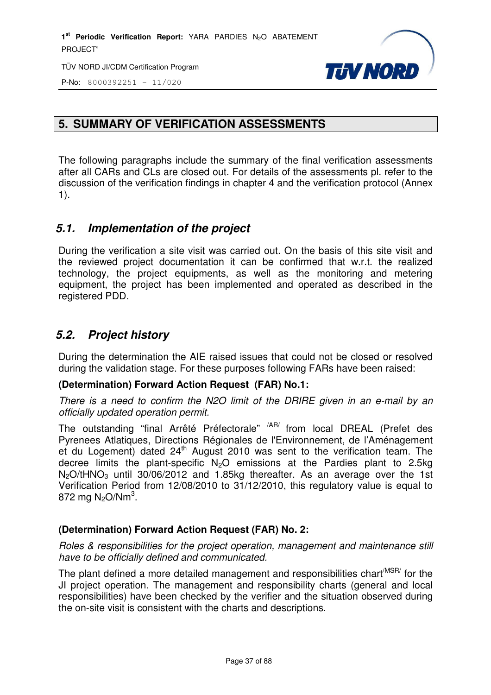

P-No: 8000392251 – 11/020

# **5. SUMMARY OF VERIFICATION ASSESSMENTS**

The following paragraphs include the summary of the final verification assessments after all CARs and CLs are closed out. For details of the assessments pl. refer to the discussion of the verification findings in chapter 4 and the verification protocol (Annex 1).

## *5.1. Implementation of the project*

During the verification a site visit was carried out. On the basis of this site visit and the reviewed project documentation it can be confirmed that w.r.t. the realized technology, the project equipments, as well as the monitoring and metering equipment, the project has been implemented and operated as described in the registered PDD.

# *5.2. Project history*

During the determination the AIE raised issues that could not be closed or resolved during the validation stage. For these purposes following FARs have been raised:

## **(Determination) Forward Action Request (FAR) No.1:**

There is a need to confirm the N2O limit of the DRIRE given in an e-mail by an officially updated operation permit.

The outstanding "final Arrêté Préfectorale" <sup>/AR/</sup> from local DREAL (Prefet des Pyrenees Atlatiques, Directions Régionales de l'Environnement, de l'Aménagement et du Logement) dated  $24<sup>th</sup>$  August 2010 was sent to the verification team. The decree limits the plant-specific  $N_2O$  emissions at the Pardies plant to 2.5kg  $N_2O$ /tHNO<sub>3</sub> until 30/06/2012 and 1.85kg thereafter. As an average over the 1st Verification Period from 12/08/2010 to 31/12/2010, this regulatory value is equal to 872 mg N<sub>2</sub>O/Nm<sup>3</sup>.

## **(Determination) Forward Action Request (FAR) No. 2:**

Roles & responsibilities for the project operation, management and maintenance still have to be officially defined and communicated.

The plant defined a more detailed management and responsibilities chart<sup> $MSSR/$ </sup> for the JI project operation. The management and responsibility charts (general and local responsibilities) have been checked by the verifier and the situation observed during the on-site visit is consistent with the charts and descriptions.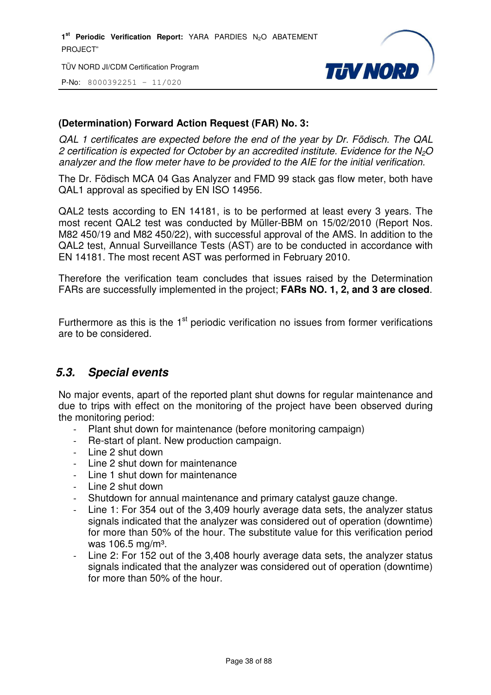TÜV NORD JI/CDM Certification Program

P-No: 8000392251 – 11/020



## **(Determination) Forward Action Request (FAR) No. 3:**

QAL 1 certificates are expected before the end of the year by Dr. Födisch. The QAL 2 certification is expected for October by an accredited institute. Evidence for the  $N<sub>2</sub>O$ analyzer and the flow meter have to be provided to the AIE for the initial verification.

The Dr. Födisch MCA 04 Gas Analyzer and FMD 99 stack gas flow meter, both have QAL1 approval as specified by EN ISO 14956.

QAL2 tests according to EN 14181, is to be performed at least every 3 years. The most recent QAL2 test was conducted by Müller-BBM on 15/02/2010 (Report Nos. M82 450/19 and M82 450/22), with successful approval of the AMS. In addition to the QAL2 test, Annual Surveillance Tests (AST) are to be conducted in accordance with EN 14181. The most recent AST was performed in February 2010.

Therefore the verification team concludes that issues raised by the Determination FARs are successfully implemented in the project; **FARs NO. 1, 2, and 3 are closed**.

Furthermore as this is the  $1<sup>st</sup>$  periodic verification no issues from former verifications are to be considered.

## *5.3. Special events*

No major events, apart of the reported plant shut downs for regular maintenance and due to trips with effect on the monitoring of the project have been observed during the monitoring period:

- Plant shut down for maintenance (before monitoring campaign)
- Re-start of plant. New production campaign.
- Line 2 shut down
- Line 2 shut down for maintenance
- Line 1 shut down for maintenance
- Line 2 shut down
- Shutdown for annual maintenance and primary catalyst gauze change.
- Line 1: For 354 out of the 3,409 hourly average data sets, the analyzer status signals indicated that the analyzer was considered out of operation (downtime) for more than 50% of the hour. The substitute value for this verification period was 106.5 mg/m<sup>3</sup>.
- Line 2: For 152 out of the 3,408 hourly average data sets, the analyzer status signals indicated that the analyzer was considered out of operation (downtime) for more than 50% of the hour.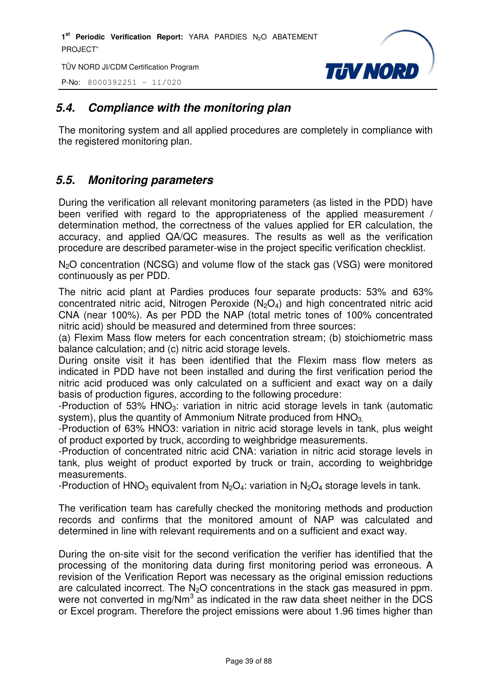TÜV NORD JI/CDM Certification Program

P-No: 8000392251 – 11/020



# *5.4. Compliance with the monitoring plan*

The monitoring system and all applied procedures are completely in compliance with the registered monitoring plan.

# *5.5. Monitoring parameters*

During the verification all relevant monitoring parameters (as listed in the PDD) have been verified with regard to the appropriateness of the applied measurement / determination method, the correctness of the values applied for ER calculation, the accuracy, and applied QA/QC measures. The results as well as the verification procedure are described parameter-wise in the project specific verification checklist.

N2O concentration (NCSG) and volume flow of the stack gas (VSG) were monitored continuously as per PDD.

The nitric acid plant at Pardies produces four separate products: 53% and 63% concentrated nitric acid, Nitrogen Peroxide  $(N_2O_4)$  and high concentrated nitric acid CNA (near 100%). As per PDD the NAP (total metric tones of 100% concentrated nitric acid) should be measured and determined from three sources:

(a) Flexim Mass flow meters for each concentration stream; (b) stoichiometric mass balance calculation; and (c) nitric acid storage levels.

During onsite visit it has been identified that the Flexim mass flow meters as indicated in PDD have not been installed and during the first verification period the nitric acid produced was only calculated on a sufficient and exact way on a daily basis of production figures, according to the following procedure:

-Production of 53% HNO<sub>3</sub>: variation in nitric acid storage levels in tank (automatic system), plus the quantity of Ammonium Nitrate produced from HNO<sub>3</sub>.

-Production of 63% HNO3: variation in nitric acid storage levels in tank, plus weight of product exported by truck, according to weighbridge measurements.

-Production of concentrated nitric acid CNA: variation in nitric acid storage levels in tank, plus weight of product exported by truck or train, according to weighbridge measurements.

-Production of HNO<sub>3</sub> equivalent from N<sub>2</sub>O<sub>4</sub>: variation in N<sub>2</sub>O<sub>4</sub> storage levels in tank.

The verification team has carefully checked the monitoring methods and production records and confirms that the monitored amount of NAP was calculated and determined in line with relevant requirements and on a sufficient and exact way.

During the on-site visit for the second verification the verifier has identified that the processing of the monitoring data during first monitoring period was erroneous. A revision of the Verification Report was necessary as the original emission reductions are calculated incorrect. The N<sub>2</sub>O concentrations in the stack gas measured in ppm. were not converted in mg/Nm<sup>3</sup> as indicated in the raw data sheet neither in the DCS or Excel program. Therefore the project emissions were about 1.96 times higher than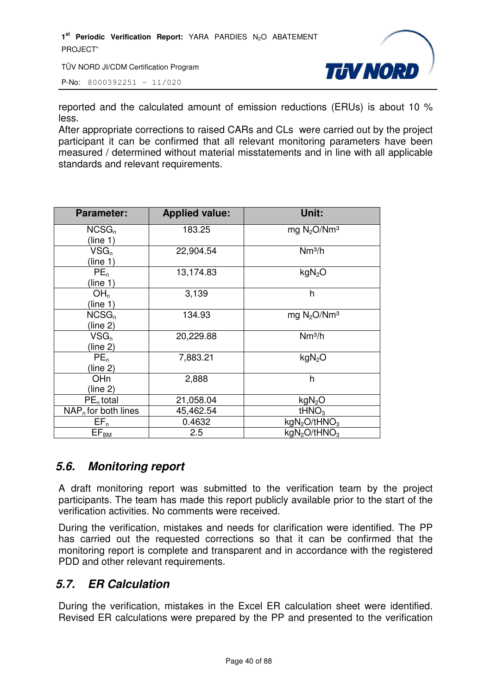TÜV NORD JI/CDM Certification Program

P-No: 8000392251 – 11/020



reported and the calculated amount of emission reductions (ERUs) is about 10 % less.

After appropriate corrections to raised CARs and CLs were carried out by the project participant it can be confirmed that all relevant monitoring parameters have been measured / determined without material misstatements and in line with all applicable standards and relevant requirements.

| <b>Parameter:</b>      | <b>Applied value:</b> | Unit:                                |
|------------------------|-----------------------|--------------------------------------|
| $NCSG_n$               | 183.25                | mg $N_2O/Nm^3$                       |
| (line 1)               |                       |                                      |
| $VSG_n$                | 22,904.54             | Nm <sup>3</sup> /h                   |
| (line 1)               |                       |                                      |
| $PE_n$                 | 13,174.83             | kgN <sub>2</sub> O                   |
| (line 1)               |                       |                                      |
| OH <sub>n</sub>        | 3,139                 | h                                    |
| (line 1)               |                       |                                      |
| $NCSG_n$               | 134.93                | mg $N_2O/Nm^3$                       |
| (line 2)               |                       |                                      |
| $VSG_n$                | 20,229.88             | Nm <sup>3</sup> /h                   |
| (line 2)               |                       |                                      |
| $PE_n$                 | 7,883.21              | kgN <sub>2</sub> O                   |
| (line 2)               |                       |                                      |
| OH <sub>n</sub>        | 2,888                 | h                                    |
| (line 2)               |                       |                                      |
| $PEn$ total            | 21,058.04             | kgN <sub>2</sub> O                   |
| $NAP_n$ for both lines | 45,462.54             | tHNO <sub>3</sub>                    |
| $EF_n$                 | 0.4632                | kgN <sub>2</sub> O/tHNO <sub>3</sub> |
| $EF_{BM}$              | 2.5                   | kgN <sub>2</sub> O/tHNO <sub>3</sub> |

# *5.6. Monitoring report*

A draft monitoring report was submitted to the verification team by the project participants. The team has made this report publicly available prior to the start of the verification activities. No comments were received.

During the verification, mistakes and needs for clarification were identified. The PP has carried out the requested corrections so that it can be confirmed that the monitoring report is complete and transparent and in accordance with the registered PDD and other relevant requirements.

# *5.7. ER Calculation*

During the verification, mistakes in the Excel ER calculation sheet were identified. Revised ER calculations were prepared by the PP and presented to the verification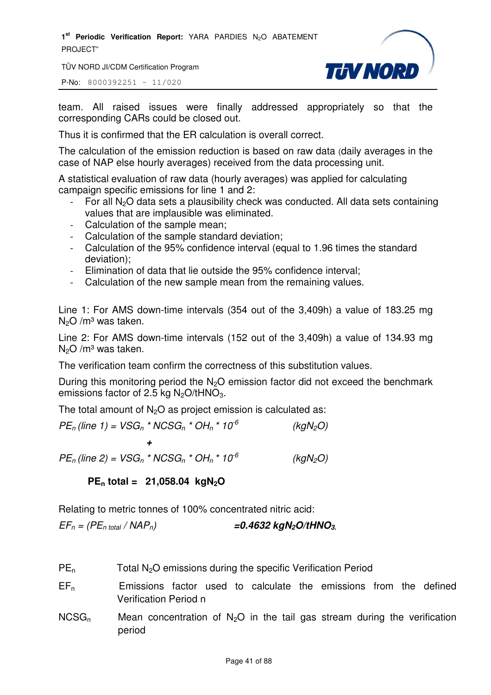TÜV NORD JI/CDM Certification Program



P-No: 8000392251 – 11/020

team. All raised issues were finally addressed appropriately so that the corresponding CARs could be closed out.

Thus it is confirmed that the ER calculation is overall correct.

The calculation of the emission reduction is based on raw data (daily averages in the case of NAP else hourly averages) received from the data processing unit.

A statistical evaluation of raw data (hourly averages) was applied for calculating campaign specific emissions for line 1 and 2:

- For all  $N_2O$  data sets a plausibility check was conducted. All data sets containing values that are implausible was eliminated.
- Calculation of the sample mean;
- Calculation of the sample standard deviation;
- Calculation of the 95% confidence interval (equal to 1.96 times the standard deviation);
- Elimination of data that lie outside the 95% confidence interval;
- Calculation of the new sample mean from the remaining values.

Line 1: For AMS down-time intervals (354 out of the 3,409h) a value of 183.25 mg  $N<sub>2</sub>O/m<sup>3</sup>$  was taken.

Line 2: For AMS down-time intervals (152 out of the 3,409h) a value of 134.93 mg  $N<sub>2</sub>O/m<sup>3</sup>$  was taken.

The verification team confirm the correctness of this substitution values.

During this monitoring period the  $N_2O$  emission factor did not exceed the benchmark emissions factor of 2.5 kg  $N_2O/tHNO_3$ .

The total amount of  $N<sub>2</sub>O$  as project emission is calculated as:

 $PE_n$ (line 1) =  $VSG_n * NCSG_n * OH_n * 10^{-6}$  (kgN<sub>2</sub>O) *+*   $PE_n$ (line 2) = VSG<sub>n</sub> \* NCSG<sub>n</sub> \* OH<sub>n</sub> \* 10<sup>-6</sup> (kgN<sub>2</sub>O)

**PEn total = 21,058.04 kgN2O** 

Relating to metric tonnes of 100% concentrated nitric acid:

 $EF_n = (PE_{n \text{ total}} / \text{NAP}_n)$   $= 0.4632 \text{ kgN}_2\text{O}/\text{tHNO}_3$ 

- PE<sub>n</sub> Total N<sub>2</sub>O emissions during the specific Verification Period
- $EF_n$  Emissions factor used to calculate the emissions from the defined Verification Period n
- $NCSG_n$  Mean concentration of N<sub>2</sub>O in the tail gas stream during the verification period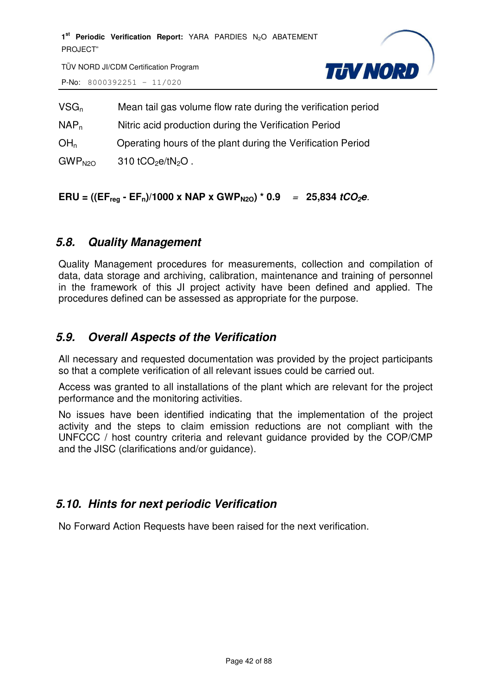

TÜV NORD JI/CDM Certification Program P-No: 8000392251 – 11/020

| $VSG_n$            | Mean tail gas volume flow rate during the verification period |
|--------------------|---------------------------------------------------------------|
| $NAP_n$            | Nitric acid production during the Verification Period         |
| OH <sub>n</sub>    | Operating hours of the plant during the Verification Period   |
| GWP <sub>N2O</sub> | 310 tCO <sub>2</sub> e/tN <sub>2</sub> O.                     |

## **ERU** = ((EF<sub>reg</sub> - EF<sub>n</sub>)/1000 x NAP x GWP<sub>N2O</sub>) \* 0.9 = 25,834 *tCO<sub>2</sub>e*.

## *5.8. Quality Management*

Quality Management procedures for measurements, collection and compilation of data, data storage and archiving, calibration, maintenance and training of personnel in the framework of this JI project activity have been defined and applied. The procedures defined can be assessed as appropriate for the purpose.

# *5.9. Overall Aspects of the Verification*

All necessary and requested documentation was provided by the project participants so that a complete verification of all relevant issues could be carried out.

Access was granted to all installations of the plant which are relevant for the project performance and the monitoring activities.

No issues have been identified indicating that the implementation of the project activity and the steps to claim emission reductions are not compliant with the UNFCCC / host country criteria and relevant guidance provided by the COP/CMP and the JISC (clarifications and/or guidance).

## *5.10. Hints for next periodic Verification*

No Forward Action Requests have been raised for the next verification.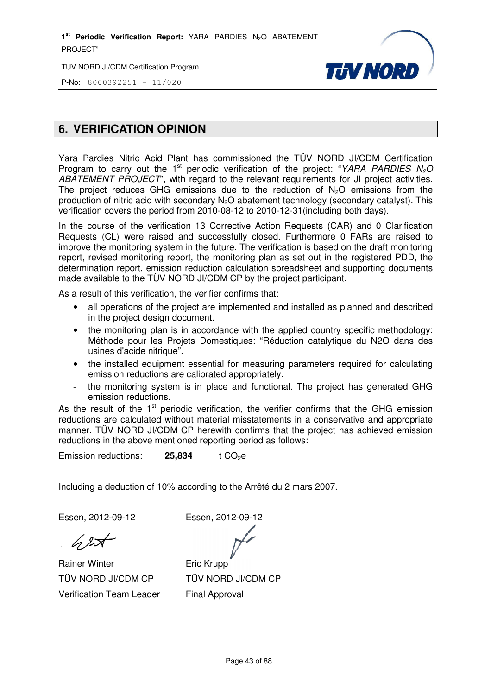TÜV NORD JI/CDM Certification Program



P-No: 8000392251 - 11/020

# **6. VERIFICATION OPINION**

Yara Pardies Nitric Acid Plant has commissioned the TÜV NORD JI/CDM Certification Program to carry out the 1<sup>st</sup> periodic verification of the project: "YARA PARDIES  $N<sub>2</sub>O$ ABATEMENT PROJECT", with regard to the relevant requirements for JI project activities. The project reduces GHG emissions due to the reduction of  $N_2O$  emissions from the production of nitric acid with secondary N<sub>2</sub>O abatement technology (secondary catalyst). This verification covers the period from 2010 2010-08-12 to 2010-12-31(including both days). production of nitric acid with secondary N<sub>2</sub>O abatement technology (secondary catalyst). This<br>verification covers the period from 2010-08-12 to 2010-12-31(including both days).<br>In the course of the verification 13 Correct

Requests (CL) were raised and successfully closed. Furthermore 0 FARs are raised to improve the monitoring system in the future. The verification is based on the draft monitoring report, revised monitoring report, the monitoring plan as set out in the registered PDD, the determination report, emission reduction calculation spreadsheet and supporting documents made available to the TÜV NORD JI/CDM CP by the project participant.

As a result of this verification, the verifier confirms that:

- all operations of the project are implemented and installed as planned and described in the project design document.
- the monitoring plan is in accordance with the applied country specific methodology: Méthode pour les Projets Domestiques: "Réduction catalytique du N2O dans des usines d'acide nitrique".
- the installed equipment essential for measuring parameters required for calculating emission reductions are calibrated appropriately.
- the monitoring system is in place and functional. The project has generated GHG emission reductions. sential for r<br>ibrated appr<br>n place anc<br>verification,

As the result of the  $1<sup>st</sup>$  periodic verification, the verifier confirms that the GHG emission reductions are calculated without material misstatements in a conservative and appropriate manner. TÜV NORD JI/CDM CP herewith confirms that the project has achieved emission reductions in the above mentioned reporting period as follows:

Emission reductions: **25,834 834** t CO2e

Including a deduction of 10% according to the Arrêté du 2 mars 2007.

Essen, 2012-09-12

Essen, 2012-09-12

Rainer Winter TÜV NORD JI/CDM CP Verification Team Leader

Eric Krupp TÜV NORD JI/CDM CP Final Approval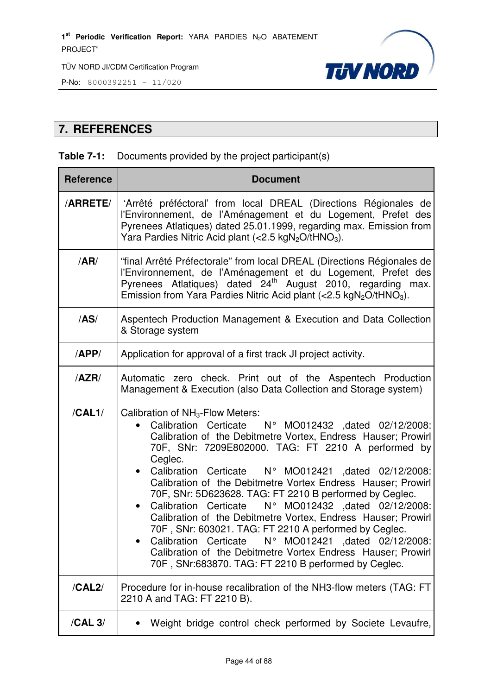



# **7. REFERENCES**

## **Table 7-1:** Documents provided by the project participant(s)

| <b>Reference</b> | <b>Document</b>                                                                                                                                                                                                                                                                                                                                                                                                                                                                                                                                                                                                                                                                                                                                                                                                    |  |  |  |
|------------------|--------------------------------------------------------------------------------------------------------------------------------------------------------------------------------------------------------------------------------------------------------------------------------------------------------------------------------------------------------------------------------------------------------------------------------------------------------------------------------------------------------------------------------------------------------------------------------------------------------------------------------------------------------------------------------------------------------------------------------------------------------------------------------------------------------------------|--|--|--|
| <b>ARRETE/</b>   | 'Arrêté préféctoral' from local DREAL (Directions Régionales de<br>l'Environnement, de l'Aménagement et du Logement, Prefet des<br>Pyrenees Atlatiques) dated 25.01.1999, regarding max. Emission from<br>Yara Pardies Nitric Acid plant (<2.5 kgN <sub>2</sub> O/tHNO <sub>3</sub> ).                                                                                                                                                                                                                                                                                                                                                                                                                                                                                                                             |  |  |  |
| /AR/             | "final Arrêté Préfectorale" from local DREAL (Directions Régionales de<br>l'Environnement, de l'Aménagement et du Logement, Prefet des<br>Pyrenees Atlatiques) dated 24 <sup>th</sup> August 2010, regarding max.<br>Emission from Yara Pardies Nitric Acid plant $\langle$ < 2.5 kgN <sub>2</sub> O/tHNO <sub>3</sub> ).                                                                                                                                                                                                                                                                                                                                                                                                                                                                                          |  |  |  |
| /AS/             | Aspentech Production Management & Execution and Data Collection<br>& Storage system                                                                                                                                                                                                                                                                                                                                                                                                                                                                                                                                                                                                                                                                                                                                |  |  |  |
| /APP/            | Application for approval of a first track JI project activity.                                                                                                                                                                                                                                                                                                                                                                                                                                                                                                                                                                                                                                                                                                                                                     |  |  |  |
| /AZR/            | Automatic zero check. Print out of the Aspentech Production<br>Management & Execution (also Data Collection and Storage system)                                                                                                                                                                                                                                                                                                                                                                                                                                                                                                                                                                                                                                                                                    |  |  |  |
| /CAL1/           | Calibration of NH <sub>3</sub> -Flow Meters:<br>Calibration Certicate  N° MO012432 ,dated 02/12/2008:<br>Calibration of the Debitmetre Vortex, Endress Hauser; Prowirl<br>70F, SNr: 7209E802000. TAG: FT 2210 A performed by<br>Ceglec.<br>• Calibration Certicate N° MO012421 ,dated 02/12/2008:<br>Calibration of the Debitmetre Vortex Endress Hauser; Prowirl<br>70F, SNr: 5D623628. TAG: FT 2210 B performed by Ceglec.<br>N° MO012432 ,dated 02/12/2008:<br>Calibration Certicate<br>$\bullet$<br>Calibration of the Debitmetre Vortex, Endress Hauser; Prowirl<br>70F, SNr: 603021. TAG: FT 2210 A performed by Ceglec.<br>Calibration Certicate<br>N° MO012421 , dated 02/12/2008:<br>Calibration of the Debitmetre Vortex Endress Hauser; Prowirl<br>70F, SNr:683870. TAG: FT 2210 B performed by Ceglec. |  |  |  |
| /CAL2/           | Procedure for in-house recalibration of the NH3-flow meters (TAG: FT<br>2210 A and TAG: FT 2210 B).                                                                                                                                                                                                                                                                                                                                                                                                                                                                                                                                                                                                                                                                                                                |  |  |  |
| /CAL 3/          | Weight bridge control check performed by Societe Levaufre,                                                                                                                                                                                                                                                                                                                                                                                                                                                                                                                                                                                                                                                                                                                                                         |  |  |  |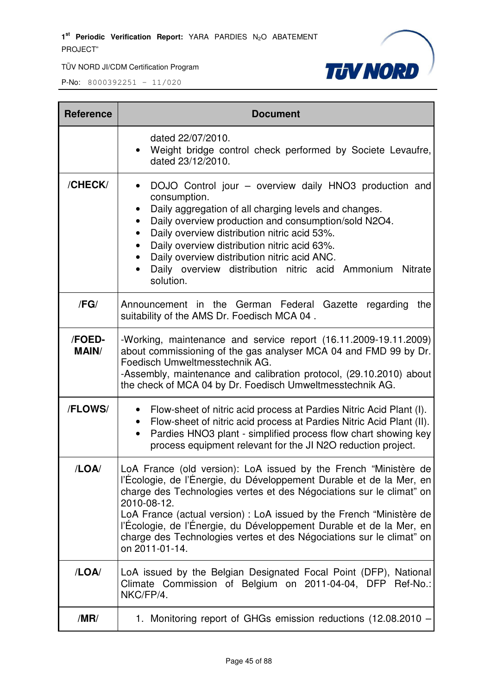

| <b>Reference</b>       | <b>Document</b>                                                                                                                                                                                                                                                                                                                                                                                                                                                         |  |  |  |
|------------------------|-------------------------------------------------------------------------------------------------------------------------------------------------------------------------------------------------------------------------------------------------------------------------------------------------------------------------------------------------------------------------------------------------------------------------------------------------------------------------|--|--|--|
|                        | dated 22/07/2010.<br>Weight bridge control check performed by Societe Levaufre,<br>dated 23/12/2010.                                                                                                                                                                                                                                                                                                                                                                    |  |  |  |
| /CHECK/                | DOJO Control jour - overview daily HNO3 production and<br>consumption.<br>Daily aggregation of all charging levels and changes.<br>Daily overview production and consumption/sold N2O4.<br>$\bullet$<br>Daily overview distribution nitric acid 53%.<br>$\bullet$<br>Daily overview distribution nitric acid 63%.<br>Daily overview distribution nitric acid ANC.<br>Daily overview distribution nitric acid Ammonium<br><b>Nitrate</b><br>solution.                    |  |  |  |
| /FG/                   | Announcement in the German Federal Gazette regarding<br>the<br>suitability of the AMS Dr. Foedisch MCA 04.                                                                                                                                                                                                                                                                                                                                                              |  |  |  |
| /FOED-<br><b>MAIN/</b> | -Working, maintenance and service report (16.11.2009-19.11.2009)<br>about commissioning of the gas analyser MCA 04 and FMD 99 by Dr.<br>Foedisch Umweltmesstechnik AG.<br>-Assembly, maintenance and calibration protocol, (29.10.2010) about<br>the check of MCA 04 by Dr. Foedisch Umweltmesstechnik AG.                                                                                                                                                              |  |  |  |
| /FLOWS/                | Flow-sheet of nitric acid process at Pardies Nitric Acid Plant (I).<br>$\bullet$<br>Flow-sheet of nitric acid process at Pardies Nitric Acid Plant (II).<br>٠<br>Pardies HNO3 plant - simplified process flow chart showing key<br>$\bullet$<br>process equipment relevant for the JI N2O reduction project.                                                                                                                                                            |  |  |  |
| /LOA/                  | LoA France (old version): LoA issued by the French "Ministère de<br>l'Écologie, de l'Énergie, du Développement Durable et de la Mer, en<br>charge des Technologies vertes et des Négociations sur le climat" on<br>2010-08-12.<br>LoA France (actual version) : LoA issued by the French "Ministère de<br>l'Écologie, de l'Énergie, du Développement Durable et de la Mer, en<br>charge des Technologies vertes et des Négociations sur le climat" on<br>on 2011-01-14. |  |  |  |
| /LOA/                  | LoA issued by the Belgian Designated Focal Point (DFP), National<br>Climate Commission of Belgium on 2011-04-04, DFP Ref-No.:<br>NKC/FP/4.                                                                                                                                                                                                                                                                                                                              |  |  |  |
| /MR/                   | 1. Monitoring report of GHGs emission reductions (12.08.2010 -                                                                                                                                                                                                                                                                                                                                                                                                          |  |  |  |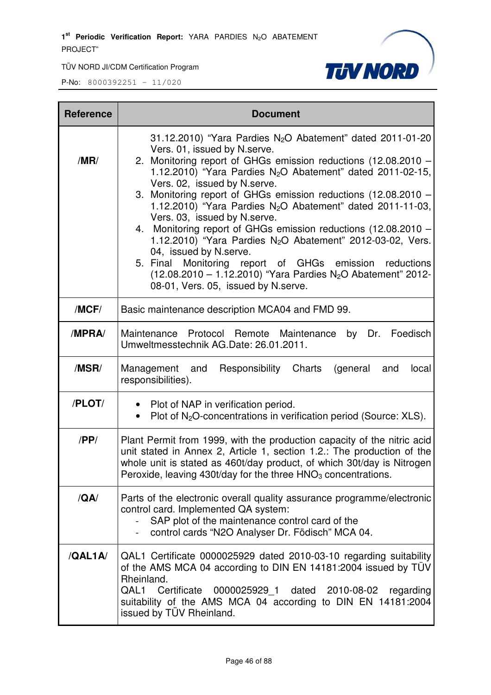TÜV NORD JI/CDM Certification Program



| <b>Reference</b> | <b>Document</b>                                                                                                                                                                                                                                                                                                                                                                                                                                                                                                                                                                                                                                                                                                                                                             |
|------------------|-----------------------------------------------------------------------------------------------------------------------------------------------------------------------------------------------------------------------------------------------------------------------------------------------------------------------------------------------------------------------------------------------------------------------------------------------------------------------------------------------------------------------------------------------------------------------------------------------------------------------------------------------------------------------------------------------------------------------------------------------------------------------------|
| /MR/             | 31.12.2010) "Yara Pardies $N_2O$ Abatement" dated 2011-01-20<br>Vers. 01, issued by N.serve.<br>2. Monitoring report of GHGs emission reductions (12.08.2010 -<br>1.12.2010) "Yara Pardies $N_2O$ Abatement" dated 2011-02-15,<br>Vers. 02, issued by N.serve.<br>3. Monitoring report of GHGs emission reductions (12.08.2010 -<br>1.12.2010) "Yara Pardies $N_2O$ Abatement" dated 2011-11-03,<br>Vers. 03, issued by N.serve.<br>4. Monitoring report of GHGs emission reductions (12.08.2010 -<br>1.12.2010) "Yara Pardies $N_2O$ Abatement" 2012-03-02, Vers.<br>04, issued by N.serve.<br>5. Final Monitoring report of GHGs emission reductions<br>$(12.08.2010 - 1.12.2010)$ "Yara Pardies N <sub>2</sub> O Abatement" 2012-<br>08-01, Vers. 05, issued by N.serve. |
| /MCF/            | Basic maintenance description MCA04 and FMD 99.                                                                                                                                                                                                                                                                                                                                                                                                                                                                                                                                                                                                                                                                                                                             |
| /MPRA/           | by Dr. Foedisch<br>Maintenance Protocol Remote Maintenance<br>Umweltmesstechnik AG.Date: 26.01.2011.                                                                                                                                                                                                                                                                                                                                                                                                                                                                                                                                                                                                                                                                        |
| /MSR/            | Responsibility<br>Charts<br>Management and<br>(general<br>and<br>local<br>responsibilities).                                                                                                                                                                                                                                                                                                                                                                                                                                                                                                                                                                                                                                                                                |
| /PLOT/           | • Plot of NAP in verification period.<br>Plot of N <sub>2</sub> O-concentrations in verification period (Source: XLS).<br>$\bullet$                                                                                                                                                                                                                                                                                                                                                                                                                                                                                                                                                                                                                                         |
| /PP/             | Plant Permit from 1999, with the production capacity of the nitric acid<br>unit stated in Annex 2, Article 1, section 1.2.: The production of the<br>whole unit is stated as 460t/day product, of which 30t/day is Nitrogen<br>Peroxide, leaving 430t/day for the three $HNO3$ concentrations.                                                                                                                                                                                                                                                                                                                                                                                                                                                                              |
| /QA/             | Parts of the electronic overall quality assurance programme/electronic<br>control card. Implemented QA system:<br>SAP plot of the maintenance control card of the<br>control cards "N2O Analyser Dr. Födisch" MCA 04.<br>$\sim$                                                                                                                                                                                                                                                                                                                                                                                                                                                                                                                                             |
| /QAL1A           | QAL1 Certificate 0000025929 dated 2010-03-10 regarding suitability<br>of the AMS MCA 04 according to DIN EN 14181:2004 issued by TÜV<br>Rheinland.<br>QAL1 Certificate<br>0000025929 1 dated 2010-08-02 regarding<br>suitability of the AMS MCA 04 according to DIN EN 14181:2004<br>issued by TÜV Rheinland.                                                                                                                                                                                                                                                                                                                                                                                                                                                               |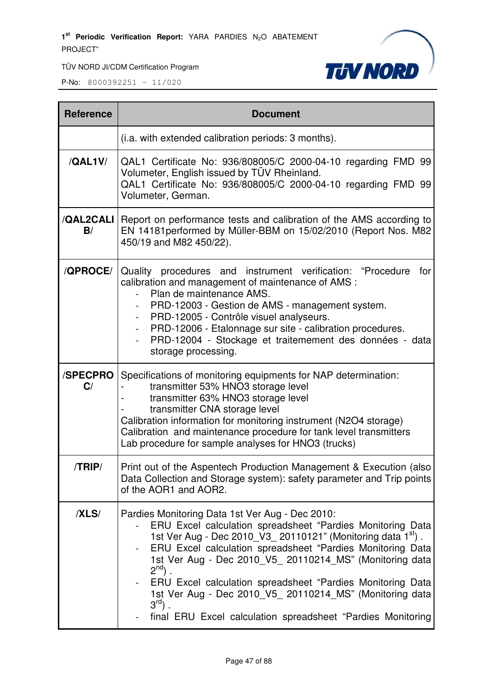

| <b>Reference</b> | <b>Document</b>                                                                                                                                                                                                                                                                                                                                                                                                                                                                                                                               |  |  |  |
|------------------|-----------------------------------------------------------------------------------------------------------------------------------------------------------------------------------------------------------------------------------------------------------------------------------------------------------------------------------------------------------------------------------------------------------------------------------------------------------------------------------------------------------------------------------------------|--|--|--|
|                  | (i.a. with extended calibration periods: 3 months).                                                                                                                                                                                                                                                                                                                                                                                                                                                                                           |  |  |  |
| /QAL1V/          | QAL1 Certificate No: 936/808005/C 2000-04-10 regarding FMD 99<br>Volumeter, English issued by TÜV Rheinland.<br>QAL1 Certificate No: 936/808005/C 2000-04-10 regarding FMD 99<br>Volumeter, German.                                                                                                                                                                                                                                                                                                                                           |  |  |  |
| B/               | <b>/QAL2CALI</b>   Report on performance tests and calibration of the AMS according to<br>EN 14181 performed by Müller-BBM on 15/02/2010 (Report Nos. M82<br>450/19 and M82 450/22).                                                                                                                                                                                                                                                                                                                                                          |  |  |  |
| /QPROCE/         | Quality procedures and instrument verification: "Procedure<br>for<br>calibration and management of maintenance of AMS :<br>Plan de maintenance AMS.<br>PRD-12003 - Gestion de AMS - management system.<br>PRD-12005 - Contrôle visuel analyseurs.<br>PRD-12006 - Etalonnage sur site - calibration procedures.<br>PRD-12004 - Stockage et traitemement des données - data<br>storage processing.                                                                                                                                              |  |  |  |
| /SPECPRO<br>C/   | Specifications of monitoring equipments for NAP determination:<br>transmitter 53% HNO3 storage level<br>transmitter 63% HNO3 storage level<br>transmitter CNA storage level<br>Calibration information for monitoring instrument (N2O4 storage)<br>Calibration and maintenance procedure for tank level transmitters<br>Lab procedure for sample analyses for HNO3 (trucks)                                                                                                                                                                   |  |  |  |
| /TRIP/           | Print out of the Aspentech Production Management & Execution (also)<br>Data Collection and Storage system): safety parameter and Trip points<br>of the AOR1 and AOR2.                                                                                                                                                                                                                                                                                                                                                                         |  |  |  |
| /XLS/            | Pardies Monitoring Data 1st Ver Aug - Dec 2010:<br>ERU Excel calculation spreadsheet "Pardies Monitoring Data<br>1st Ver Aug - Dec 2010_V3_20110121" (Monitoring data 1 <sup>st</sup> ).<br>ERU Excel calculation spreadsheet "Pardies Monitoring Data<br>1st Ver Aug - Dec 2010_V5_20110214_MS" (Monitoring data<br>$2^{nd}$ .<br>ERU Excel calculation spreadsheet "Pardies Monitoring Data<br>1st Ver Aug - Dec 2010_V5_ 20110214_MS" (Monitoring data<br>$3^{\text{rd}}$ .<br>final ERU Excel calculation spreadsheet "Pardies Monitoring |  |  |  |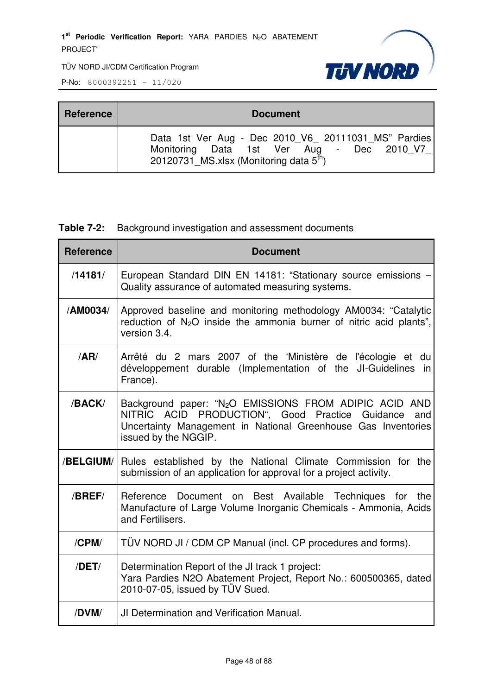

P-No: 8000392251 – 11/020

| <b>Reference</b> | <b>Document</b>                                                                                                                                         |  |  |  |
|------------------|---------------------------------------------------------------------------------------------------------------------------------------------------------|--|--|--|
|                  | Data 1st Ver Aug - Dec 2010 V6 20111031 MS" Pardies<br>Monitoring Data 1st Ver Aug - Dec 2010 V7<br>20120731 MS.xlsx (Monitoring data $5^{\text{th}}$ ) |  |  |  |

## **Table 7-2:** Background investigation and assessment documents

| <b>Reference</b> | <b>Document</b>                                                                                                                                                                                                    |  |  |  |
|------------------|--------------------------------------------------------------------------------------------------------------------------------------------------------------------------------------------------------------------|--|--|--|
| /14181/          | European Standard DIN EN 14181: "Stationary source emissions -<br>Quality assurance of automated measuring systems.                                                                                                |  |  |  |
| /AM0034/         | Approved baseline and monitoring methodology AM0034: "Catalytic<br>reduction of N <sub>2</sub> O inside the ammonia burner of nitric acid plants",<br>version 3.4.                                                 |  |  |  |
| /AR/             | Arrêté du 2 mars 2007 of the 'Ministère de l'écologie et du<br>développement durable (Implementation of the JI-Guidelines in<br>France).                                                                           |  |  |  |
| /BACK/           | Background paper: "N <sub>2</sub> O EMISSIONS FROM ADIPIC ACID AND<br>NITRIC ACID PRODUCTION", Good Practice Guidance and<br>Uncertainty Management in National Greenhouse Gas Inventories<br>issued by the NGGIP. |  |  |  |
| /BELGIUM/        | Rules established by the National Climate Commission for the<br>submission of an application for approval for a project activity.                                                                                  |  |  |  |
| /BREF/           | Reference Document on Best Available Techniques for the<br>Manufacture of Large Volume Inorganic Chemicals - Ammonia, Acids<br>and Fertilisers.                                                                    |  |  |  |
| /CPM/            | TÜV NORD JI / CDM CP Manual (incl. CP procedures and forms).                                                                                                                                                       |  |  |  |
| /DET/            | Determination Report of the JI track 1 project:<br>Yara Pardies N2O Abatement Project, Report No.: 600500365, dated<br>2010-07-05, issued by TÜV Sued.                                                             |  |  |  |
| /DVM/            | <b>JI Determination and Verification Manual.</b>                                                                                                                                                                   |  |  |  |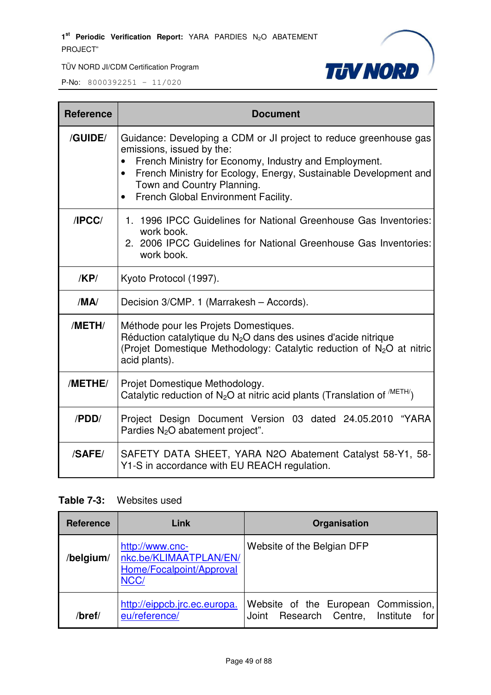

P-No: 8000392251 – 11/020

| <b>Reference</b> | <b>Document</b>                                                                                                                                                                                                                                                                                               |  |  |  |
|------------------|---------------------------------------------------------------------------------------------------------------------------------------------------------------------------------------------------------------------------------------------------------------------------------------------------------------|--|--|--|
| /GUIDE/          | Guidance: Developing a CDM or JI project to reduce greenhouse gas<br>emissions, issued by the:<br>French Ministry for Economy, Industry and Employment.<br>French Ministry for Ecology, Energy, Sustainable Development and<br>$\bullet$<br>Town and Country Planning.<br>French Global Environment Facility. |  |  |  |
| /IPCC/           | 1. 1996 IPCC Guidelines for National Greenhouse Gas Inventories:<br>work book.<br>2. 2006 IPCC Guidelines for National Greenhouse Gas Inventories:<br>work book.                                                                                                                                              |  |  |  |
| KPI              | Kyoto Protocol (1997).                                                                                                                                                                                                                                                                                        |  |  |  |
| /MA/             | Decision 3/CMP. 1 (Marrakesh - Accords).                                                                                                                                                                                                                                                                      |  |  |  |
| /METH/           | Méthode pour les Projets Domestiques.<br>Réduction catalytique du $N2O$ dans des usines d'acide nitrique<br>(Projet Domestique Methodology: Catalytic reduction of N <sub>2</sub> O at nitric<br>acid plants).                                                                                                |  |  |  |
| /METHE/          | Projet Domestique Methodology.<br>Catalytic reduction of N <sub>2</sub> O at nitric acid plants (Translation of <sup>METH/</sup> )                                                                                                                                                                            |  |  |  |
| /PDD/            | Project Design Document Version 03 dated 24.05.2010 "YARA<br>Pardies N <sub>2</sub> O abatement project".                                                                                                                                                                                                     |  |  |  |
| /SAFE/           | SAFETY DATA SHEET, YARA N2O Abatement Catalyst 58-Y1, 58-<br>Y1-S in accordance with EU REACH regulation.                                                                                                                                                                                                     |  |  |  |

## **Table 7-3:** Websites used

| <b>Reference</b> | Link                                                                          | Organisation                                                                         |  |  |
|------------------|-------------------------------------------------------------------------------|--------------------------------------------------------------------------------------|--|--|
| /belgium/        | http://www.cnc-<br>nkc.be/KLIMAATPLAN/EN/<br>Home/Focalpoint/Approval<br>NCC/ | Website of the Belgian DFP                                                           |  |  |
| /bref/           | http://eippcb.jrc.ec.europa.<br>eu/reference/                                 | Website of the European Commission,<br>Research Centre,<br>Institute<br>Joint<br>for |  |  |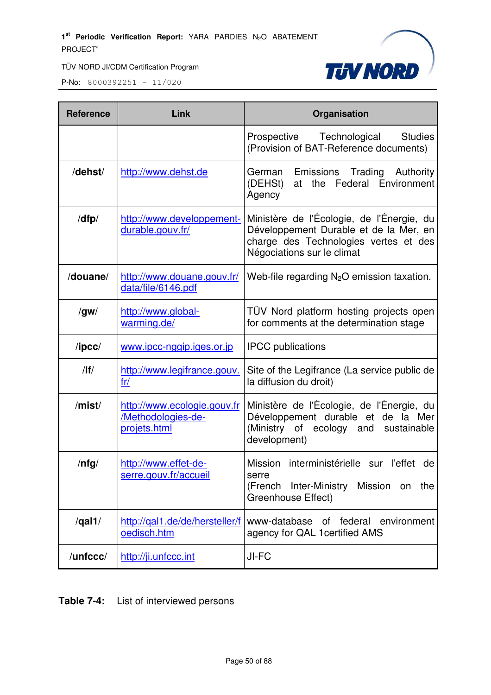

P-No: 8000392251 – 11/020

| <b>Reference</b> | Link                                                              | Organisation                                                                                                                                               |  |  |
|------------------|-------------------------------------------------------------------|------------------------------------------------------------------------------------------------------------------------------------------------------------|--|--|
|                  |                                                                   | <b>Studies</b><br>Prospective Technological<br>(Provision of BAT-Reference documents)                                                                      |  |  |
| /dehst/          | http://www.dehst.de                                               | Emissions Trading<br>Authority<br>German<br>(DEHSt)<br>Federal Environment<br>the<br>at<br>Agency                                                          |  |  |
| /dfp/            | http://www.developpement-<br>durable.gouv.fr/                     | Ministère de l'Écologie, de l'Énergie, du<br>Développement Durable et de la Mer, en<br>charge des Technologies vertes et des<br>Négociations sur le climat |  |  |
| /douane/         | http://www.douane.gouv.fr/<br>data/file/6146.pdf                  | Web-file regarding $N_2O$ emission taxation.                                                                                                               |  |  |
| /gw/             | http://www.global-<br>warming.de/                                 | TÜV Nord platform hosting projects open<br>for comments at the determination stage                                                                         |  |  |
| $\sqrt{I}$       | www.ipcc-nggip.iges.or.jp                                         | <b>IPCC</b> publications                                                                                                                                   |  |  |
| /                | http://www.legifrance.gouv.<br>fr/                                | Site of the Legifrance (La service public de<br>la diffusion du droit)                                                                                     |  |  |
| /mist/           | http://www.ecologie.gouv.fr<br>/Methodologies-de-<br>projets.html | Ministère de l'Écologie, de l'Énergie, du<br>Développement durable et de la Mer<br>(Ministry of ecology<br>sustainable<br>and<br>development)              |  |  |
| $/$ nfg $/$      | http://www.effet-de-<br>serre.gouv.fr/accueil                     | Mission interministérielle sur l'effet<br>de<br>serre<br>(French Inter-Ministry Mission on<br>the<br><b>Greenhouse Effect)</b>                             |  |  |
| $\sqrt{qal1/}$   | http://gal1.de/de/hersteller/f<br>oedisch.htm                     | www-database of federal environment<br>agency for QAL 1 certified AMS                                                                                      |  |  |
| /unfccc/         | http://ji.unfccc.int                                              | JI-FC                                                                                                                                                      |  |  |

**Table 7-4:** List of interviewed persons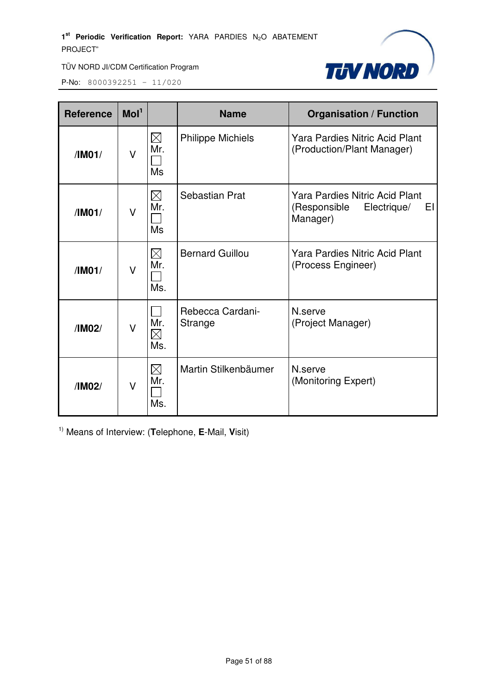

P-No: 8000392251 – 11/020

| <b>Reference</b> | Mol <sup>1</sup> |                                 | <b>Name</b>                 | <b>Organisation / Function</b>                                                         |
|------------------|------------------|---------------------------------|-----------------------------|----------------------------------------------------------------------------------------|
| /IM01/           | V                | $\boxtimes$<br>Mr.<br><b>Ms</b> | <b>Philippe Michiels</b>    | <b>Yara Pardies Nitric Acid Plant</b><br>(Production/Plant Manager)                    |
| /IM01/           | V                | $\boxtimes$<br>Mr.<br>Ms        | Sebastian Prat              | <b>Yara Pardies Nitric Acid Plant</b><br>(Responsible<br>Electrique/<br>EI<br>Manager) |
| /IM01/           | V                | $\boxtimes$<br>Mr.<br>Ms.       | <b>Bernard Guillou</b>      | <b>Yara Pardies Nitric Acid Plant</b><br>(Process Engineer)                            |
| /IM02/           | V                | Mr.<br>$\boxtimes$<br>Ms.       | Rebecca Cardani-<br>Strange | N.serve<br>(Project Manager)                                                           |
| /IM02/           | V                | $\boxtimes$<br>Mr.<br>Ms.       | Martin Stilkenbäumer        | N.serve<br>(Monitoring Expert)                                                         |

1) Means of Interview: (**T**elephone, **E**-Mail, **V**isit)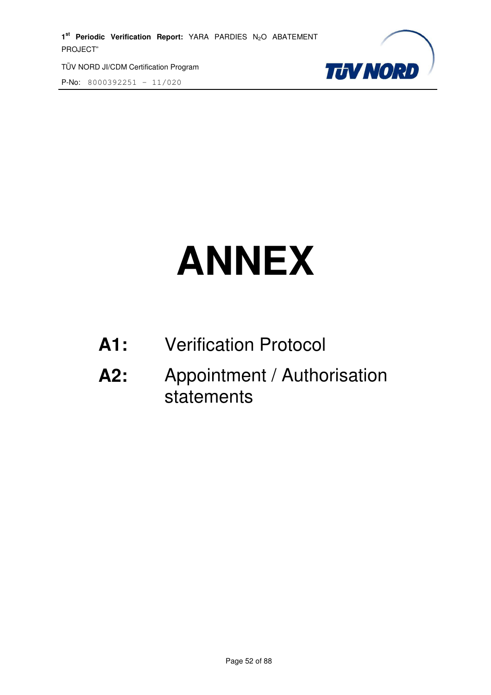TÜV NORD JI/CDM Certification Program

P-No: 8000392251 – 11/020



# **ANNEX**

- **A1:** Verification Protocol
- **A2:** Appointment / Authorisation statements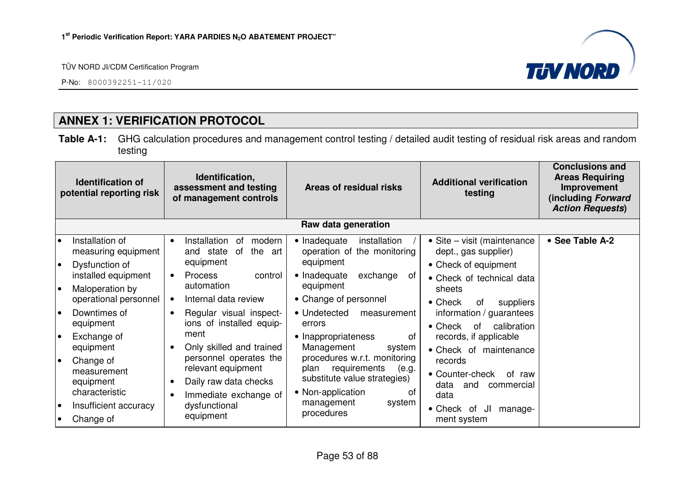P-No: 8000392251-11/020



# **ANNEX 1: VERIFICATION PROTOCOL**

**Table A-1:** GHG calculation procedures and management control testing / detailed audit testing of residual risk areas and random testing

| Identification,<br><b>Identification of</b><br>assessment and testing<br>potential reporting risk<br>of management controls |                                                                 | Areas of residual risks                                                                                     | <b>Additional verification</b><br>testing                                                                                | <b>Conclusions and</b><br><b>Areas Requiring</b><br>Improvement<br>(including Forward<br><b>Action Requests)</b> |                 |  |  |  |  |
|-----------------------------------------------------------------------------------------------------------------------------|-----------------------------------------------------------------|-------------------------------------------------------------------------------------------------------------|--------------------------------------------------------------------------------------------------------------------------|------------------------------------------------------------------------------------------------------------------|-----------------|--|--|--|--|
|                                                                                                                             | Raw data generation                                             |                                                                                                             |                                                                                                                          |                                                                                                                  |                 |  |  |  |  |
| I۰<br>$\bullet$                                                                                                             | Installation of<br>measuring equipment<br>Dysfunction of        | Installation<br>0f<br>modern<br>$\bullet$<br>the<br>and state<br>of<br>art<br>equipment                     | • Inadequate<br>installation<br>operation of the monitoring<br>equipment                                                 | • Site – visit (maintenance<br>dept., gas supplier)<br>• Check of equipment                                      | • See Table A-2 |  |  |  |  |
| I۰                                                                                                                          | installed equipment<br>Maloperation by<br>operational personnel | <b>Process</b><br>control<br>$\bullet$<br>automation<br>Internal data review                                | • Inadequate<br>exchange<br>0f<br>equipment<br>• Change of personnel                                                     | • Check of technical data<br>sheets<br>$\bullet$ Check<br>suppliers<br>0f                                        |                 |  |  |  |  |
| I۰                                                                                                                          | Downtimes of<br>equipment                                       | Regular visual inspect-<br>$\bullet$<br>ions of installed equip-                                            | • Undetected<br>measurement<br>errors                                                                                    | information / guarantees<br>calibration<br>$\bullet$ Check<br>of                                                 |                 |  |  |  |  |
| I۰                                                                                                                          | Exchange of<br>equipment                                        | ment<br>Only skilled and trained                                                                            | • Inappropriateness<br>οf<br>Management<br>system                                                                        | records, if applicable<br>• Check of maintenance                                                                 |                 |  |  |  |  |
| $\bullet$                                                                                                                   | Change of<br>measurement<br>equipment<br>characteristic         | personnel operates the<br>relevant equipment<br>Daily raw data checks<br>$\bullet$<br>Immediate exchange of | procedures w.r.t. monitoring<br>requirements<br>plan<br>(e.g.<br>substitute value strategies)<br>• Non-application<br>Οt | records<br>• Counter-check<br>of raw<br>data<br>and<br>commercial<br>data                                        |                 |  |  |  |  |
| $\bullet$                                                                                                                   | Insufficient accuracy<br>Change of                              | dysfunctional<br>equipment                                                                                  | management<br>system<br>procedures                                                                                       | • Check of<br>JI<br>manage-<br>ment system                                                                       |                 |  |  |  |  |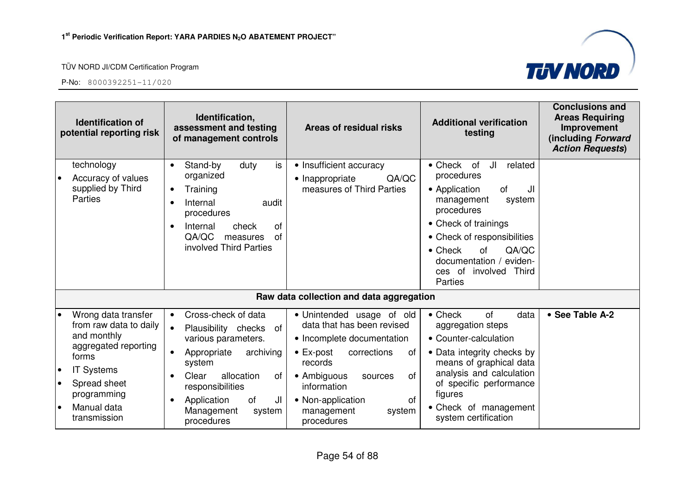

| <b>Identification of</b><br>potential reporting risk |                                                                                                                                                                                  | Identification,<br>assessment and testing<br>of management controls                                                                                                                                                                                    | Areas of residual risks                                                                                                                                                                                                                                           | <b>Additional verification</b><br>testing                                                                                                                                                                                                                                                    | <b>Conclusions and</b><br><b>Areas Requiring</b><br>Improvement<br>(including Forward<br><b>Action Requests)</b> |
|------------------------------------------------------|----------------------------------------------------------------------------------------------------------------------------------------------------------------------------------|--------------------------------------------------------------------------------------------------------------------------------------------------------------------------------------------------------------------------------------------------------|-------------------------------------------------------------------------------------------------------------------------------------------------------------------------------------------------------------------------------------------------------------------|----------------------------------------------------------------------------------------------------------------------------------------------------------------------------------------------------------------------------------------------------------------------------------------------|------------------------------------------------------------------------------------------------------------------|
|                                                      | technology<br>Accuracy of values<br>supplied by Third<br><b>Parties</b>                                                                                                          | is<br>Stand-by<br>duty<br>$\bullet$<br>organized<br>Training<br>$\bullet$<br>Internal<br>audit<br>procedures<br>Internal<br>check<br>0f<br>$\bullet$<br>QA/QC<br>of<br>measures<br>involved Third Parties                                              | • Insufficient accuracy<br>QA/QC<br>• Inappropriate<br>measures of Third Parties                                                                                                                                                                                  | $\bullet$ Check<br>JI<br>of<br>related<br>procedures<br>• Application<br><b>of</b><br>JI<br>management<br>system<br>procedures<br>• Check of trainings<br>• Check of responsibilities<br>$\bullet$ Check<br>of<br>QA/QC<br>documentation /<br>eviden-<br>ces of involved<br>Third<br>Parties |                                                                                                                  |
|                                                      |                                                                                                                                                                                  |                                                                                                                                                                                                                                                        | Raw data collection and data aggregation                                                                                                                                                                                                                          |                                                                                                                                                                                                                                                                                              |                                                                                                                  |
| $\bullet$<br>$\bullet$<br>$\bullet$                  | Wrong data transfer<br>from raw data to daily<br>and monthly<br>aggregated reporting<br>forms<br><b>IT Systems</b><br>Spread sheet<br>programming<br>Manual data<br>transmission | Cross-check of data<br>$\bullet$<br>$\bullet$<br>Plausibility checks of<br>various parameters.<br>archiving<br>Appropriate<br>system<br>allocation<br>Clear<br>0f<br>responsibilities<br>of<br>Application<br>JI<br>Management<br>system<br>procedures | · Unintended usage of old<br>data that has been revised<br>• Incomplete documentation<br>$\bullet$ Ex-post<br>corrections<br>of<br>records<br>• Ambiguous<br>0f<br>sources<br>information<br>• Non-application<br><b>of</b><br>management<br>system<br>procedures | $\bullet$ Check<br>of<br>data<br>aggregation steps<br>• Counter-calculation<br>• Data integrity checks by<br>means of graphical data<br>analysis and calculation<br>of specific performance<br>figures<br>• Check of management<br>system certification                                      | • See Table A-2                                                                                                  |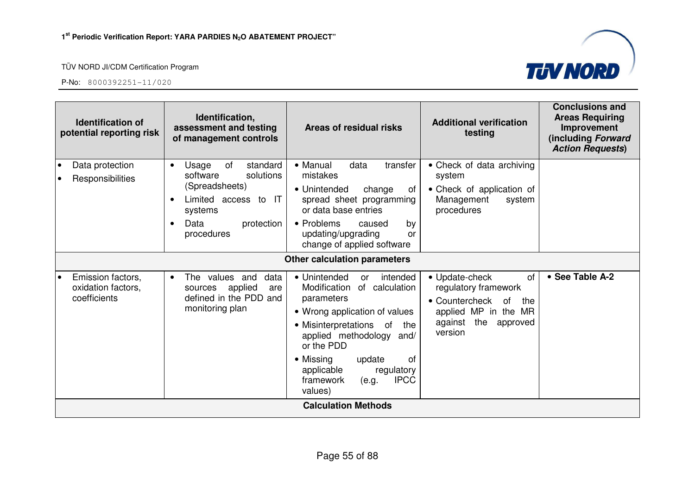



| Identification,<br><b>Identification of</b><br>assessment and testing<br>potential reporting risk<br>of management controls |                                                                                                                                                                     | Areas of residual risks                                                                                                                                                                                                                                                                                 | <b>Additional verification</b><br>testing                                                                                                    | <b>Conclusions and</b><br><b>Areas Requiring</b><br>Improvement<br>(including Forward<br><b>Action Requests)</b> |
|-----------------------------------------------------------------------------------------------------------------------------|---------------------------------------------------------------------------------------------------------------------------------------------------------------------|---------------------------------------------------------------------------------------------------------------------------------------------------------------------------------------------------------------------------------------------------------------------------------------------------------|----------------------------------------------------------------------------------------------------------------------------------------------|------------------------------------------------------------------------------------------------------------------|
| Data protection<br>$\bullet$<br>Responsibilities<br>$\bullet$                                                               | of<br>standard<br>Usage<br>$\bullet$<br>software<br>solutions<br>(Spreadsheets)<br>Limited access to IT<br>systems<br>Data<br>protection<br>$\bullet$<br>procedures | • Manual<br>data<br>transfer<br>mistakes<br>• Unintended<br>change<br>0t<br>spread sheet programming<br>or data base entries<br>• Problems<br>caused<br>by<br>updating/upgrading<br>or<br>change of applied software                                                                                    | • Check of data archiving<br>system<br>• Check of application of<br>Management<br>system<br>procedures                                       |                                                                                                                  |
|                                                                                                                             |                                                                                                                                                                     | <b>Other calculation parameters</b>                                                                                                                                                                                                                                                                     |                                                                                                                                              |                                                                                                                  |
| Emission factors,<br>I۰<br>oxidation factors,<br>coefficients                                                               | The values and<br>data<br>$\bullet$<br>applied<br>sources<br>are<br>defined in the PDD and<br>monitoring plan                                                       | • Unintended<br>intended<br>or<br>of calculation<br>Modification<br>parameters<br>• Wrong application of values<br>• Misinterpretations of<br>the<br>applied methodology<br>and/<br>or the PDD<br>• Missing<br>0f<br>update<br>applicable<br>regulatory<br><b>IPCC</b><br>framework<br>(e.g.<br>values) | • Update-check<br>of<br>regulatory framework<br>• Countercheck<br>0f<br>the<br>applied MP in the MR<br>against<br>the<br>approved<br>version | • See Table A-2                                                                                                  |
|                                                                                                                             |                                                                                                                                                                     | <b>Calculation Methods</b>                                                                                                                                                                                                                                                                              |                                                                                                                                              |                                                                                                                  |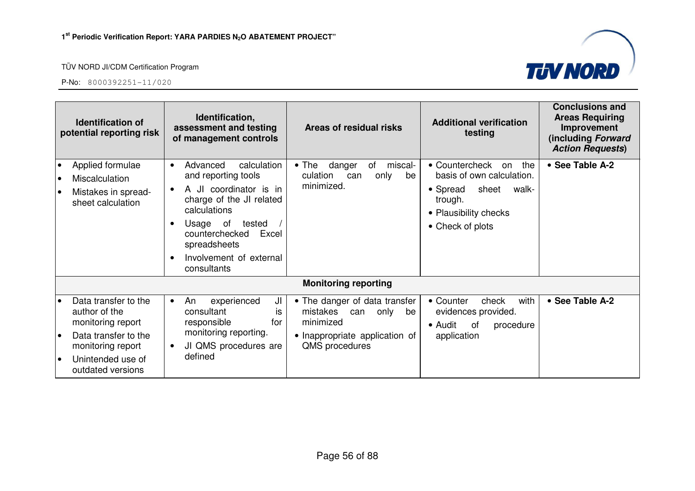

| <b>Identification of</b><br>potential reporting risk |                                                                                                                                                   | Identification,<br>assessment and testing<br>of management controls                                                                                                                                                                          | Areas of residual risks                                                                                                      | <b>Additional verification</b><br>testing                                                                                                      | <b>Conclusions and</b><br><b>Areas Requiring</b><br>Improvement<br>(including Forward<br><b>Action Requests)</b> |
|------------------------------------------------------|---------------------------------------------------------------------------------------------------------------------------------------------------|----------------------------------------------------------------------------------------------------------------------------------------------------------------------------------------------------------------------------------------------|------------------------------------------------------------------------------------------------------------------------------|------------------------------------------------------------------------------------------------------------------------------------------------|------------------------------------------------------------------------------------------------------------------|
|                                                      | Applied formulae<br>Miscalculation<br>Mistakes in spread-<br>sheet calculation                                                                    | Advanced<br>calculation<br>$\bullet$<br>and reporting tools<br>A JI coordinator is in<br>charge of the JI related<br>calculations<br>Usage of<br>tested<br>counterchecked<br>Excel<br>spreadsheets<br>Involvement of external<br>consultants | danger<br>miscal-<br>$\bullet$ The<br>of<br>culation<br>only<br>be<br>can<br>minimized.                                      | • Countercheck<br>the<br>on<br>basis of own calculation.<br>sheet<br>• Spread<br>walk-<br>trough.<br>• Plausibility checks<br>• Check of plots | • See Table A-2                                                                                                  |
|                                                      |                                                                                                                                                   |                                                                                                                                                                                                                                              | <b>Monitoring reporting</b>                                                                                                  |                                                                                                                                                |                                                                                                                  |
| $\bullet$                                            | Data transfer to the<br>author of the<br>monitoring report<br>Data transfer to the<br>monitoring report<br>Unintended use of<br>outdated versions | ال<br>experienced<br>An<br>$\bullet$<br>consultant<br>İS<br>responsible<br>for<br>monitoring reporting.<br>JI QMS procedures are<br>defined                                                                                                  | • The danger of data transfer<br>mistakes can<br>only<br>be<br>minimized<br>• Inappropriate application of<br>QMS procedures | with<br>• Counter<br>check<br>evidences provided.<br>$\bullet$ Audit<br>0f<br>procedure<br>application                                         | • See Table A-2                                                                                                  |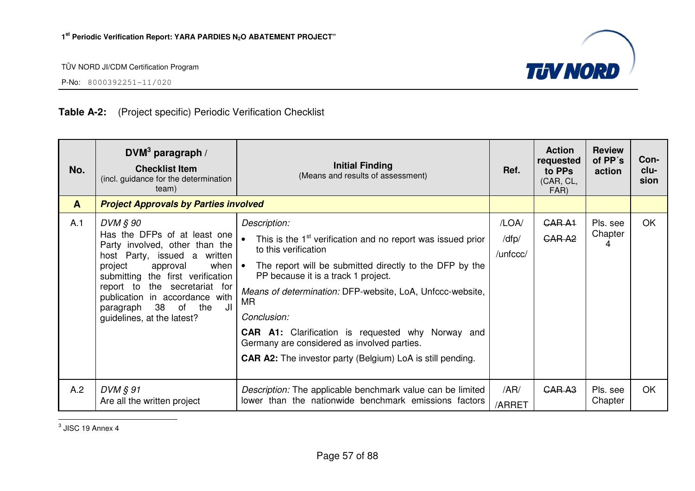

P-No: 8000392251-11/020

## **Table A-2:** (Project specific) Periodic Verification Checklist

| No.          | $DVM3$ paragraph /<br><b>Checklist Item</b><br>(incl. guidance for the determination<br>team)                                                                                                                                                                                                                                       | <b>Initial Finding</b><br>(Means and results of assessment)                                                                                                                                                                                                                                                                                                                                                                                                                         | Ref.                       | <b>Action</b><br>requested<br>to PPs<br>(CAR, CL,<br>FAR) | <b>Review</b><br>of PP's<br>action | Con-<br>clu-<br>sion |
|--------------|-------------------------------------------------------------------------------------------------------------------------------------------------------------------------------------------------------------------------------------------------------------------------------------------------------------------------------------|-------------------------------------------------------------------------------------------------------------------------------------------------------------------------------------------------------------------------------------------------------------------------------------------------------------------------------------------------------------------------------------------------------------------------------------------------------------------------------------|----------------------------|-----------------------------------------------------------|------------------------------------|----------------------|
| $\mathbf{A}$ | <b>Project Approvals by Parties involved</b>                                                                                                                                                                                                                                                                                        |                                                                                                                                                                                                                                                                                                                                                                                                                                                                                     |                            |                                                           |                                    |                      |
| A.1          | DVM § 90<br>Has the DFPs of at least one<br>Party involved, other than the<br>host Party, issued a written<br>project<br>approval<br>when $  \bullet  $<br>submitting the first verification<br>the secretariat for<br>report to<br>publication in accordance with<br>38<br>JI<br>of the<br>paragraph<br>guidelines, at the latest? | Description:<br>This is the 1 <sup>st</sup> verification and no report was issued prior<br>to this verification<br>The report will be submitted directly to the DFP by the<br>PP because it is a track 1 project.<br>Means of determination: DFP-website, LoA, Unfccc-website,<br>MR<br>Conclusion:<br><b>CAR A1:</b> Clarification is requested why Norway and<br>Germany are considered as involved parties.<br><b>CAR A2:</b> The investor party (Belgium) LoA is still pending. | /LOA/<br>/dfp/<br>/unfccc/ | GAR <sub>A1</sub><br><b>GAR A2</b>                        | Pls. see<br>Chapter<br>4           | <b>OK</b>            |
| A.2          | $DVM$ $\S$ 91<br>Are all the written project                                                                                                                                                                                                                                                                                        | Description: The applicable benchmark value can be limited<br>lower than the nationwide benchmark emissions factors                                                                                                                                                                                                                                                                                                                                                                 | /AR/<br>/ARRET             | <b>GAR A3</b>                                             | Pls. see<br>Chapter                | <b>OK</b>            |

 $3$  JISC 19 Annex 4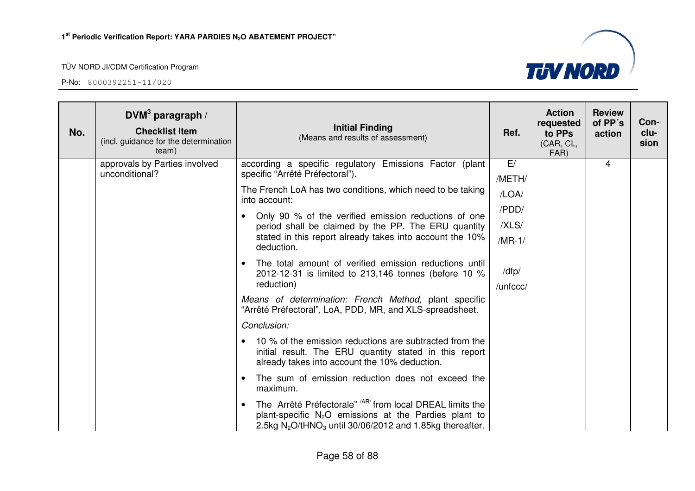

| No. | DVM <sup>3</sup> paragraph /<br><b>Checklist Item</b><br>(incl. guidance for the determination<br>team) | <b>Initial Finding</b><br>(Means and results of assessment)                                                                                                                                    | Ref.              | <b>Action</b><br>requested<br>to PPs<br>(CAR, CL,<br>FAR) | <b>Review</b><br>of PP's<br>action | Con-<br>clu-<br>sion |
|-----|---------------------------------------------------------------------------------------------------------|------------------------------------------------------------------------------------------------------------------------------------------------------------------------------------------------|-------------------|-----------------------------------------------------------|------------------------------------|----------------------|
|     | approvals by Parties involved<br>unconditional?                                                         | according a specific regulatory Emissions Factor (plant<br>specific "Arrêté Préfectoral").                                                                                                     | E/<br>/METH/      |                                                           | 4                                  |                      |
|     |                                                                                                         | The French LoA has two conditions, which need to be taking<br>into account:                                                                                                                    | /LOA/             |                                                           |                                    |                      |
|     |                                                                                                         | Only 90 % of the verified emission reductions of one                                                                                                                                           | /PDD/<br>/XLS/    |                                                           |                                    |                      |
|     |                                                                                                         | period shall be claimed by the PP. The ERU quantity<br>stated in this report already takes into account the 10%<br>deduction.                                                                  |                   |                                                           |                                    |                      |
|     |                                                                                                         | The total amount of verified emission reductions until<br>$\bullet$<br>2012-12-31 is limited to 213,146 tonnes (before 10 %<br>reduction)                                                      | /dfp/<br>/unfccc/ |                                                           |                                    |                      |
|     |                                                                                                         | Means of determination: French Method, plant specific<br>"Arrêté Préfectoral", LoA, PDD, MR, and XLS-spreadsheet.                                                                              |                   |                                                           |                                    |                      |
|     |                                                                                                         | Conclusion:                                                                                                                                                                                    |                   |                                                           |                                    |                      |
|     |                                                                                                         | 10 % of the emission reductions are subtracted from the<br>initial result. The ERU quantity stated in this report<br>already takes into account the 10% deduction.                             |                   |                                                           |                                    |                      |
|     |                                                                                                         | The sum of emission reduction does not exceed the<br>$\bullet$<br>maximum.                                                                                                                     |                   |                                                           |                                    |                      |
|     |                                                                                                         | The Arrêté Préfectorale" <sup>/AR/</sup> from local DREAL limits the<br>plant-specific $N_2O$ emissions at the Pardies plant to<br>2.5kg $N_2O/tHNO_3$ until 30/06/2012 and 1.85kg thereafter. |                   |                                                           |                                    |                      |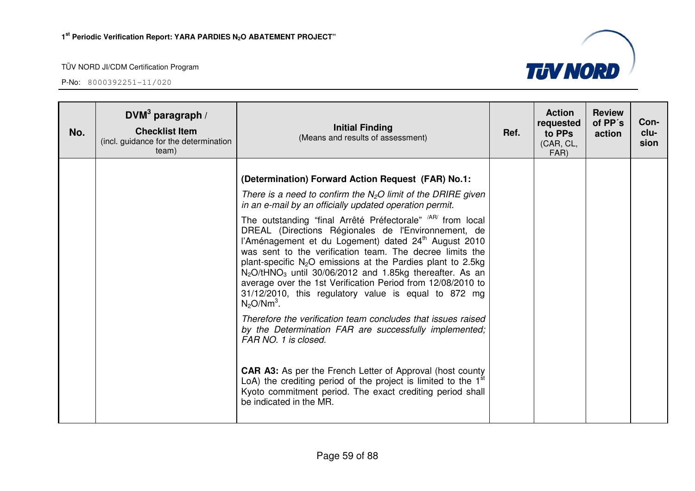

| No. | DVM <sup>3</sup> paragraph /<br><b>Checklist Item</b><br>(incl. guidance for the determination<br>team) | <b>Initial Finding</b><br>(Means and results of assessment)                                                                                                                                                                                                                                                                                                                                                                                                                                                                           | Ref. | <b>Action</b><br>requested<br>to PPs<br>(CAR, CL,<br>FAR) | <b>Review</b><br>of PP's<br>action | Con-<br>clu-<br>sion |
|-----|---------------------------------------------------------------------------------------------------------|---------------------------------------------------------------------------------------------------------------------------------------------------------------------------------------------------------------------------------------------------------------------------------------------------------------------------------------------------------------------------------------------------------------------------------------------------------------------------------------------------------------------------------------|------|-----------------------------------------------------------|------------------------------------|----------------------|
|     |                                                                                                         | (Determination) Forward Action Request (FAR) No.1:                                                                                                                                                                                                                                                                                                                                                                                                                                                                                    |      |                                                           |                                    |                      |
|     |                                                                                                         | There is a need to confirm the $N_2O$ limit of the DRIRE given<br>in an e-mail by an officially updated operation permit.                                                                                                                                                                                                                                                                                                                                                                                                             |      |                                                           |                                    |                      |
|     |                                                                                                         | The outstanding "final Arrêté Préfectorale" <sup>/AR/</sup> from local<br>DREAL (Directions Régionales de l'Environnement, de<br>l'Aménagement et du Logement) dated 24 <sup>th</sup> August 2010<br>was sent to the verification team. The decree limits the<br>plant-specific $N_2O$ emissions at the Pardies plant to 2.5kg<br>$N_2O/tHNO_3$ until 30/06/2012 and 1.85kg thereafter. As an<br>average over the 1st Verification Period from 12/08/2010 to<br>31/12/2010, this regulatory value is equal to 872 mg<br>$N_2O/Nm^3$ . |      |                                                           |                                    |                      |
|     |                                                                                                         | Therefore the verification team concludes that issues raised<br>by the Determination FAR are successfully implemented;<br>FAR NO. 1 is closed.                                                                                                                                                                                                                                                                                                                                                                                        |      |                                                           |                                    |                      |
|     |                                                                                                         | <b>CAR A3:</b> As per the French Letter of Approval (host county<br>LoA) the crediting period of the project is limited to the $1st$<br>Kyoto commitment period. The exact crediting period shall<br>be indicated in the MR.                                                                                                                                                                                                                                                                                                          |      |                                                           |                                    |                      |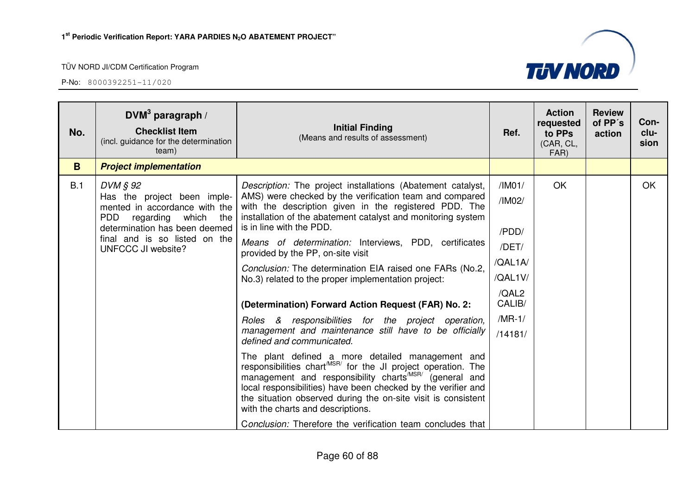

| No. | DVM <sup>3</sup> paragraph /<br><b>Checklist Item</b><br>(incl. guidance for the determination<br>team)                                                                                               | <b>Initial Finding</b><br>(Means and results of assessment)                                                                                                                                                                                                                                                                                                                                                                                                                                  |                                                                   | <b>Action</b><br>requested<br>to PPs<br>(CAR, CL,<br>FAR) | <b>Review</b><br>of PP's<br>action | Con-<br>clu-<br>sion |
|-----|-------------------------------------------------------------------------------------------------------------------------------------------------------------------------------------------------------|----------------------------------------------------------------------------------------------------------------------------------------------------------------------------------------------------------------------------------------------------------------------------------------------------------------------------------------------------------------------------------------------------------------------------------------------------------------------------------------------|-------------------------------------------------------------------|-----------------------------------------------------------|------------------------------------|----------------------|
| B   | <b>Project implementation</b>                                                                                                                                                                         |                                                                                                                                                                                                                                                                                                                                                                                                                                                                                              |                                                                   |                                                           |                                    |                      |
| B.1 | DVM § 92<br>Has the project been imple-<br>mented in accordance with the<br><b>PDD</b><br>regarding which the<br>determination has been deemed<br>final and is so listed on the<br>UNFCCC JI website? | Description: The project installations (Abatement catalyst,<br>AMS) were checked by the verification team and compared<br>with the description given in the registered PDD. The<br>installation of the abatement catalyst and monitoring system<br>is in line with the PDD.<br>Means of determination: Interviews, PDD, certificates<br>provided by the PP, on-site visit<br>Conclusion: The determination EIA raised one FARs (No.2,<br>No.3) related to the proper implementation project: | /IM01/<br>/IM02/<br>/PDD/<br>/DET/<br>/QAL1A/<br>/QAL1V/<br>/QAL2 | OK                                                        |                                    | OK                   |
|     |                                                                                                                                                                                                       | (Determination) Forward Action Request (FAR) No. 2:                                                                                                                                                                                                                                                                                                                                                                                                                                          | CALIB/                                                            |                                                           |                                    |                      |
|     |                                                                                                                                                                                                       | Roles & responsibilities for the project operation,<br>management and maintenance still have to be officially<br>defined and communicated.                                                                                                                                                                                                                                                                                                                                                   | $/MR-1/$<br>/14181/                                               |                                                           |                                    |                      |
|     |                                                                                                                                                                                                       | The plant defined a more detailed management and<br>responsibilities chart <sup>MSR/</sup> for the JI project operation. The<br>management and responsibility charts <sup>/MSR/</sup> (general and<br>local responsibilities) have been checked by the verifier and<br>the situation observed during the on-site visit is consistent<br>with the charts and descriptions.                                                                                                                    |                                                                   |                                                           |                                    |                      |
|     |                                                                                                                                                                                                       | Conclusion: Therefore the verification team concludes that                                                                                                                                                                                                                                                                                                                                                                                                                                   |                                                                   |                                                           |                                    |                      |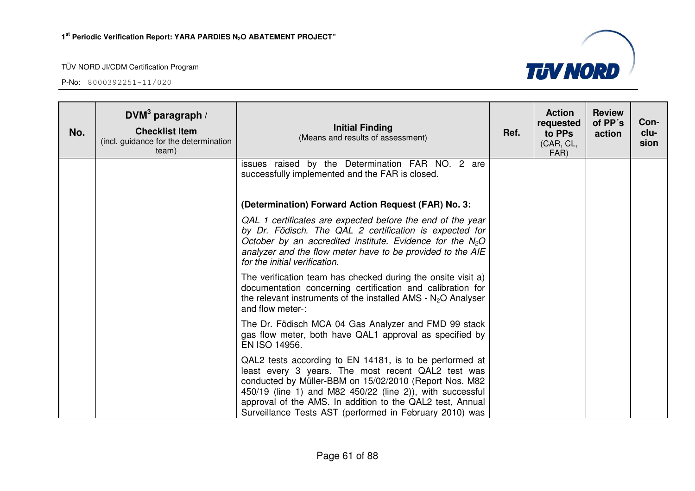

| No. | DVM <sup>3</sup> paragraph /<br><b>Checklist Item</b><br>(incl. guidance for the determination<br>team) | <b>Initial Finding</b><br>(Means and results of assessment)                                                                                                                                                                                                                                                                                                  | Ref. | <b>Action</b><br>requested<br>to PPs<br>(CAR, CL,<br>FAR) | <b>Review</b><br>of PP's<br>action | Con-<br>clu-<br>sion |
|-----|---------------------------------------------------------------------------------------------------------|--------------------------------------------------------------------------------------------------------------------------------------------------------------------------------------------------------------------------------------------------------------------------------------------------------------------------------------------------------------|------|-----------------------------------------------------------|------------------------------------|----------------------|
|     |                                                                                                         | issues raised by the Determination FAR NO. 2 are<br>successfully implemented and the FAR is closed.                                                                                                                                                                                                                                                          |      |                                                           |                                    |                      |
|     |                                                                                                         | (Determination) Forward Action Request (FAR) No. 3:                                                                                                                                                                                                                                                                                                          |      |                                                           |                                    |                      |
|     |                                                                                                         | QAL 1 certificates are expected before the end of the year<br>by Dr. Födisch. The QAL 2 certification is expected for<br>October by an accredited institute. Evidence for the $N_2O$<br>analyzer and the flow meter have to be provided to the AIE<br>for the initial verification.                                                                          |      |                                                           |                                    |                      |
|     |                                                                                                         | The verification team has checked during the onsite visit a)<br>documentation concerning certification and calibration for<br>the relevant instruments of the installed AMS - $N_2O$ Analyser<br>and flow meter-:                                                                                                                                            |      |                                                           |                                    |                      |
|     |                                                                                                         | The Dr. Födisch MCA 04 Gas Analyzer and FMD 99 stack<br>gas flow meter, both have QAL1 approval as specified by<br>EN ISO 14956.                                                                                                                                                                                                                             |      |                                                           |                                    |                      |
|     |                                                                                                         | QAL2 tests according to EN 14181, is to be performed at<br>least every 3 years. The most recent QAL2 test was<br>conducted by Müller-BBM on 15/02/2010 (Report Nos. M82<br>450/19 (line 1) and M82 450/22 (line 2)), with successful<br>approval of the AMS. In addition to the QAL2 test, Annual<br>Surveillance Tests AST (performed in February 2010) was |      |                                                           |                                    |                      |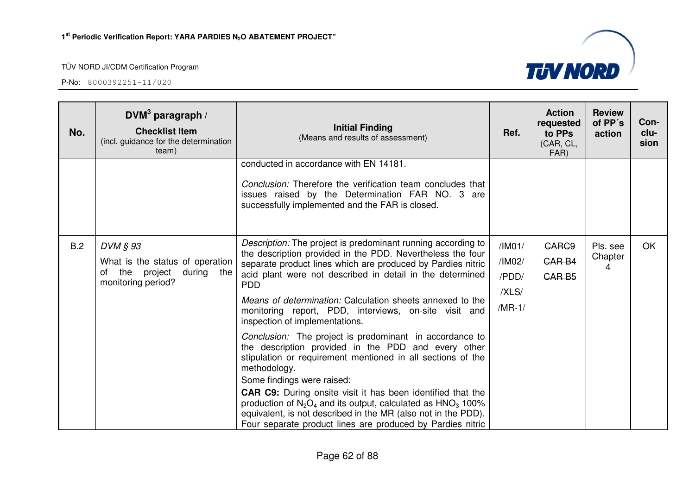| No. | DVM <sup>3</sup> paragraph /<br><b>Checklist Item</b><br>(incl. guidance for the determination<br>team) | <b>Initial Finding</b><br>(Means and results of assessment)                                                                                                                                                                                                                                                                                                                                                                                                                             | Ref.                                           | <b>Action</b><br>requested<br>to PPs<br>(CAR, CL,<br>FAR) | <b>Review</b><br>of PP's<br>action | Con-<br>clu-<br>sion |
|-----|---------------------------------------------------------------------------------------------------------|-----------------------------------------------------------------------------------------------------------------------------------------------------------------------------------------------------------------------------------------------------------------------------------------------------------------------------------------------------------------------------------------------------------------------------------------------------------------------------------------|------------------------------------------------|-----------------------------------------------------------|------------------------------------|----------------------|
|     |                                                                                                         | conducted in accordance with EN 14181.<br>Conclusion: Therefore the verification team concludes that<br>issues raised by the Determination FAR NO. 3 are<br>successfully implemented and the FAR is closed.                                                                                                                                                                                                                                                                             |                                                |                                                           |                                    |                      |
| B.2 | DVM § 93<br>What is the status of operation<br>the<br>project<br>during the<br>οf<br>monitoring period? | Description: The project is predominant running according to<br>the description provided in the PDD. Nevertheless the four<br>separate product lines which are produced by Pardies nitric<br>acid plant were not described in detail in the determined<br><b>PDD</b><br>Means of determination: Calculation sheets annexed to the<br>monitoring report, PDD, interviews, on-site visit and<br>inspection of implementations.<br>Conclusion: The project is predominant in accordance to | /IM01/<br>/IM02/<br>/PDD/<br>/XLS/<br>$/MR-1/$ | <b>CARC9</b><br>CAR B4<br>CAR <sub>B5</sub>               | Pls. see<br>Chapter<br>4           | OK                   |
|     |                                                                                                         | the description provided in the PDD and every other<br>stipulation or requirement mentioned in all sections of the<br>methodology.<br>Some findings were raised:<br><b>CAR C9:</b> During onsite visit it has been identified that the<br>production of $N_2O_4$ and its output, calculated as $HNO_3$ 100%<br>equivalent, is not described in the MR (also not in the PDD).<br>Four separate product lines are produced by Pardies nitric                                              |                                                |                                                           |                                    |                      |

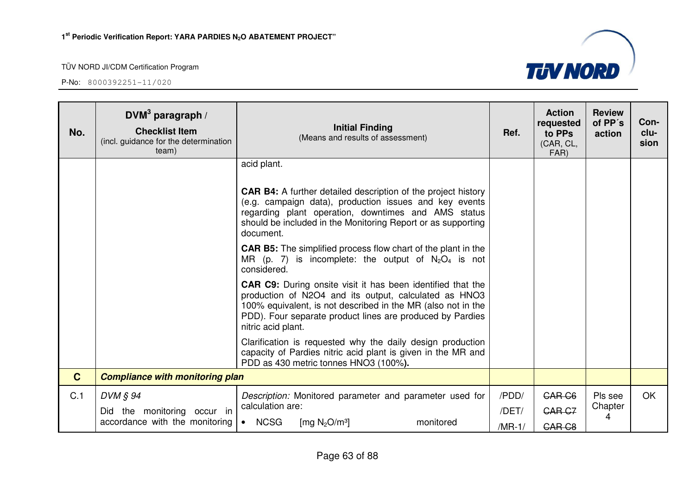

| No.          | DVM <sup>3</sup> paragraph /<br><b>Checklist Item</b><br>(incl. guidance for the determination<br>team) | <b>Initial Finding</b><br>(Means and results of assessment)                                                                                                                                                                                                                    | Ref.     | <b>Action</b><br>requested<br>to PPs<br>(CAR, CL,<br>FAR) | <b>Review</b><br>of PP's<br>action | Con-<br>clu-<br>sion |
|--------------|---------------------------------------------------------------------------------------------------------|--------------------------------------------------------------------------------------------------------------------------------------------------------------------------------------------------------------------------------------------------------------------------------|----------|-----------------------------------------------------------|------------------------------------|----------------------|
|              |                                                                                                         | acid plant.                                                                                                                                                                                                                                                                    |          |                                                           |                                    |                      |
|              |                                                                                                         | <b>CAR B4:</b> A further detailed description of the project history<br>(e.g. campaign data), production issues and key events<br>regarding plant operation, downtimes and AMS status<br>should be included in the Monitoring Report or as supporting<br>document.             |          |                                                           |                                    |                      |
|              |                                                                                                         | <b>CAR B5:</b> The simplified process flow chart of the plant in the<br>MR (p. 7) is incomplete: the output of $N_2O_4$ is not<br>considered.                                                                                                                                  |          |                                                           |                                    |                      |
|              |                                                                                                         | <b>CAR C9:</b> During onsite visit it has been identified that the<br>production of N2O4 and its output, calculated as HNO3<br>100% equivalent, is not described in the MR (also not in the<br>PDD). Four separate product lines are produced by Pardies<br>nitric acid plant. |          |                                                           |                                    |                      |
|              |                                                                                                         | Clarification is requested why the daily design production<br>capacity of Pardies nitric acid plant is given in the MR and<br>PDD as 430 metric tonnes HNO3 (100%).                                                                                                            |          |                                                           |                                    |                      |
| $\mathbf{C}$ | <b>Compliance with monitoring plan</b>                                                                  |                                                                                                                                                                                                                                                                                |          |                                                           |                                    |                      |
| C.1          | $DVM$ $\S$ 94                                                                                           | Description: Monitored parameter and parameter used for                                                                                                                                                                                                                        | /PDD/    | <b>CAR C6</b>                                             | Pls see                            | <b>OK</b>            |
|              | Did the monitoring occur in<br>accordance with the monitoring                                           | calculation are:<br><b>NCSG</b><br>monitored<br>$\bullet$                                                                                                                                                                                                                      | /DET/    | <b>CAR C7</b>                                             | Chapter<br>4                       |                      |
|              |                                                                                                         | [mg $N_2O/m^3$ ]                                                                                                                                                                                                                                                               | $/MR-1/$ | CAR <sub>C8</sub>                                         |                                    |                      |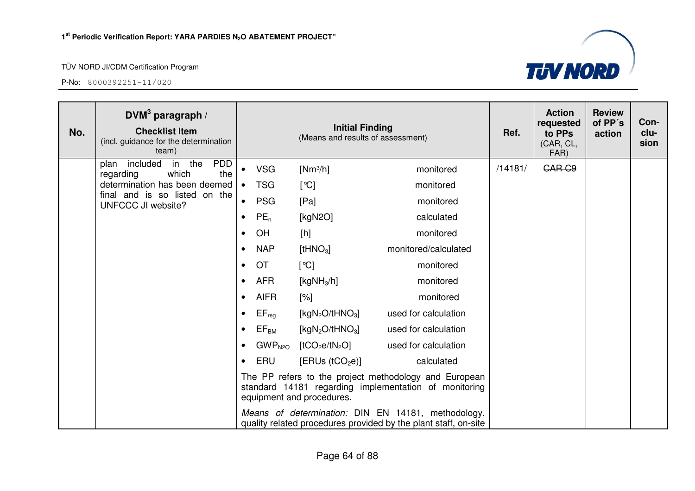

| No. | DVM <sup>3</sup> paragraph /<br><b>Checklist Item</b><br>(incl. guidance for the determination<br>team)                                                    |           | <b>Initial Finding</b><br>(Means and results of assessment) |                                         |                                                                                                                       |         | <b>Action</b><br>requested<br>to PPs<br>(CAR, CL,<br>FAR) | <b>Review</b><br>of PP's<br>action | Con-<br>clu-<br>sion |
|-----|------------------------------------------------------------------------------------------------------------------------------------------------------------|-----------|-------------------------------------------------------------|-----------------------------------------|-----------------------------------------------------------------------------------------------------------------------|---------|-----------------------------------------------------------|------------------------------------|----------------------|
|     | <b>PDD</b><br>included in the<br>plan<br>the<br>which<br>regarding<br>determination has been deemed<br>final and is so listed on the<br>UNFCCC JI website? |           | <b>VSG</b>                                                  | $[Nm^3/h]$                              | monitored                                                                                                             | /14181/ | <b>CAR C9</b>                                             |                                    |                      |
|     |                                                                                                                                                            | $\bullet$ | <b>TSG</b>                                                  | [°C]                                    | monitored                                                                                                             |         |                                                           |                                    |                      |
|     |                                                                                                                                                            | $\bullet$ | <b>PSG</b>                                                  | [Pa]                                    | monitored                                                                                                             |         |                                                           |                                    |                      |
|     |                                                                                                                                                            | $\bullet$ | $PE_n$                                                      | [kgN2O]                                 | calculated                                                                                                            |         |                                                           |                                    |                      |
|     |                                                                                                                                                            | $\bullet$ | OH                                                          | [h]                                     | monitored                                                                                                             |         |                                                           |                                    |                      |
|     |                                                                                                                                                            | $\bullet$ | <b>NAP</b>                                                  | $[$ tHNO $_3]$                          | monitored/calculated                                                                                                  |         |                                                           |                                    |                      |
|     |                                                                                                                                                            | $\bullet$ | <b>OT</b>                                                   | [°C]                                    | monitored                                                                                                             |         |                                                           |                                    |                      |
|     |                                                                                                                                                            | $\bullet$ | <b>AFR</b>                                                  | [ $kgNH3/h$ ]                           | monitored                                                                                                             |         |                                                           |                                    |                      |
|     |                                                                                                                                                            | $\bullet$ | <b>AIFR</b>                                                 | [%]                                     | monitored                                                                                                             |         |                                                           |                                    |                      |
|     |                                                                                                                                                            | $\bullet$ | $EF_{reg}$                                                  | [kg $N_2O/tHNO_3$ ]                     | used for calculation                                                                                                  |         |                                                           |                                    |                      |
|     |                                                                                                                                                            | $\bullet$ | $\mathsf{EF}_\mathsf{BM}$                                   | [kgN <sub>2</sub> O/tHNO <sub>3</sub> ] | used for calculation                                                                                                  |         |                                                           |                                    |                      |
|     |                                                                                                                                                            | $\bullet$ | GWP <sub>N2O</sub>                                          | [tCO <sub>2</sub> e/tN <sub>2</sub> O]  | used for calculation                                                                                                  |         |                                                           |                                    |                      |
|     |                                                                                                                                                            | $\bullet$ | ERU                                                         | [ERUs (tCO <sub>2</sub> e)]             | calculated                                                                                                            |         |                                                           |                                    |                      |
|     |                                                                                                                                                            |           |                                                             | equipment and procedures.               | The PP refers to the project methodology and European<br>standard 14181 regarding implementation of monitoring        |         |                                                           |                                    |                      |
|     |                                                                                                                                                            |           |                                                             |                                         | Means of determination: DIN EN 14181, methodology,<br>quality related procedures provided by the plant staff, on-site |         |                                                           |                                    |                      |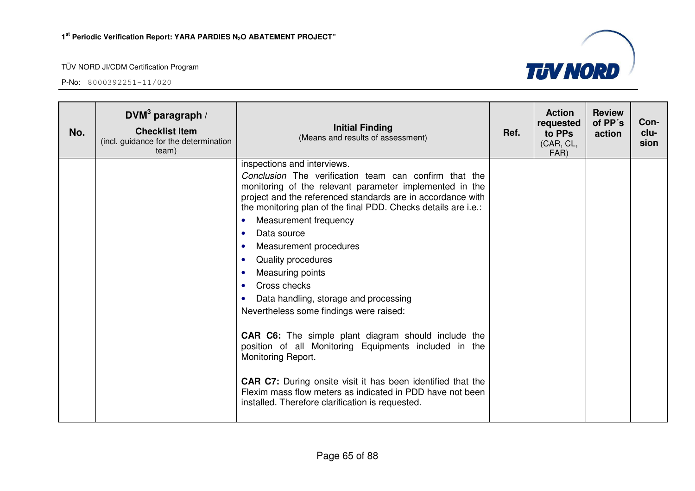

| No. | DVM <sup>3</sup> paragraph /<br><b>Checklist Item</b><br>(incl. guidance for the determination<br>team) | <b>Initial Finding</b><br>(Means and results of assessment)                                                                                                                                                                                                                                                                                                                                                                                                                                                                                                                                                                                                                                                                                                                                                                                                                                                                     | Ref. | <b>Action</b><br>requested<br>to PPs<br>(CAR, CL,<br>FAR) | <b>Review</b><br>of PP's<br>action | Con-<br>clu-<br>sion |
|-----|---------------------------------------------------------------------------------------------------------|---------------------------------------------------------------------------------------------------------------------------------------------------------------------------------------------------------------------------------------------------------------------------------------------------------------------------------------------------------------------------------------------------------------------------------------------------------------------------------------------------------------------------------------------------------------------------------------------------------------------------------------------------------------------------------------------------------------------------------------------------------------------------------------------------------------------------------------------------------------------------------------------------------------------------------|------|-----------------------------------------------------------|------------------------------------|----------------------|
|     |                                                                                                         | inspections and interviews.<br>Conclusion The verification team can confirm that the<br>monitoring of the relevant parameter implemented in the<br>project and the referenced standards are in accordance with<br>the monitoring plan of the final PDD. Checks details are i.e.:<br>Measurement frequency<br>$\bullet$<br>Data source<br>$\bullet$<br>Measurement procedures<br>$\bullet$<br>Quality procedures<br>$\bullet$<br>Measuring points<br>$\bullet$<br>Cross checks<br>$\bullet$<br>Data handling, storage and processing<br>$\bullet$<br>Nevertheless some findings were raised:<br><b>CAR C6:</b> The simple plant diagram should include the<br>position of all Monitoring Equipments included in the<br>Monitoring Report.<br><b>CAR C7:</b> During onsite visit it has been identified that the<br>Flexim mass flow meters as indicated in PDD have not been<br>installed. Therefore clarification is requested. |      |                                                           |                                    |                      |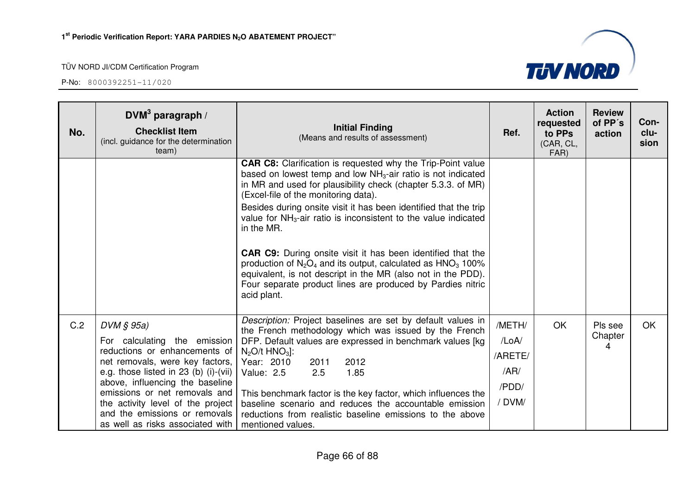| No. | DVM <sup>3</sup> paragraph /<br><b>Checklist Item</b><br>(incl. guidance for the determination<br>team)                                                                                                                                                                                                                               | <b>Initial Finding</b><br>(Means and results of assessment)                                                                                                                                                                                                                                                                                                                                                                                                                                                                                                                                                                                                                                 | Ref.                                                 | <b>Action</b><br>requested<br>to PPs<br>(CAR, CL,<br>FAR) | <b>Review</b><br>of PP's<br>action | Con-<br>clu-<br>sion |
|-----|---------------------------------------------------------------------------------------------------------------------------------------------------------------------------------------------------------------------------------------------------------------------------------------------------------------------------------------|---------------------------------------------------------------------------------------------------------------------------------------------------------------------------------------------------------------------------------------------------------------------------------------------------------------------------------------------------------------------------------------------------------------------------------------------------------------------------------------------------------------------------------------------------------------------------------------------------------------------------------------------------------------------------------------------|------------------------------------------------------|-----------------------------------------------------------|------------------------------------|----------------------|
|     |                                                                                                                                                                                                                                                                                                                                       | <b>CAR C8:</b> Clarification is requested why the Trip-Point value<br>based on lowest temp and low $NH3$ -air ratio is not indicated<br>in MR and used for plausibility check (chapter 5.3.3. of MR)<br>(Excel-file of the monitoring data).<br>Besides during onsite visit it has been identified that the trip<br>value for $NH3$ -air ratio is inconsistent to the value indicated<br>in the MR.<br><b>CAR C9:</b> During onsite visit it has been identified that the<br>production of $N_2O_4$ and its output, calculated as $HNO_3$ 100%<br>equivalent, is not descript in the MR (also not in the PDD).<br>Four separate product lines are produced by Pardies nitric<br>acid plant. |                                                      |                                                           |                                    |                      |
| C.2 | DVM § 95a)<br>For calculating the emission<br>reductions or enhancements of<br>net removals, were key factors,<br>e.g. those listed in 23 (b) (i)-(vii)<br>above, influencing the baseline<br>emissions or net removals and<br>the activity level of the project<br>and the emissions or removals<br>as well as risks associated with | Description: Project baselines are set by default values in<br>the French methodology which was issued by the French<br>DFP. Default values are expressed in benchmark values [kg]<br>$N_2O/t$ HNO <sub>3</sub> :<br>Year: 2010<br>2012<br>2011<br>2.5<br>1.85<br>Value: 2.5<br>This benchmark factor is the key factor, which influences the<br>baseline scenario and reduces the accountable emission<br>reductions from realistic baseline emissions to the above<br>mentioned values.                                                                                                                                                                                                   | /METH/<br>/LoA/<br>/ARETE/<br>/AR/<br>/PDD/<br>/DVM/ | <b>OK</b>                                                 | Pls see<br>Chapter<br>4            | OK.                  |

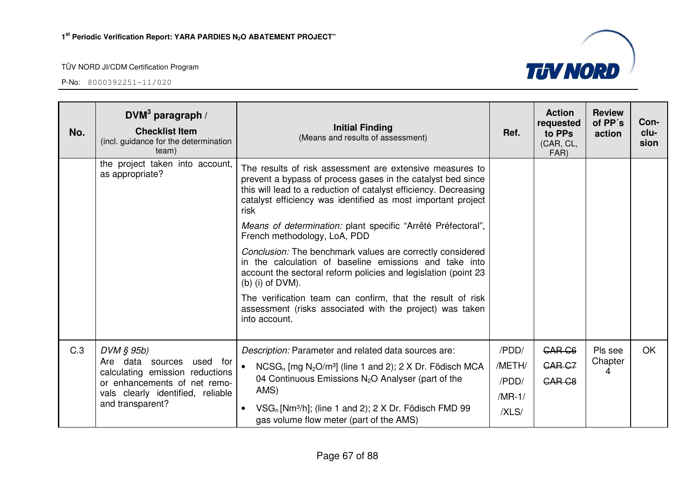as appropriate?

**DVM<sup>3</sup> paragraph / Checklist Item** 

team)

P-No: 8000392251-11/020

**No.** 



|     |                                                                                                                                                                               | $(D)$ (i) of $DVM$ ).<br>The verification team can confirm, that the result of risk<br>assessment (risks associated with the project) was taken<br>into account.                                                                                                                                                              |                                               |                                              |                    |           |
|-----|-------------------------------------------------------------------------------------------------------------------------------------------------------------------------------|-------------------------------------------------------------------------------------------------------------------------------------------------------------------------------------------------------------------------------------------------------------------------------------------------------------------------------|-----------------------------------------------|----------------------------------------------|--------------------|-----------|
| C.3 | $DVM$ $$ 95b)$<br>Are data<br>used for<br>sources<br>calculating emission reductions<br>or enhancements of net remo-<br>vals clearly identified, reliable<br>and transparent? | Description: Parameter and related data sources are:<br>$NCSG_n$ [mg N <sub>2</sub> O/m <sup>3</sup> ] (line 1 and 2); 2 X Dr. Födisch MCA<br>04 Continuous Emissions $N_2O$ Analyser (part of the<br>AMS)<br>$VSG_n$ [Nm <sup>3</sup> /h]; (line 1 and 2); 2 X Dr. Födisch FMD 99<br>gas volume flow meter (part of the AMS) | /PDD/<br>/METH/<br>/PDD/<br>$/MR-1/$<br>/XLS/ | CAR <sub>C6</sub><br><b>CAR C7</b><br>CAR C8 | Pls see<br>Chapter | <b>OK</b> |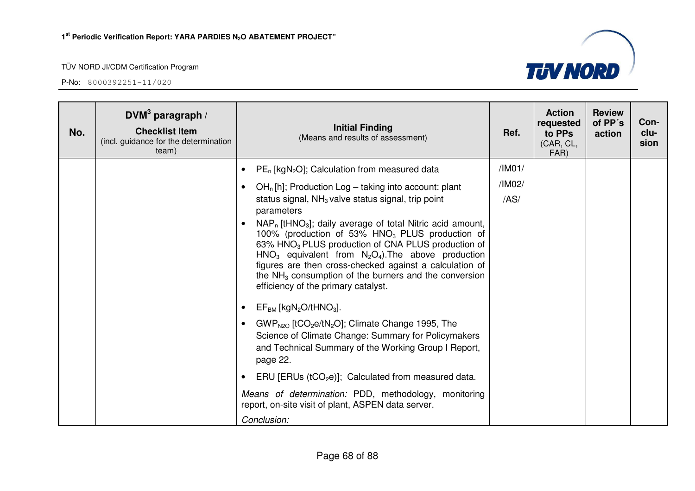

| No. | DVM <sup>3</sup> paragraph /<br><b>Checklist Item</b><br>(incl. guidance for the determination<br>team) | <b>Initial Finding</b><br>(Means and results of assessment)                                                                                                                                                                                                                                                                                                                                                                                                                                                                                                                                                                                                       | Ref.   | <b>Action</b><br>requested<br>to PPs<br>(CAR, CL,<br>FAR) | <b>Review</b><br>of PP's<br>action | Con-<br>clu-<br>sion |
|-----|---------------------------------------------------------------------------------------------------------|-------------------------------------------------------------------------------------------------------------------------------------------------------------------------------------------------------------------------------------------------------------------------------------------------------------------------------------------------------------------------------------------------------------------------------------------------------------------------------------------------------------------------------------------------------------------------------------------------------------------------------------------------------------------|--------|-----------------------------------------------------------|------------------------------------|----------------------|
|     |                                                                                                         | $PE_n$ [kgN <sub>2</sub> O]; Calculation from measured data                                                                                                                                                                                                                                                                                                                                                                                                                                                                                                                                                                                                       | /IMO1/ |                                                           |                                    |                      |
|     |                                                                                                         | $OHn[h]$ ; Production Log – taking into account: plant<br>$\bullet$                                                                                                                                                                                                                                                                                                                                                                                                                                                                                                                                                                                               | /IM02/ |                                                           |                                    |                      |
|     |                                                                                                         | status signal, $NH3$ valve status signal, trip point<br>parameters<br>NAP <sub>n</sub> [tHNO <sub>3</sub> ]; daily average of total Nitric acid amount,<br>$\bullet$<br>100% (production of 53% HNO <sub>3</sub> PLUS production of<br>63% HNO <sub>3</sub> PLUS production of CNA PLUS production of<br>$HNO3$ equivalent from $N2O4$ ). The above production<br>figures are then cross-checked against a calculation of<br>the $NH3$ consumption of the burners and the conversion<br>efficiency of the primary catalyst.<br>$EF_{BM}$ [kgN <sub>2</sub> O/tHNO <sub>3</sub> ].<br>$GWP_{N2O}$ [tCO <sub>2</sub> e/tN <sub>2</sub> O]; Climate Change 1995, The | /AS/   |                                                           |                                    |                      |
|     |                                                                                                         | Science of Climate Change: Summary for Policymakers<br>and Technical Summary of the Working Group I Report,<br>page 22.                                                                                                                                                                                                                                                                                                                                                                                                                                                                                                                                           |        |                                                           |                                    |                      |
|     |                                                                                                         | ERU [ERUs ( $tCO2e$ )]; Calculated from measured data.                                                                                                                                                                                                                                                                                                                                                                                                                                                                                                                                                                                                            |        |                                                           |                                    |                      |
|     |                                                                                                         | Means of determination: PDD, methodology, monitoring<br>report, on-site visit of plant, ASPEN data server.                                                                                                                                                                                                                                                                                                                                                                                                                                                                                                                                                        |        |                                                           |                                    |                      |
|     |                                                                                                         | Conclusion:                                                                                                                                                                                                                                                                                                                                                                                                                                                                                                                                                                                                                                                       |        |                                                           |                                    |                      |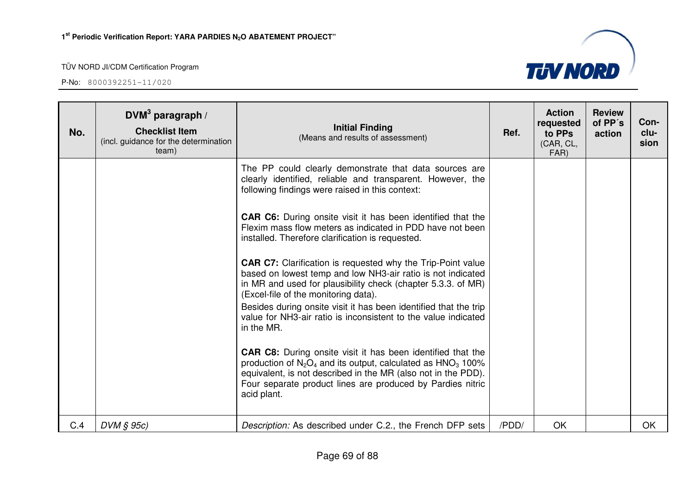

| No. | DVM <sup>3</sup> paragraph /<br><b>Checklist Item</b><br>(incl. guidance for the determination<br>team) | <b>Initial Finding</b><br>(Means and results of assessment)                                                                                                                                                                                                                           | Ref.  | <b>Action</b><br>requested<br>to PPs<br>(CAR, CL,<br>FAR) | <b>Review</b><br>of PP's<br>action | Con-<br>clu-<br>sion |
|-----|---------------------------------------------------------------------------------------------------------|---------------------------------------------------------------------------------------------------------------------------------------------------------------------------------------------------------------------------------------------------------------------------------------|-------|-----------------------------------------------------------|------------------------------------|----------------------|
|     |                                                                                                         | The PP could clearly demonstrate that data sources are<br>clearly identified, reliable and transparent. However, the<br>following findings were raised in this context:                                                                                                               |       |                                                           |                                    |                      |
|     |                                                                                                         | <b>CAR C6:</b> During onsite visit it has been identified that the<br>Flexim mass flow meters as indicated in PDD have not been<br>installed. Therefore clarification is requested.                                                                                                   |       |                                                           |                                    |                      |
|     |                                                                                                         | <b>CAR C7:</b> Clarification is requested why the Trip-Point value<br>based on lowest temp and low NH3-air ratio is not indicated<br>in MR and used for plausibility check (chapter 5.3.3. of MR)<br>(Excel-file of the monitoring data).                                             |       |                                                           |                                    |                      |
|     |                                                                                                         | Besides during onsite visit it has been identified that the trip<br>value for NH3-air ratio is inconsistent to the value indicated<br>in the MR.                                                                                                                                      |       |                                                           |                                    |                      |
|     |                                                                                                         | <b>CAR C8:</b> During onsite visit it has been identified that the<br>production of $N_2O_4$ and its output, calculated as $HNO_3$ 100%<br>equivalent, is not described in the MR (also not in the PDD).<br>Four separate product lines are produced by Pardies nitric<br>acid plant. |       |                                                           |                                    |                      |
| C.4 | DVM § 95c)                                                                                              | Description: As described under C.2., the French DFP sets                                                                                                                                                                                                                             | /PDD/ | OK                                                        |                                    | OK                   |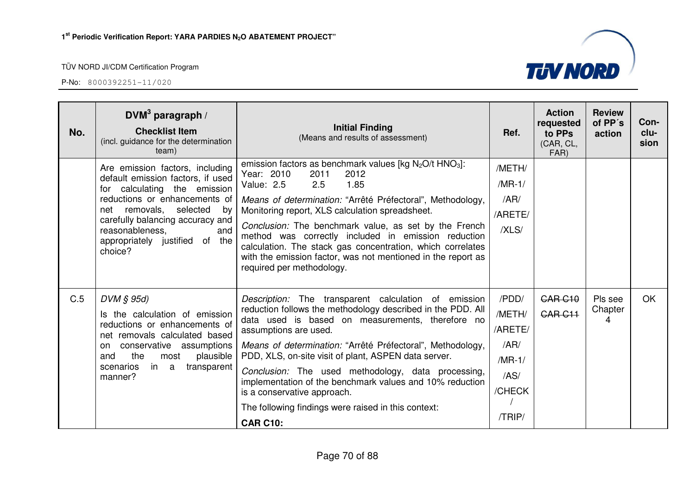| No. | DVM <sup>3</sup> paragraph /<br><b>Checklist Item</b><br>(incl. guidance for the determination<br>team)                                                                                                                                                                             | <b>Initial Finding</b><br>(Means and results of assessment)                                                                                                                                                                                                                                                                                                                                                                                                                                                                                       | Ref.                                                                       | <b>Action</b><br>requested<br>to PPs<br>(CAR, CL,<br>FAR) | <b>Review</b><br>of PP's<br>action | Con-<br>clu-<br>sion |
|-----|-------------------------------------------------------------------------------------------------------------------------------------------------------------------------------------------------------------------------------------------------------------------------------------|---------------------------------------------------------------------------------------------------------------------------------------------------------------------------------------------------------------------------------------------------------------------------------------------------------------------------------------------------------------------------------------------------------------------------------------------------------------------------------------------------------------------------------------------------|----------------------------------------------------------------------------|-----------------------------------------------------------|------------------------------------|----------------------|
|     | Are emission factors, including<br>default emission factors, if used<br>for calculating the emission<br>reductions or enhancements of<br>net removals,<br>selected<br>bv<br>carefully balancing accuracy and<br>and<br>reasonableness,<br>appropriately justified of the<br>choice? | emission factors as benchmark values [kg N <sub>2</sub> O/t HNO <sub>3</sub> ]:<br>Year: 2010<br>2011<br>2012<br>2.5<br>1.85<br>Value: 2.5<br>Means of determination: "Arrêté Préfectoral", Methodology,<br>Monitoring report, XLS calculation spreadsheet.<br>Conclusion: The benchmark value, as set by the French<br>method was correctly included in emission reduction<br>calculation. The stack gas concentration, which correlates<br>with the emission factor, was not mentioned in the report as<br>required per methodology.            | /METH/<br>$/MR-1/$<br>/AR/<br>/ARETE/<br>/XLS/                             |                                                           |                                    |                      |
| C.5 | $DVM \S 95d$<br>Is the calculation of emission<br>reductions or enhancements of<br>net removals calculated based<br>conservative assumptions<br>on.<br>the<br>and<br>most<br>plausible<br>transparent<br>scenarios<br>in a<br>manner?                                               | Description: The transparent calculation of emission<br>reduction follows the methodology described in the PDD. All<br>data used is based on measurements, therefore no<br>assumptions are used.<br>Means of determination: "Arrêté Préfectoral", Methodology,<br>PDD, XLS, on-site visit of plant, ASPEN data server.<br>Conclusion: The used methodology, data processing,<br>implementation of the benchmark values and 10% reduction<br>is a conservative approach.<br>The following findings were raised in this context:<br><b>CAR C10:</b> | /PDD/<br>/METH/<br>/ARETE/<br>/AR/<br>$/MR-1/$<br>/AS/<br>/CHECK<br>/TRIP/ | <b>CAR C10</b><br>CAR <sub>C11</sub>                      | Pls see<br>Chapter<br>4            | <b>OK</b>            |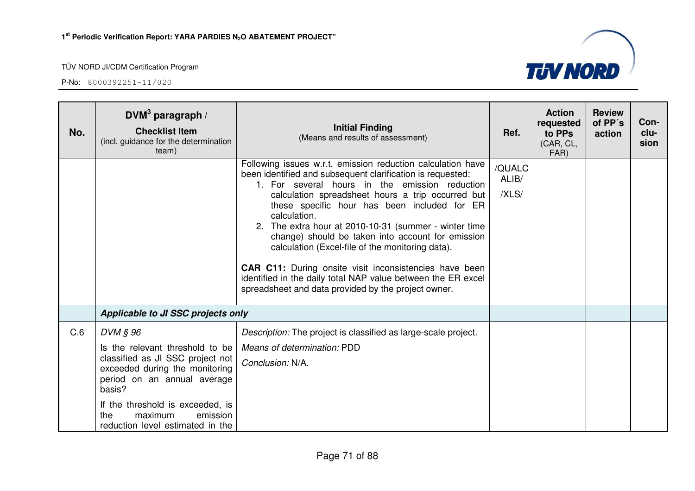

| No. | DVM <sup>3</sup> paragraph /<br><b>Checklist Item</b><br>(incl. guidance for the determination<br>team)                                                                                                                                                          | <b>Initial Finding</b><br>(Means and results of assessment)                                                                                                                                                                                                                                                                                                                                                                                                                                                                                                                                                                                                | Ref.                     | <b>Action</b><br>requested<br>to PPs<br>(CAR, CL,<br>FAR) | <b>Review</b><br>of PP's<br>action | Con-<br>clu-<br>sion |
|-----|------------------------------------------------------------------------------------------------------------------------------------------------------------------------------------------------------------------------------------------------------------------|------------------------------------------------------------------------------------------------------------------------------------------------------------------------------------------------------------------------------------------------------------------------------------------------------------------------------------------------------------------------------------------------------------------------------------------------------------------------------------------------------------------------------------------------------------------------------------------------------------------------------------------------------------|--------------------------|-----------------------------------------------------------|------------------------------------|----------------------|
|     |                                                                                                                                                                                                                                                                  | Following issues w.r.t. emission reduction calculation have<br>been identified and subsequent clarification is requested:<br>1. For several hours in the emission reduction<br>calculation spreadsheet hours a trip occurred but<br>these specific hour has been included for ER<br>calculation.<br>2. The extra hour at 2010-10-31 (summer - winter time<br>change) should be taken into account for emission<br>calculation (Excel-file of the monitoring data).<br><b>CAR C11:</b> During onsite visit inconsistencies have been<br>identified in the daily total NAP value between the ER excel<br>spreadsheet and data provided by the project owner. | /QUALC<br>ALIB/<br>/XLS/ |                                                           |                                    |                      |
|     | Applicable to JI SSC projects only                                                                                                                                                                                                                               |                                                                                                                                                                                                                                                                                                                                                                                                                                                                                                                                                                                                                                                            |                          |                                                           |                                    |                      |
| C.6 | DVM § 96<br>Is the relevant threshold to be<br>classified as JI SSC project not<br>exceeded during the monitoring<br>period on an annual average<br>basis?<br>If the threshold is exceeded, is<br>the<br>maximum<br>emission<br>reduction level estimated in the | Description: The project is classified as large-scale project.<br>Means of determination: PDD<br>Conclusion: N/A.                                                                                                                                                                                                                                                                                                                                                                                                                                                                                                                                          |                          |                                                           |                                    |                      |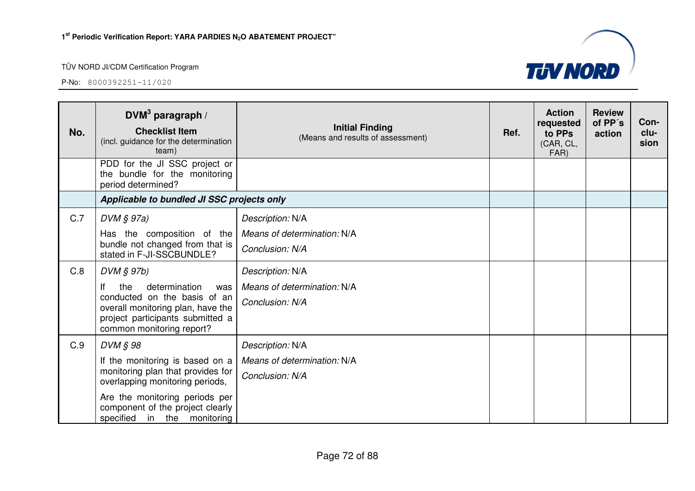

| No.        | DVM <sup>3</sup> paragraph /<br><b>Checklist Item</b><br>(incl. guidance for the determination<br>team)                                                                                              | <b>Initial Finding</b><br>(Means and results of assessment)                                                                              | Ref. | <b>Action</b><br>requested<br>to PPs<br>(CAR, CL,<br>FAR) | <b>Review</b><br>of PP's<br>action | Con-<br>clu-<br>sion |
|------------|------------------------------------------------------------------------------------------------------------------------------------------------------------------------------------------------------|------------------------------------------------------------------------------------------------------------------------------------------|------|-----------------------------------------------------------|------------------------------------|----------------------|
|            | PDD for the JI SSC project or<br>the bundle for the monitoring<br>period determined?                                                                                                                 |                                                                                                                                          |      |                                                           |                                    |                      |
|            | Applicable to bundled JI SSC projects only                                                                                                                                                           |                                                                                                                                          |      |                                                           |                                    |                      |
| C.7<br>C.8 | $DVM \S 97a)$<br>Has the composition of the<br>bundle not changed from that is  <br>stated in F-JI-SSCBUNDLE?<br>$DVM$ $S$ 97b)<br>If<br>determination<br>the<br>was<br>conducted on the basis of an | Description: N/A<br>Means of determination: N/A<br>Conclusion: N/A<br>Description: N/A<br>Means of determination: N/A<br>Conclusion: N/A |      |                                                           |                                    |                      |
|            | overall monitoring plan, have the<br>project participants submitted a<br>common monitoring report?                                                                                                   |                                                                                                                                          |      |                                                           |                                    |                      |
| C.9        | DVM § 98                                                                                                                                                                                             | Description: N/A                                                                                                                         |      |                                                           |                                    |                      |
|            | If the monitoring is based on a<br>monitoring plan that provides for<br>overlapping monitoring periods,                                                                                              | Means of determination: N/A<br>Conclusion: N/A                                                                                           |      |                                                           |                                    |                      |
|            | Are the monitoring periods per<br>component of the project clearly<br>specified in the monitoring                                                                                                    |                                                                                                                                          |      |                                                           |                                    |                      |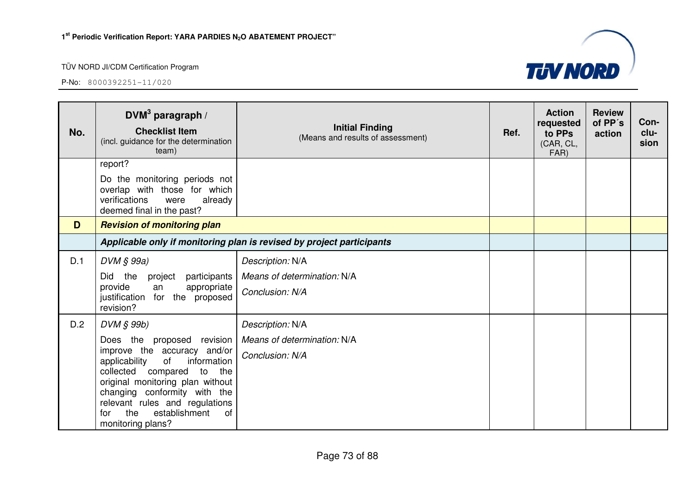

| No. | DVM <sup>3</sup> paragraph /<br><b>Checklist Item</b><br>(incl. guidance for the determination<br>team)                                                                                                                                                                                                             | <b>Initial Finding</b><br>(Means and results of assessment)           | Ref. | <b>Action</b><br>requested<br>to PPs<br>(CAR, CL,<br>FAR) | <b>Review</b><br>of PP's<br>action | Con-<br>clu-<br>sion |
|-----|---------------------------------------------------------------------------------------------------------------------------------------------------------------------------------------------------------------------------------------------------------------------------------------------------------------------|-----------------------------------------------------------------------|------|-----------------------------------------------------------|------------------------------------|----------------------|
|     | report?<br>Do the monitoring periods not<br>overlap with those for which<br>verifications<br>were<br>already<br>deemed final in the past?                                                                                                                                                                           |                                                                       |      |                                                           |                                    |                      |
| D   | <b>Revision of monitoring plan</b>                                                                                                                                                                                                                                                                                  |                                                                       |      |                                                           |                                    |                      |
|     |                                                                                                                                                                                                                                                                                                                     | Applicable only if monitoring plan is revised by project participants |      |                                                           |                                    |                      |
| D.1 | $DVM \S 99a)$<br>Did the<br>project<br>participants<br>provide<br>appropriate<br>an<br>justification for the proposed<br>revision?                                                                                                                                                                                  | Description: N/A<br>Means of determination: N/A<br>Conclusion: N/A    |      |                                                           |                                    |                      |
| D.2 | DVM § 99b)<br>Does the<br>proposed revision<br>improve the accuracy and/or<br>information<br>applicability<br>of<br>collected compared<br>to<br>the<br>original monitoring plan without<br>changing conformity with the<br>relevant rules and regulations<br>establishment<br>the<br>of<br>for<br>monitoring plans? | Description: N/A<br>Means of determination: N/A<br>Conclusion: N/A    |      |                                                           |                                    |                      |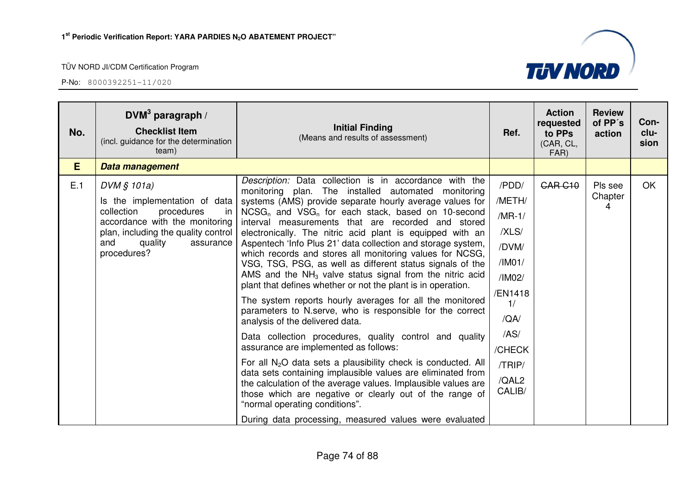| No. | DVM <sup>3</sup> paragraph /<br><b>Checklist Item</b><br>(incl. guidance for the determination<br>team)                                                                                                 | <b>Initial Finding</b><br>(Means and results of assessment)                                                                                                                                                                                                                                                                                                                                                                                                                                                                                                                                                                                                                                                                                                                                                                                                                                                                                                                                                                                                                                                                                                                                                                                                                                              | Ref.                                                                                                                                      | <b>Action</b><br>requested<br>to PPs<br>(CAR, CL,<br>FAR) | <b>Review</b><br>of PP's<br>action | Con-<br>clu-<br>sion |
|-----|---------------------------------------------------------------------------------------------------------------------------------------------------------------------------------------------------------|----------------------------------------------------------------------------------------------------------------------------------------------------------------------------------------------------------------------------------------------------------------------------------------------------------------------------------------------------------------------------------------------------------------------------------------------------------------------------------------------------------------------------------------------------------------------------------------------------------------------------------------------------------------------------------------------------------------------------------------------------------------------------------------------------------------------------------------------------------------------------------------------------------------------------------------------------------------------------------------------------------------------------------------------------------------------------------------------------------------------------------------------------------------------------------------------------------------------------------------------------------------------------------------------------------|-------------------------------------------------------------------------------------------------------------------------------------------|-----------------------------------------------------------|------------------------------------|----------------------|
| E.  | Data management                                                                                                                                                                                         |                                                                                                                                                                                                                                                                                                                                                                                                                                                                                                                                                                                                                                                                                                                                                                                                                                                                                                                                                                                                                                                                                                                                                                                                                                                                                                          |                                                                                                                                           |                                                           |                                    |                      |
| E.1 | $DVM$ § 101a)<br>Is the implementation of data<br>collection<br>procedures<br>in<br>accordance with the monitoring<br>plan, including the quality control<br>quality<br>and<br>assurance<br>procedures? | Description: Data collection is in accordance with the<br>monitoring plan. The installed automated monitoring<br>systems (AMS) provide separate hourly average values for<br>$NCSG_n$ and $VSG_n$ for each stack, based on 10-second<br>interval measurements that are recorded and stored<br>electronically. The nitric acid plant is equipped with an<br>Aspentech 'Info Plus 21' data collection and storage system,<br>which records and stores all monitoring values for NCSG,<br>VSG, TSG, PSG, as well as different status signals of the<br>AMS and the $NH3$ valve status signal from the nitric acid<br>plant that defines whether or not the plant is in operation.<br>The system reports hourly averages for all the monitored<br>parameters to N.serve, who is responsible for the correct<br>analysis of the delivered data.<br>Data collection procedures, quality control and quality<br>assurance are implemented as follows:<br>For all $N_2O$ data sets a plausibility check is conducted. All<br>data sets containing implausible values are eliminated from<br>the calculation of the average values. Implausible values are<br>those which are negative or clearly out of the range of<br>"normal operating conditions".<br>During data processing, measured values were evaluated | /PDD/<br>/METH/<br>$/MR-1/$<br>/XLS/<br>/DVM/<br>/IM01/<br>/IM02/<br>/EN1418<br>1/<br>/QA/<br>/AS/<br>/CHECK<br>/TRIP/<br>/QAL2<br>CALIB/ | <b>CAR C10</b>                                            | Pls see<br>Chapter<br>4            | <b>OK</b>            |

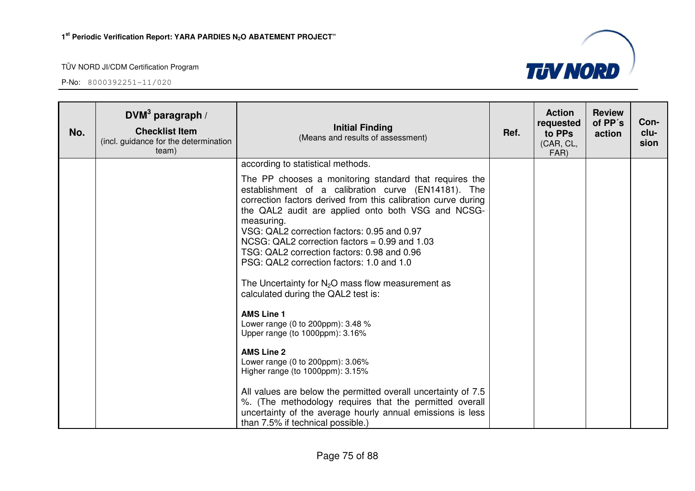

| No. | $DVM3$ paragraph /<br><b>Checklist Item</b><br>(incl. guidance for the determination<br>team) | <b>Initial Finding</b><br>(Means and results of assessment)                                                                                                                                                                                                                                                                                                                                                                                                                                                                                                                                                                                                                                                                                                                                                                                                                                                                                                                                                  | Ref. | <b>Action</b><br>requested<br>to PPs<br>(CAR, CL,<br>FAR) | <b>Review</b><br>of PP's<br>action | Con-<br>clu-<br>sion |
|-----|-----------------------------------------------------------------------------------------------|--------------------------------------------------------------------------------------------------------------------------------------------------------------------------------------------------------------------------------------------------------------------------------------------------------------------------------------------------------------------------------------------------------------------------------------------------------------------------------------------------------------------------------------------------------------------------------------------------------------------------------------------------------------------------------------------------------------------------------------------------------------------------------------------------------------------------------------------------------------------------------------------------------------------------------------------------------------------------------------------------------------|------|-----------------------------------------------------------|------------------------------------|----------------------|
|     |                                                                                               | according to statistical methods.<br>The PP chooses a monitoring standard that requires the<br>establishment of a calibration curve (EN14181). The<br>correction factors derived from this calibration curve during<br>the QAL2 audit are applied onto both VSG and NCSG-<br>measuring.<br>VSG: QAL2 correction factors: 0.95 and 0.97<br>NCSG: QAL2 correction factors = $0.99$ and 1.03<br>TSG: QAL2 correction factors: 0.98 and 0.96<br>PSG: QAL2 correction factors: 1.0 and 1.0<br>The Uncertainty for $N_2O$ mass flow measurement as<br>calculated during the QAL2 test is:<br><b>AMS Line 1</b><br>Lower range (0 to 200ppm): 3.48 %<br>Upper range (to 1000ppm): 3.16%<br><b>AMS Line 2</b><br>Lower range (0 to 200ppm): 3.06%<br>Higher range (to 1000ppm): 3.15%<br>All values are below the permitted overall uncertainty of 7.5<br>%. (The methodology requires that the permitted overall<br>uncertainty of the average hourly annual emissions is less<br>than 7.5% if technical possible.) |      |                                                           |                                    |                      |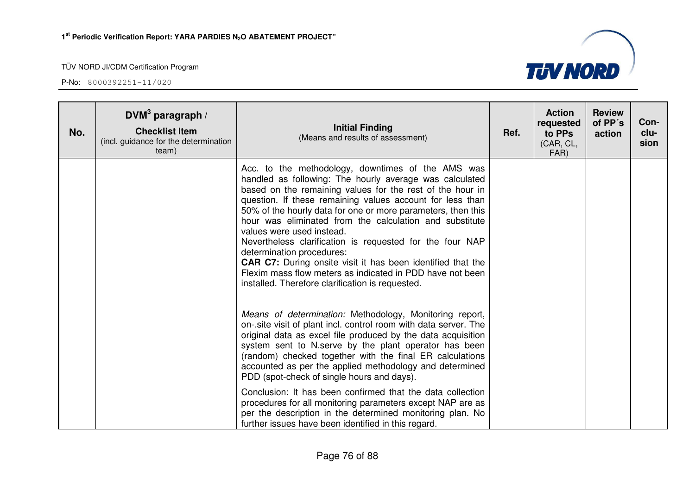P-No: 8000392251-11/020

**No.** 



PDD (spot-check of single hours and days).Conclusion: It has been confirmed that the data collection procedures for all monitoring parameters except NAP are as per the description in the determined monitoring plan. No further issues have been identified in this regard.

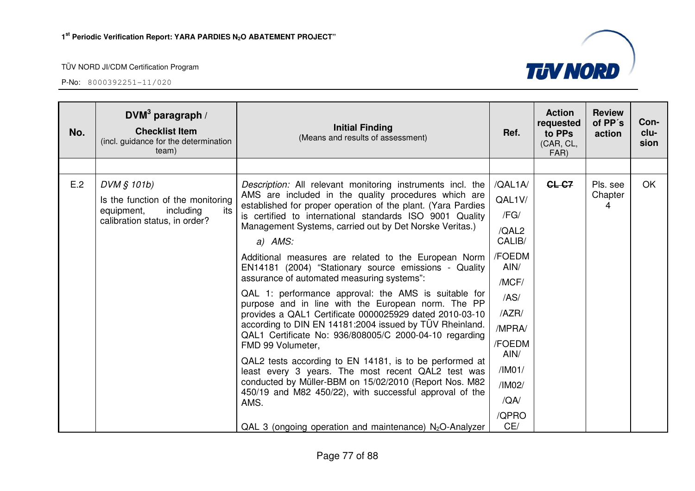| No. | $DVM3$ paragraph /<br><b>Checklist Item</b><br>(incl. guidance for the determination<br>team)                       | <b>Initial Finding</b><br>(Means and results of assessment)                                                                                                                                                                                                                                                                                                                                                                                                                                                                                                                                                                                                                                                                                                                                                                                                                                                                                                                                                                                                                                                        | Ref.                                                                                                                                                             | <b>Action</b><br>requested<br>to PPs<br>(CAR, CL,<br>FAR) | <b>Review</b><br>of PP's<br>action | Con-<br>clu-<br>sion |
|-----|---------------------------------------------------------------------------------------------------------------------|--------------------------------------------------------------------------------------------------------------------------------------------------------------------------------------------------------------------------------------------------------------------------------------------------------------------------------------------------------------------------------------------------------------------------------------------------------------------------------------------------------------------------------------------------------------------------------------------------------------------------------------------------------------------------------------------------------------------------------------------------------------------------------------------------------------------------------------------------------------------------------------------------------------------------------------------------------------------------------------------------------------------------------------------------------------------------------------------------------------------|------------------------------------------------------------------------------------------------------------------------------------------------------------------|-----------------------------------------------------------|------------------------------------|----------------------|
|     |                                                                                                                     |                                                                                                                                                                                                                                                                                                                                                                                                                                                                                                                                                                                                                                                                                                                                                                                                                                                                                                                                                                                                                                                                                                                    |                                                                                                                                                                  |                                                           |                                    |                      |
| E.2 | DVM § 101b)<br>Is the function of the monitoring<br>including<br>its<br>equipment,<br>calibration status, in order? | Description: All relevant monitoring instruments incl. the<br>AMS are included in the quality procedures which are<br>established for proper operation of the plant. (Yara Pardies<br>is certified to international standards ISO 9001 Quality<br>Management Systems, carried out by Det Norske Veritas.)<br>a) AMS:<br>Additional measures are related to the European Norm<br>EN14181 (2004) "Stationary source emissions - Quality<br>assurance of automated measuring systems":<br>QAL 1: performance approval: the AMS is suitable for<br>purpose and in line with the European norm. The PP<br>provides a QAL1 Certificate 0000025929 dated 2010-03-10<br>according to DIN EN 14181:2004 issued by TÜV Rheinland.<br>QAL1 Certificate No: 936/808005/C 2000-04-10 regarding<br>FMD 99 Volumeter,<br>QAL2 tests according to EN 14181, is to be performed at<br>least every 3 years. The most recent QAL2 test was<br>conducted by Müller-BBM on 15/02/2010 (Report Nos. M82<br>450/19 and M82 450/22), with successful approval of the<br>AMS.<br>QAL 3 (ongoing operation and maintenance) $N_2O$ -Analyzer | /QAL1A/<br>QAL1V/<br>/FG/<br>/QAL2<br>CALIB/<br>/FOEDM<br>AlN/<br>/MCF/<br>/AS/<br>/AZR/<br>/MPRA/<br>/FOEDM<br>AIN/<br>/IM01/<br>/IM02/<br>/QA/<br>/QPRO<br>CE/ | CL-C7                                                     | Pls. see<br>Chapter<br>4           | OK.                  |

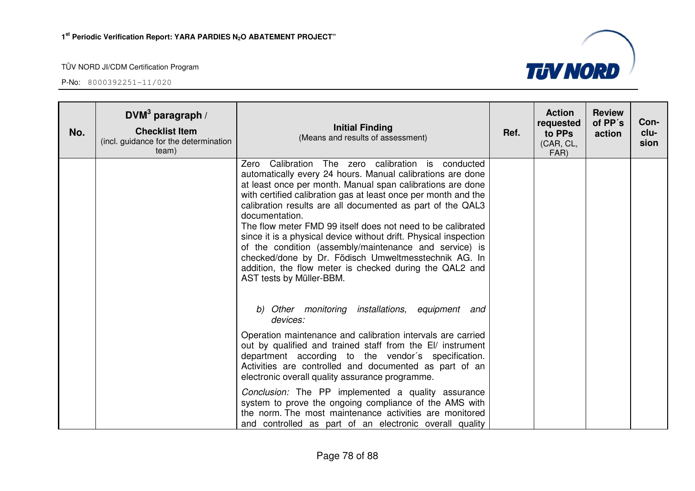

| No. | $DWM3$ paragraph /<br><b>Checklist Item</b><br>(incl. guidance for the determination<br>team) | <b>Initial Finding</b><br>(Means and results of assessment)                                                                                                                                                                                                                                                                                                                                                                                                                                                                                                                                                                                                                  | Ref. | <b>Action</b><br>requested<br>to PPs<br>(CAR, CL,<br>FAR) | <b>Review</b><br>of PP's<br>action | Con-<br>clu-<br>sion |
|-----|-----------------------------------------------------------------------------------------------|------------------------------------------------------------------------------------------------------------------------------------------------------------------------------------------------------------------------------------------------------------------------------------------------------------------------------------------------------------------------------------------------------------------------------------------------------------------------------------------------------------------------------------------------------------------------------------------------------------------------------------------------------------------------------|------|-----------------------------------------------------------|------------------------------------|----------------------|
|     |                                                                                               | Zero Calibration The zero calibration is conducted<br>automatically every 24 hours. Manual calibrations are done<br>at least once per month. Manual span calibrations are done<br>with certified calibration gas at least once per month and the<br>calibration results are all documented as part of the QAL3<br>documentation.<br>The flow meter FMD 99 itself does not need to be calibrated<br>since it is a physical device without drift. Physical inspection<br>of the condition (assembly/maintenance and service) is<br>checked/done by Dr. Födisch Umweltmesstechnik AG. In<br>addition, the flow meter is checked during the QAL2 and<br>AST tests by Müller-BBM. |      |                                                           |                                    |                      |
|     |                                                                                               | b) Other monitoring installations, equipment and<br>devices:<br>Operation maintenance and calibration intervals are carried<br>out by qualified and trained staff from the EI/ instrument<br>department according to the vendor's specification.<br>Activities are controlled and documented as part of an<br>electronic overall quality assurance programme.                                                                                                                                                                                                                                                                                                                |      |                                                           |                                    |                      |
|     |                                                                                               | Conclusion: The PP implemented a quality assurance<br>system to prove the ongoing compliance of the AMS with<br>the norm. The most maintenance activities are monitored<br>and controlled as part of an electronic overall quality                                                                                                                                                                                                                                                                                                                                                                                                                                           |      |                                                           |                                    |                      |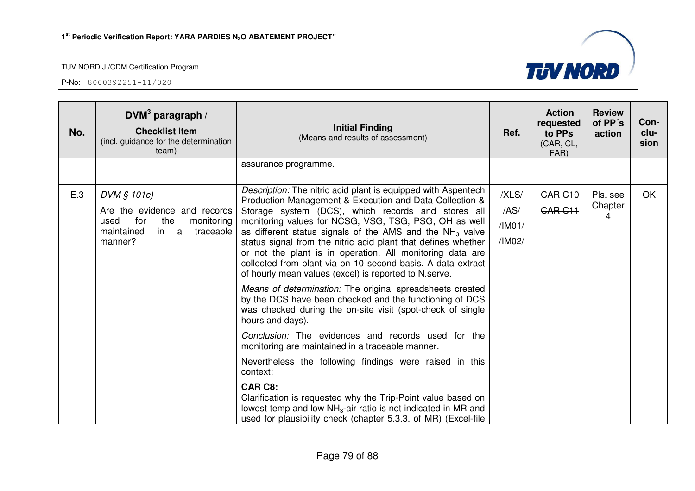

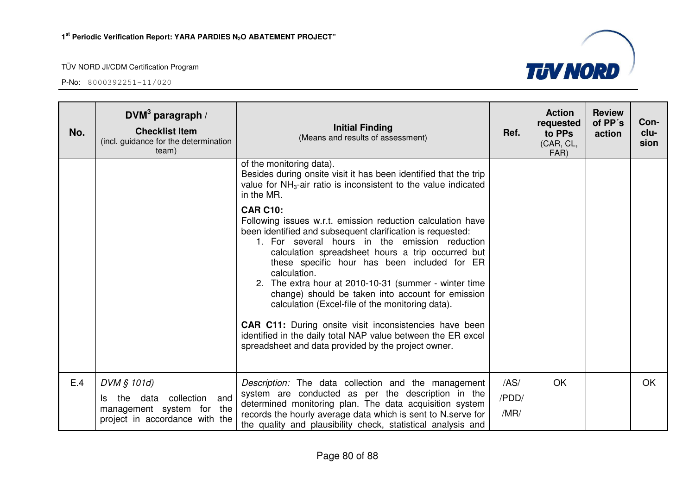

| No. | DVM <sup>3</sup> paragraph /<br><b>Checklist Item</b><br>(incl. guidance for the determination<br>team)         | <b>Initial Finding</b><br>(Means and results of assessment)                                                                                                                                                                                                                                                                                                                                                                                                                                                                                                                                                                                                                   | Ref.                  | <b>Action</b><br>requested<br>to PPs<br>(CAR, CL,<br>FAR) | <b>Review</b><br>of PP's<br>action | Con-<br>clu-<br>sion |
|-----|-----------------------------------------------------------------------------------------------------------------|-------------------------------------------------------------------------------------------------------------------------------------------------------------------------------------------------------------------------------------------------------------------------------------------------------------------------------------------------------------------------------------------------------------------------------------------------------------------------------------------------------------------------------------------------------------------------------------------------------------------------------------------------------------------------------|-----------------------|-----------------------------------------------------------|------------------------------------|----------------------|
|     |                                                                                                                 | of the monitoring data).<br>Besides during onsite visit it has been identified that the trip<br>value for $NH3$ -air ratio is inconsistent to the value indicated<br>in the MR.                                                                                                                                                                                                                                                                                                                                                                                                                                                                                               |                       |                                                           |                                    |                      |
|     |                                                                                                                 | <b>CAR C10:</b><br>Following issues w.r.t. emission reduction calculation have<br>been identified and subsequent clarification is requested:<br>1. For several hours in the emission reduction<br>calculation spreadsheet hours a trip occurred but<br>these specific hour has been included for ER<br>calculation.<br>2. The extra hour at 2010-10-31 (summer - winter time<br>change) should be taken into account for emission<br>calculation (Excel-file of the monitoring data).<br><b>CAR C11:</b> During onsite visit inconsistencies have been<br>identified in the daily total NAP value between the ER excel<br>spreadsheet and data provided by the project owner. |                       |                                                           |                                    |                      |
| E.4 | DVM § 101d)<br>collection and<br>the data<br>ls.<br>management system for the<br>project in accordance with the | Description: The data collection and the management<br>system are conducted as per the description in the<br>determined monitoring plan. The data acquisition system<br>records the hourly average data which is sent to N.serve for<br>the quality and plausibility check, statistical analysis and                                                                                                                                                                                                                                                                                                                                                                          | /AS/<br>/PDD/<br>/MR/ | OK                                                        |                                    | OK                   |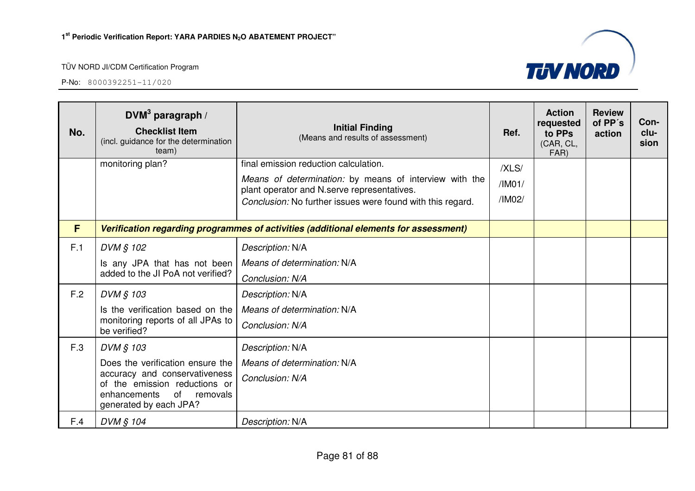

| No. | DVM <sup>3</sup> paragraph /<br><b>Checklist Item</b><br>(incl. guidance for the determination<br>team) | <b>Initial Finding</b><br>(Means and results of assessment)                                           | Ref.   | <b>Action</b><br>requested<br>to PPs<br>(CAR, CL,<br>FAR) | <b>Review</b><br>of PP's<br>action | Con-<br>clu-<br>sion |
|-----|---------------------------------------------------------------------------------------------------------|-------------------------------------------------------------------------------------------------------|--------|-----------------------------------------------------------|------------------------------------|----------------------|
|     | monitoring plan?                                                                                        | final emission reduction calculation.                                                                 | /XLS/  |                                                           |                                    |                      |
|     |                                                                                                         | Means of determination: by means of interview with the<br>plant operator and N.serve representatives. | /IMO1/ |                                                           |                                    |                      |
|     |                                                                                                         | Conclusion: No further issues were found with this regard.                                            | /IM02/ |                                                           |                                    |                      |
| F   |                                                                                                         | Verification regarding programmes of activities (additional elements for assessment)                  |        |                                                           |                                    |                      |
| F.1 | DVM § 102                                                                                               | Description: N/A                                                                                      |        |                                                           |                                    |                      |
|     | Is any JPA that has not been                                                                            | Means of determination: N/A                                                                           |        |                                                           |                                    |                      |
|     | added to the JI PoA not verified?                                                                       | Conclusion: N/A                                                                                       |        |                                                           |                                    |                      |
| F.2 | DVM § 103                                                                                               | Description: N/A                                                                                      |        |                                                           |                                    |                      |
|     | Is the verification based on the                                                                        | Means of determination: N/A                                                                           |        |                                                           |                                    |                      |
|     | monitoring reports of all JPAs to<br>be verified?                                                       | Conclusion: N/A                                                                                       |        |                                                           |                                    |                      |
| F.3 | DVM § 103                                                                                               | Description: N/A                                                                                      |        |                                                           |                                    |                      |
|     | Does the verification ensure the                                                                        | Means of determination: N/A                                                                           |        |                                                           |                                    |                      |
|     | accuracy and conservativeness<br>of the emission reductions or                                          | Conclusion: N/A                                                                                       |        |                                                           |                                    |                      |
|     | of<br>enhancements<br>removals<br>generated by each JPA?                                                |                                                                                                       |        |                                                           |                                    |                      |
| F.4 | DVM § 104                                                                                               | Description: N/A                                                                                      |        |                                                           |                                    |                      |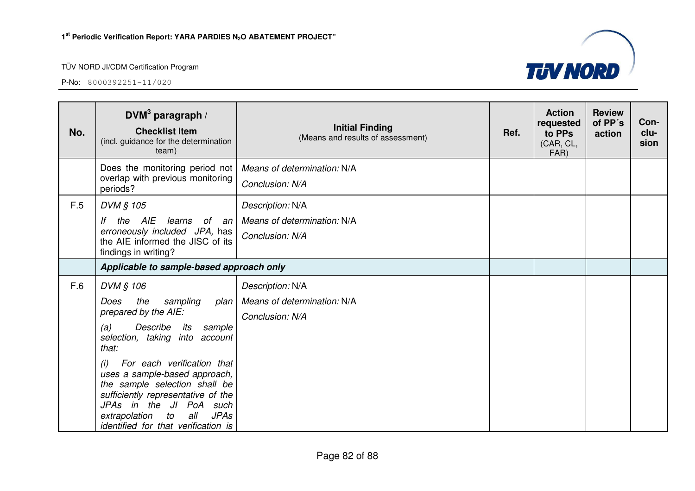

| No. | DVM <sup>3</sup> paragraph /<br><b>Checklist Item</b><br>(incl. guidance for the determination<br>team)                                                                                                                                                                                                                                                                                                            | <b>Initial Finding</b><br>(Means and results of assessment)        | Ref. | <b>Action</b><br>requested<br>to PPs<br>(CAR, CL,<br>FAR) | <b>Review</b><br>of PP's<br>action | Con-<br>clu-<br>sion |
|-----|--------------------------------------------------------------------------------------------------------------------------------------------------------------------------------------------------------------------------------------------------------------------------------------------------------------------------------------------------------------------------------------------------------------------|--------------------------------------------------------------------|------|-----------------------------------------------------------|------------------------------------|----------------------|
|     | Does the monitoring period not<br>overlap with previous monitoring<br>periods?                                                                                                                                                                                                                                                                                                                                     | Means of determination: N/A<br>Conclusion: N/A                     |      |                                                           |                                    |                      |
| F.5 | DVM § 105<br>the AIE<br>learns<br>of an<br>lf<br>erroneously included JPA, has<br>the AIE informed the JISC of its<br>findings in writing?                                                                                                                                                                                                                                                                         | Description: N/A<br>Means of determination: N/A<br>Conclusion: N/A |      |                                                           |                                    |                      |
|     | Applicable to sample-based approach only                                                                                                                                                                                                                                                                                                                                                                           |                                                                    |      |                                                           |                                    |                      |
| F.6 | DVM § 106<br>the<br>Does<br>sampling<br>plan<br>prepared by the AIE:<br>Describe<br>its<br>sample<br>(a)<br>selection, taking<br>into account<br>that:<br>For each verification that<br>(i)<br>uses a sample-based approach,<br>the sample selection shall be<br>sufficiently representative of the<br>JPAs in the JI PoA such<br>extrapolation<br>all<br><b>JPAs</b><br>to<br>identified for that verification is | Description: N/A<br>Means of determination: N/A<br>Conclusion: N/A |      |                                                           |                                    |                      |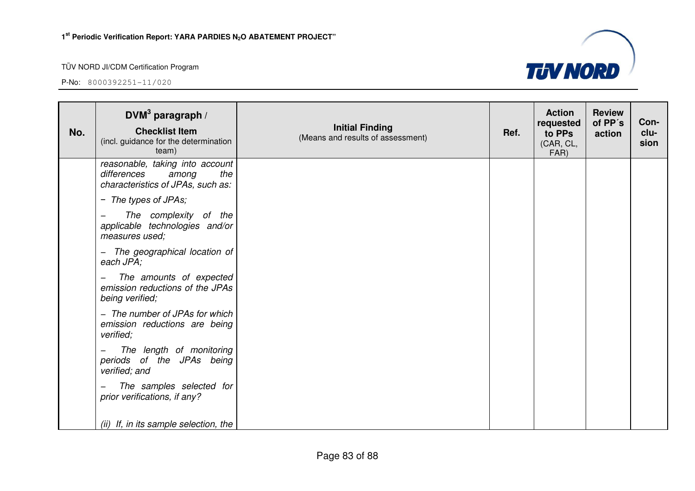

| No. | DVM <sup>3</sup> paragraph /<br><b>Checklist Item</b><br>(incl. guidance for the determination<br>team) | <b>Initial Finding</b><br>(Means and results of assessment) | Ref. | <b>Action</b><br>requested<br>to PPs<br>(CAR, CL,<br>FAR) | <b>Review</b><br>of PP's<br>action | Con-<br>clu-<br>sion |
|-----|---------------------------------------------------------------------------------------------------------|-------------------------------------------------------------|------|-----------------------------------------------------------|------------------------------------|----------------------|
|     | reasonable, taking into account<br>differences<br>the<br>among<br>characteristics of JPAs, such as:     |                                                             |      |                                                           |                                    |                      |
|     | - The types of JPAs;                                                                                    |                                                             |      |                                                           |                                    |                      |
|     | The complexity of the<br>applicable technologies and/or<br>measures used;                               |                                                             |      |                                                           |                                    |                      |
|     | The geographical location of<br>$-$<br>each JPA;                                                        |                                                             |      |                                                           |                                    |                      |
|     | The amounts of expected<br>—<br>emission reductions of the JPAs<br>being verified;                      |                                                             |      |                                                           |                                    |                      |
|     | - The number of JPAs for which<br>emission reductions are being<br>verified;                            |                                                             |      |                                                           |                                    |                      |
|     | The length of monitoring<br>periods of the JPAs being<br>verified; and                                  |                                                             |      |                                                           |                                    |                      |
|     | The samples selected for<br>prior verifications, if any?                                                |                                                             |      |                                                           |                                    |                      |
|     | (ii) If, in its sample selection, the                                                                   |                                                             |      |                                                           |                                    |                      |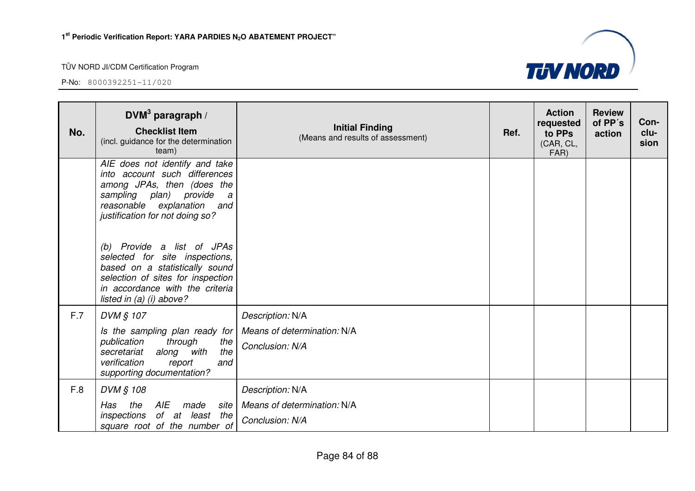

| No. | DVM $3$ paragraph /<br><b>Checklist Item</b><br>(incl. guidance for the determination<br>team)                                                                                                                                                                                                                                                                                                           | <b>Initial Finding</b><br>(Means and results of assessment)        | Ref. | <b>Action</b><br>requested<br>to PPs<br>(CAR, CL,<br>FAR) | <b>Review</b><br>of PP's<br>action | Con-<br>clu-<br>sion |
|-----|----------------------------------------------------------------------------------------------------------------------------------------------------------------------------------------------------------------------------------------------------------------------------------------------------------------------------------------------------------------------------------------------------------|--------------------------------------------------------------------|------|-----------------------------------------------------------|------------------------------------|----------------------|
|     | AIE does not identify and take<br>into account such differences<br>among JPAs, then (does the<br>sampling plan) provide<br>a<br>reasonable explanation<br>and<br>justification for not doing so?<br>(b) Provide a list of JPAs<br>selected for site inspections,<br>based on a statistically sound<br>selection of sites for inspection<br>in accordance with the criteria<br>listed in $(a)$ (i) above? |                                                                    |      |                                                           |                                    |                      |
| F.7 | DVM § 107<br>Is the sampling plan ready for<br>publication<br>through<br>the<br>the<br>along<br>with<br>secretariat<br>verification<br>and<br>report<br>supporting documentation?                                                                                                                                                                                                                        | Description: N/A<br>Means of determination: N/A<br>Conclusion: N/A |      |                                                           |                                    |                      |
| F.8 | DVM § 108<br><b>AIE</b><br>the<br>made<br>Has<br>site<br>of at least the<br>inspections<br>square root of the number of                                                                                                                                                                                                                                                                                  | Description: N/A<br>Means of determination: N/A<br>Conclusion: N/A |      |                                                           |                                    |                      |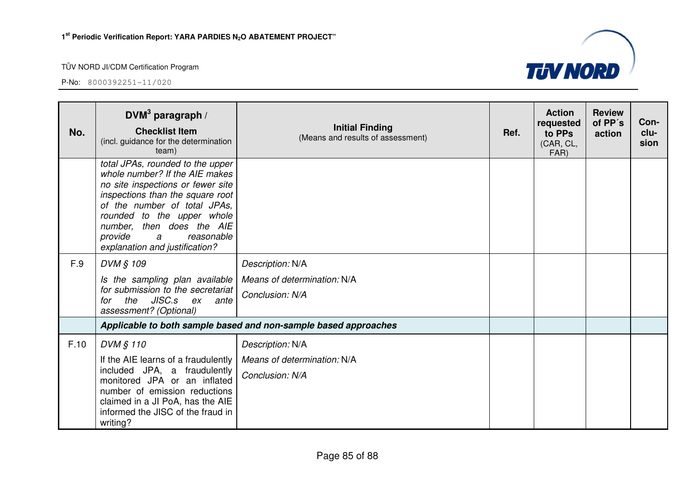

| No.  | DVM <sup>3</sup> paragraph /<br><b>Checklist Item</b><br>(incl. guidance for the determination<br>team)                                                                                                                                                                                                | <b>Initial Finding</b><br>(Means and results of assessment)        | Ref. | <b>Action</b><br>requested<br>to PPs<br>(CAR, CL,<br>FAR) | <b>Review</b><br>of PP's<br>action | Con-<br>clu-<br>sion |
|------|--------------------------------------------------------------------------------------------------------------------------------------------------------------------------------------------------------------------------------------------------------------------------------------------------------|--------------------------------------------------------------------|------|-----------------------------------------------------------|------------------------------------|----------------------|
|      | total JPAs, rounded to the upper<br>whole number? If the AIE makes<br>no site inspections or fewer site<br>inspections than the square root<br>of the number of total JPAs,<br>rounded to the upper whole<br>number, then does the AIE<br>provide<br>reasonable<br>a<br>explanation and justification? |                                                                    |      |                                                           |                                    |                      |
| F.9  | DVM § 109<br>Is the sampling plan available<br>for submission to the secretariat<br>the JISC.s ex<br>for<br>ante<br>assessment? (Optional)                                                                                                                                                             | Description: N/A<br>Means of determination: N/A<br>Conclusion: N/A |      |                                                           |                                    |                      |
|      |                                                                                                                                                                                                                                                                                                        | Applicable to both sample based and non-sample based approaches    |      |                                                           |                                    |                      |
| F.10 | DVM § 110<br>If the AIE learns of a fraudulently<br>included JPA, a fraudulently<br>monitored JPA or an inflated<br>number of emission reductions<br>claimed in a JI PoA, has the AIE<br>informed the JISC of the fraud in<br>writing?                                                                 | Description: N/A<br>Means of determination: N/A<br>Conclusion: N/A |      |                                                           |                                    |                      |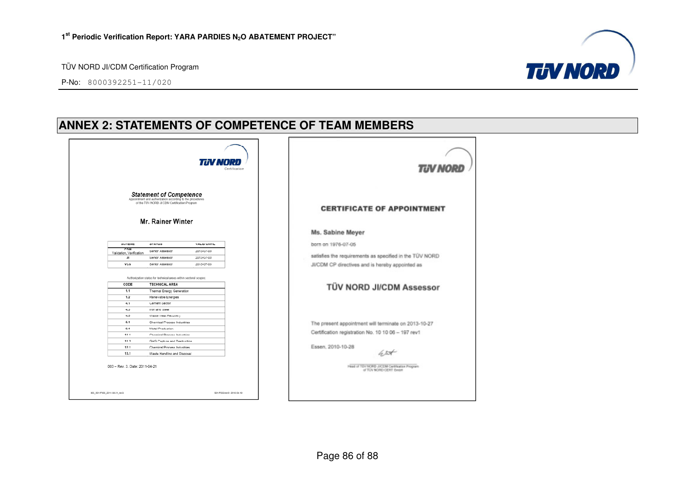P-No: 8000392251-11/020



# **ANNEX 2: STATEMENTS OF COMPETENCE OF TEAM MEMBERS**

| <b>TIN NORD</b>                                                                                                                                                                                                      | <b>TUV NORD</b>                                                          |
|----------------------------------------------------------------------------------------------------------------------------------------------------------------------------------------------------------------------|--------------------------------------------------------------------------|
| $\begin{array}{c} \textbf{Statement of } \textbf{Compare} \\ \textbf{Apparithmetic and subtraction according to the procedures of the TUV NORD JUCDM Cettification Program} \end{array}$<br><b>Mr. Rainer Winter</b> | <b>CERTIFICATE OF APPOINTMENT</b>                                        |
|                                                                                                                                                                                                                      | Ms. Sabine Meyer                                                         |
| SCHEME<br><b>STATUS</b><br><b>VALID UNTIL</b>                                                                                                                                                                        | born on 1976-07-05                                                       |
| CDM<br>Senior Assessor<br>2013-07-03<br>Validation, Verification                                                                                                                                                     |                                                                          |
| 2013-07-03<br>JI<br>Senior Assessor                                                                                                                                                                                  | satisfies the requirements as specified in the TÜV NORD                  |
| <b>VCS</b><br>2013-07-03<br>Senior Assessor                                                                                                                                                                          | JI/CDM CP directives and is hereby appointed as                          |
| Authorization status for technical areas within sectoral scopes:<br>CODE<br><b>TECHNICAL AREA</b><br>1.1<br>Thermal Energy Generation<br>1.2<br>Renewable Energies                                                   | TÜV NORD JI/CDM Assessor                                                 |
| Cement Sector<br>4.1<br>4.3<br>Iron and Steel<br>4,5<br>Waste Heat Recovery                                                                                                                                          |                                                                          |
| 5.1<br>Chemical Process Industries                                                                                                                                                                                   | The present appointment will terminate on 2013-10-27                     |
| Metal Production<br>0.1                                                                                                                                                                                              | Certification registration No. 10 10 06 - 197 rev1                       |
| 11.1<br>Chemical Process Industries                                                                                                                                                                                  |                                                                          |
| 11.2<br>GHG Capture and Destruction<br>12.1<br>Chemical Process Industries                                                                                                                                           |                                                                          |
| 13.1<br>Waste Handling and Disposal                                                                                                                                                                                  | Essen, 2010-10-28<br>le 2 <del>5t</del>                                  |
| 003 - Rev. 3. Date: 2011-04-21                                                                                                                                                                                       | Head of TEV/NORD JICEM Certification Program<br>of TOV NORD CERT British |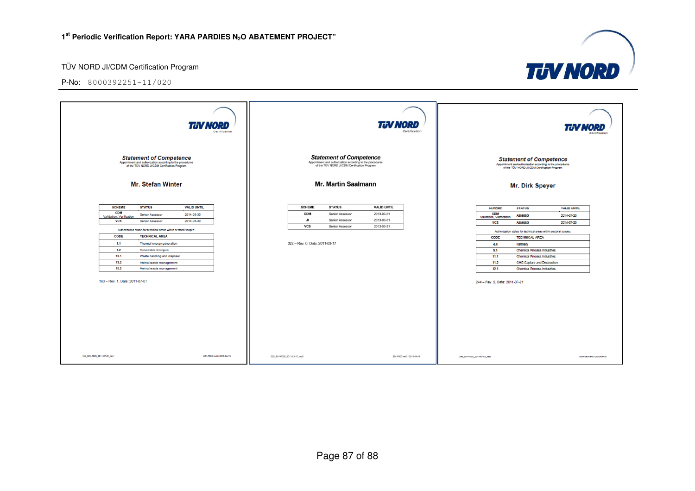P-No: 8000392251-11/020



**TJV NORD**